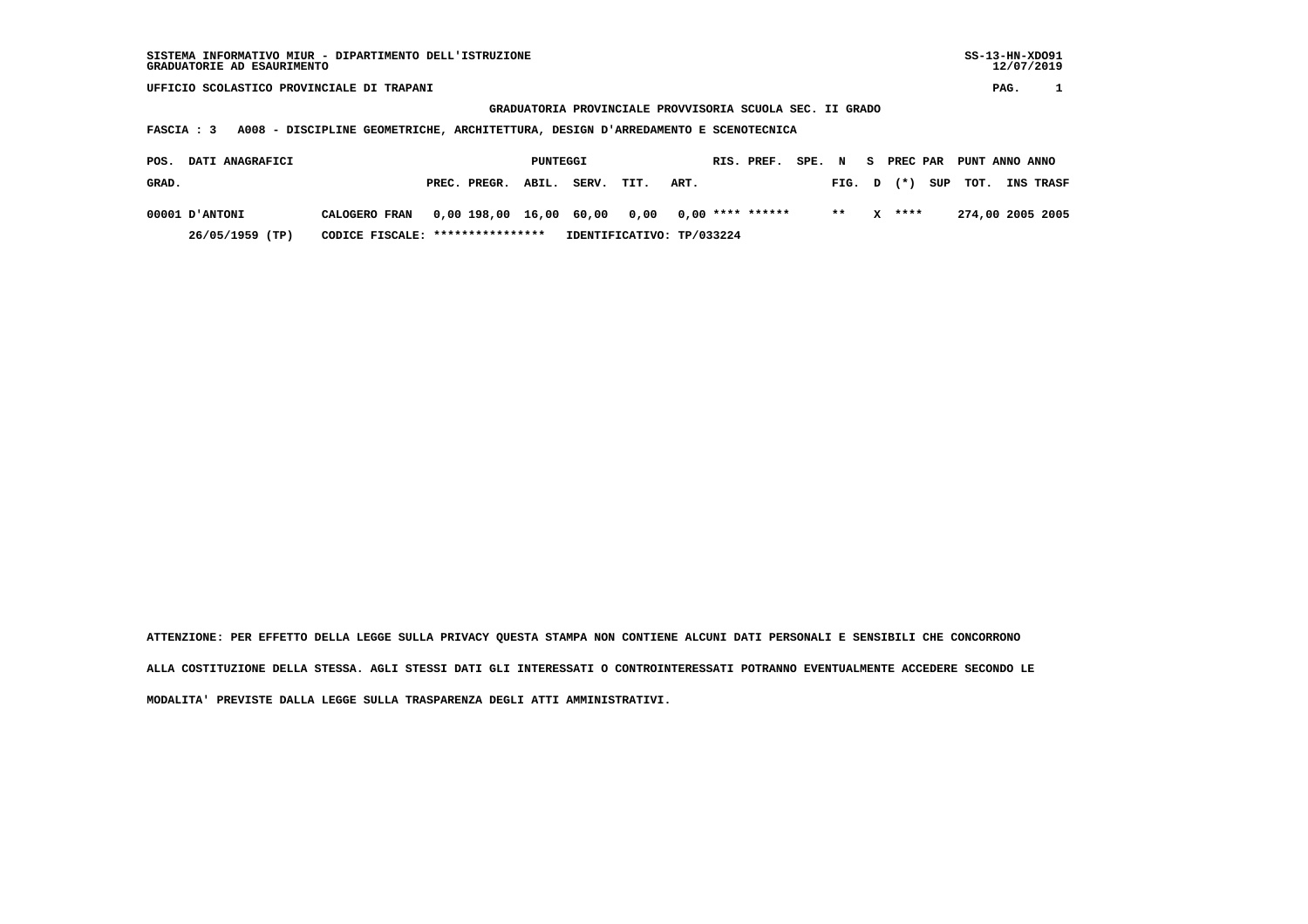**GRADUATORIA PROVINCIALE PROVVISORIA SCUOLA SEC. II GRADO**

 **FASCIA : 3 A008 - DISCIPLINE GEOMETRICHE, ARCHITETTURA, DESIGN D'ARREDAMENTO E SCENOTECNICA**

| DATI ANAGRAFICI<br>POS. |                                  |              | PUNTEGGI |                                                  |                           |      | RIS. PREF. | SPE. N |                    |          | S PREC PAR PUNT ANNO ANNO |                  |
|-------------------------|----------------------------------|--------------|----------|--------------------------------------------------|---------------------------|------|------------|--------|--------------------|----------|---------------------------|------------------|
| GRAD.                   |                                  | PREC. PREGR. | ABIL.    | SERV.                                            | TIT.                      | ART. |            |        | FIG. $D$ $(*)$ SUP |          | тот.                      | <b>INS TRASF</b> |
| 00001 D'ANTONI          | CALOGERO FRAN                    |              |          | $0.00\,198.00\,16.00\,60.00\,0.00\,0.00\,******$ |                           |      |            |        | $***$              | $X$ **** |                           | 274,00 2005 2005 |
| 26/05/1959 (TP)         | CODICE FISCALE: **************** |              |          |                                                  | IDENTIFICATIVO: TP/033224 |      |            |        |                    |          |                           |                  |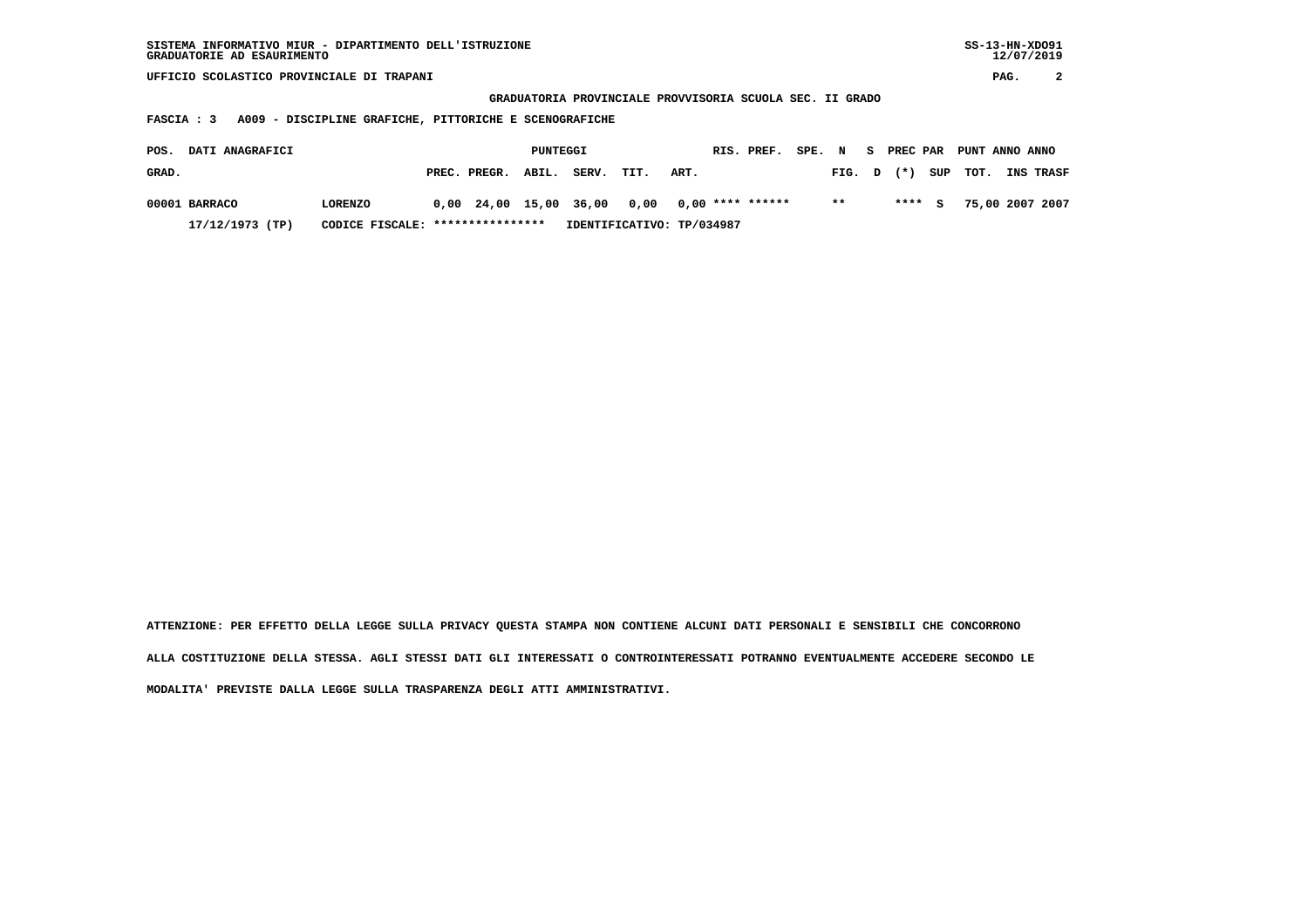| SISTEMA INFORMATIVO MIUR - DIPARTIMENTO DELL'ISTRUZIONE | $SS-13-HN-XDO91$ |
|---------------------------------------------------------|------------------|
| GRADUATORIE AD ESAURIMENTO                              | 12/07/2019       |

 **GRADUATORIA PROVINCIALE PROVVISORIA SCUOLA SEC. II GRADO**

 **FASCIA : 3 A009 - DISCIPLINE GRAFICHE, PITTORICHE E SCENOGRAFICHE**

| POS.  | <b>DATI ANAGRAFICI</b> |                                  |                    | PUNTEGGI |       |                                                |      | RIS. PREF. SPE. N S PREC PAR PUNT ANNO ANNO |      |  |         |                         |                  |
|-------|------------------------|----------------------------------|--------------------|----------|-------|------------------------------------------------|------|---------------------------------------------|------|--|---------|-------------------------|------------------|
| GRAD. |                        |                                  | PREC. PREGR. ABIL. |          | SERV. | TIT.                                           | ART. |                                             |      |  |         | FIG. $D$ $(*)$ SUP TOT. | <b>INS TRASF</b> |
|       | 00001 BARRACO          | <b>LORENZO</b>                   |                    |          |       | $0,00$ 24,00 15,00 36,00 0,00 0,00 **** ****** |      |                                             | $**$ |  | $***$ S |                         | 75,00 2007 2007  |
|       | 17/12/1973 (TP)        | CODICE FISCALE: **************** |                    |          |       | IDENTIFICATIVO: TP/034987                      |      |                                             |      |  |         |                         |                  |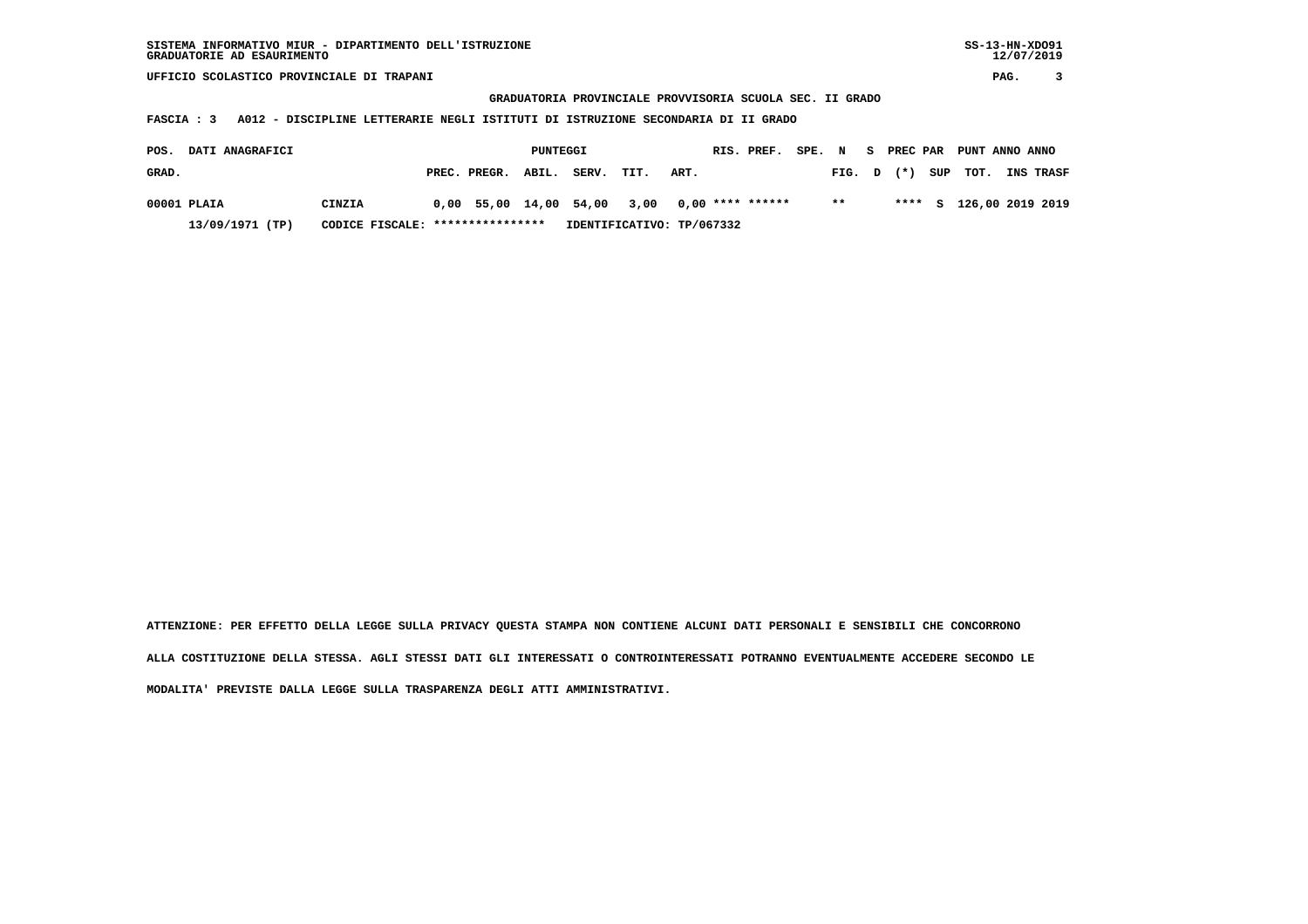**GRADUATORIA PROVINCIALE PROVVISORIA SCUOLA SEC. II GRADO**

 **FASCIA : 3 A012 - DISCIPLINE LETTERARIE NEGLI ISTITUTI DI ISTRUZIONE SECONDARIA DI II GRADO**

| POS.  | <b>DATI ANAGRAFICI</b> |                                  |                    | PUNTEGGI |                             |                           |      | RIS. PREF.       | SPE. N |        |       | PREC PAR PUNT ANNO ANNO |                         |
|-------|------------------------|----------------------------------|--------------------|----------|-----------------------------|---------------------------|------|------------------|--------|--------|-------|-------------------------|-------------------------|
| GRAD. |                        |                                  | PREC. PREGR. ABIL. |          | SERV.                       | TIT.                      | ART. |                  |        | FIG. D | $(*)$ | SUP TOT.                | <b>INS TRASF</b>        |
|       | 00001 PLAIA            | CINZIA                           |                    |          | 0,00 55,00 14,00 54,00 3,00 |                           |      | 0,00 **** ****** |        | $* *$  |       |                         | **** S 126,00 2019 2019 |
|       | 13/09/1971 (TP)        | CODICE FISCALE: **************** |                    |          |                             | IDENTIFICATIVO: TP/067332 |      |                  |        |        |       |                         |                         |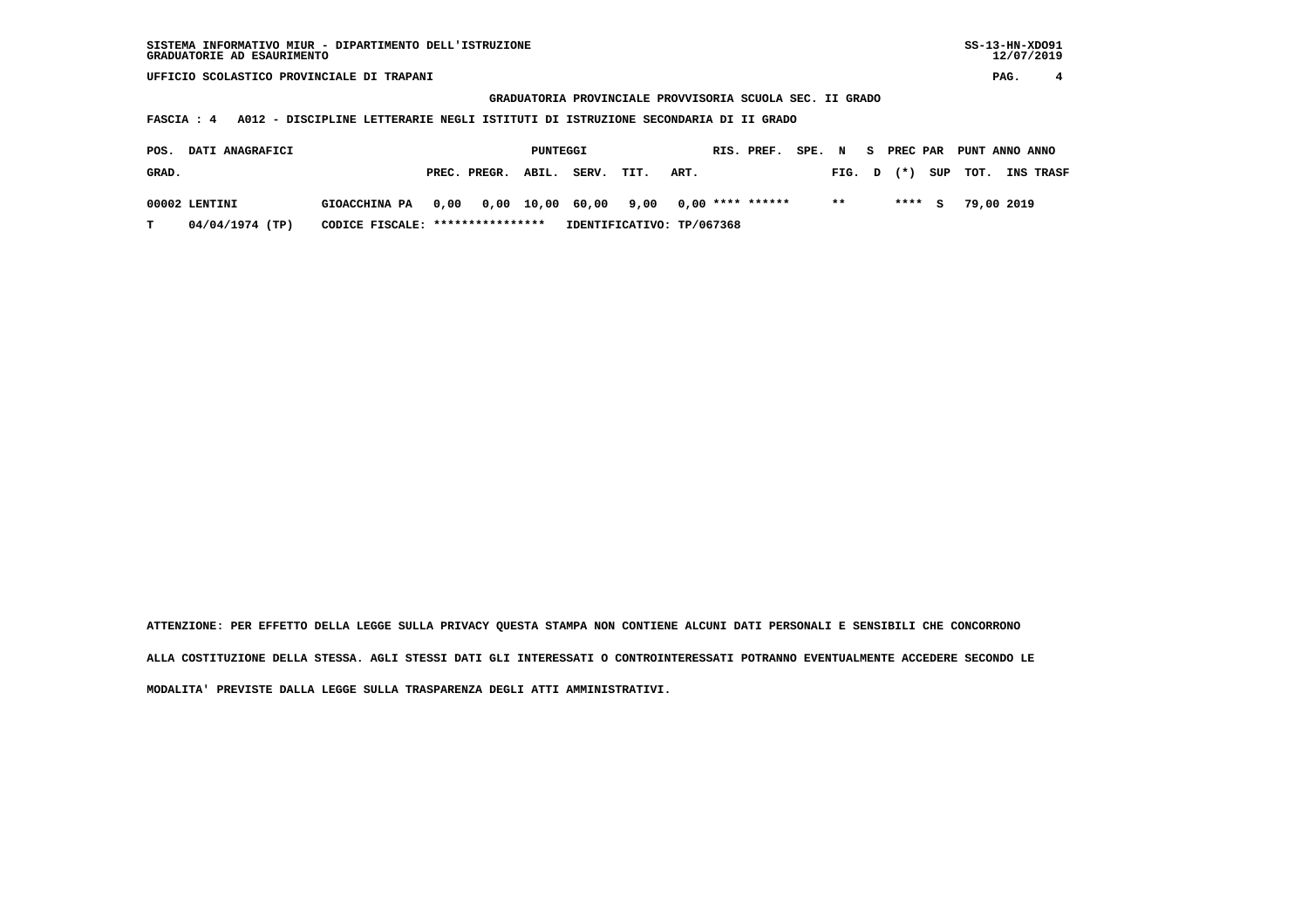**GRADUATORIA PROVINCIALE PROVVISORIA SCUOLA SEC. II GRADO**

 **FASCIA : 4 A012 - DISCIPLINE LETTERARIE NEGLI ISTITUTI DI ISTRUZIONE SECONDARIA DI II GRADO**

| POS.  | <b>DATI ANAGRAFICI</b> |                                  |                            | PUNTEGGI |       |      |                           |  |        |  |         |                | RIS. PREF. SPE. N S PREC PAR PUNT ANNO ANNO |
|-------|------------------------|----------------------------------|----------------------------|----------|-------|------|---------------------------|--|--------|--|---------|----------------|---------------------------------------------|
| GRAD. |                        |                                  | PREC. PREGR. ABIL.         |          | SERV. | TIT. | ART.                      |  | FIG. D |  |         | $(*)$ SUP TOT. | <b>INS TRASF</b>                            |
|       | 00002 LENTINI          | <b>GIOACCHINA PA</b>             | 0,00 0,00 10,00 60,00 9,00 |          |       |      | 0,00 **** ******          |  | $* *$  |  | $***$ S |                | 79,00 2019                                  |
| т     | 04/04/1974 (TP)        | CODICE FISCALE: **************** |                            |          |       |      | IDENTIFICATIVO: TP/067368 |  |        |  |         |                |                                             |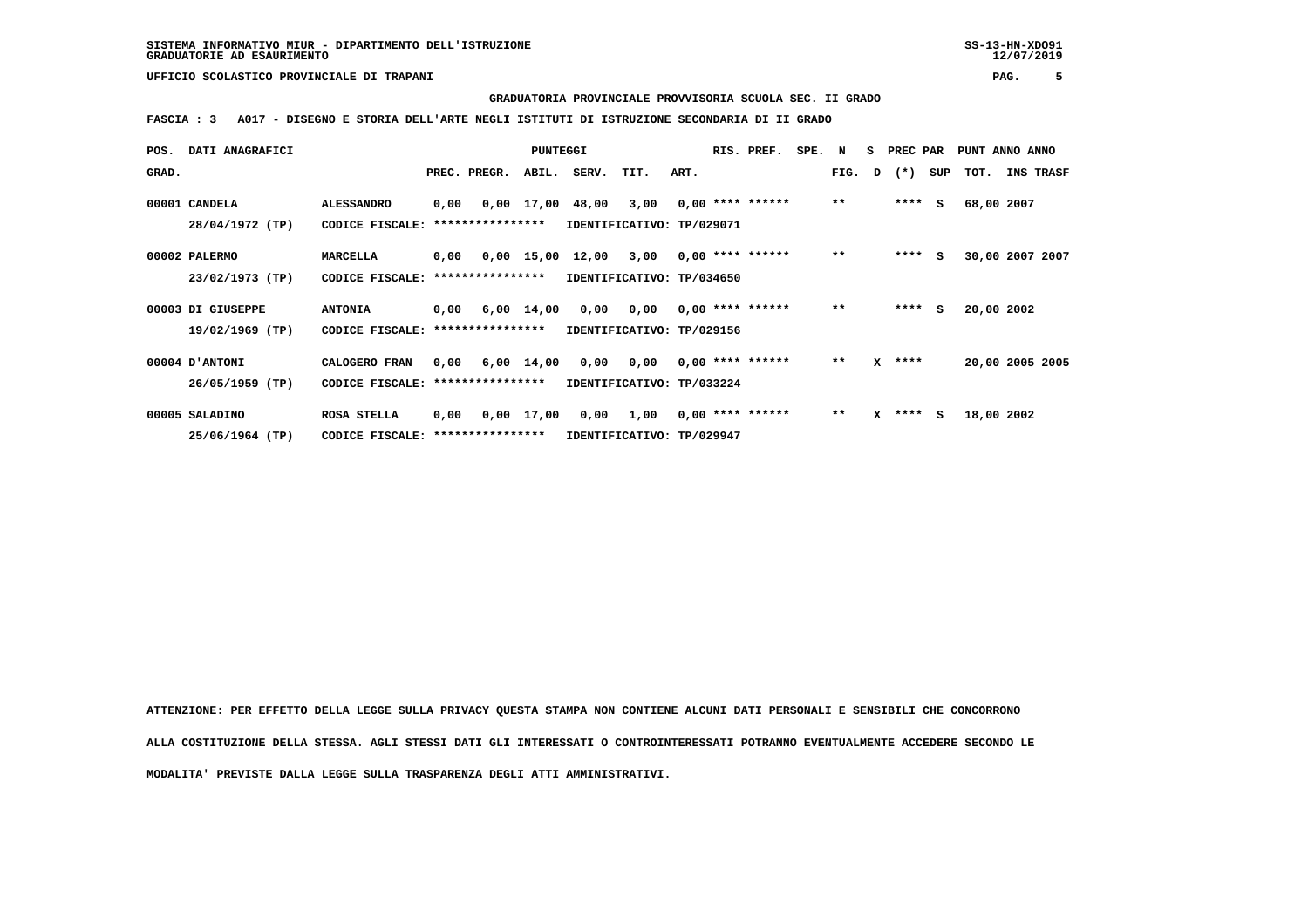**GRADUATORIA PROVINCIALE PROVVISORIA SCUOLA SEC. II GRADO**

 **FASCIA : 3 A017 - DISEGNO E STORIA DELL'ARTE NEGLI ISTITUTI DI ISTRUZIONE SECONDARIA DI II GRADO**

| POS.  | <b>DATI ANAGRAFICI</b> |                                  |      |                       | PUNTEGGI   |                                              |                                        |      | RIS. PREF.         | SPE. N |              | S PREC PAR   |         | PUNT ANNO ANNO                |
|-------|------------------------|----------------------------------|------|-----------------------|------------|----------------------------------------------|----------------------------------------|------|--------------------|--------|--------------|--------------|---------|-------------------------------|
| GRAD. |                        |                                  |      | PREC. PREGR.          | ABIL.      | SERV. TIT.                                   |                                        | ART. |                    |        |              |              |         | FIG. D (*) SUP TOT. INS TRASF |
|       | 00001 CANDELA          | <b>ALESSANDRO</b>                | 0,00 |                       |            | 0,00 17,00 48,00 3,00 0,00 **** ******       |                                        |      |                    |        | $***$        |              | $***$ S | 68,00 2007                    |
|       | 28/04/1972 (TP)        | CODICE FISCALE:                  |      | ****************      |            | IDENTIFICATIVO: TP/029071                    |                                        |      |                    |        |              |              |         |                               |
|       | 00002 PALERMO          | MARCELLA                         | 0,00 |                       |            | $0,00$ 15,00 12,00 3,00 0,00 **** ******     |                                        |      |                    |        | $***$        | $***$ S      |         | 30,00 2007 2007               |
|       | 23/02/1973 (TP)        | CODICE FISCALE:                  |      | ****************      |            | IDENTIFICATIVO: TP/034650                    |                                        |      |                    |        |              |              |         |                               |
|       | 00003 DI GIUSEPPE      | <b>ANTONIA</b>                   |      |                       |            | $0,00$ 6,00 14,00 0,00 0,00 0,00 **** ****** |                                        |      |                    |        | $* *$        |              | $***$ S | 20,00 2002                    |
|       | 19/02/1969 (TP)        | CODICE FISCALE: **************** |      |                       |            | IDENTIFICATIVO: TP/029156                    |                                        |      |                    |        |              |              |         |                               |
|       | <b>OOOO4 D'ANTONI</b>  | CALOGERO FRAN                    |      | $0,00$ $6,00$ $14,00$ |            |                                              | $0,00$ $0,00$ $0,00$ $***$ **** ****** |      |                    |        | $\star\star$ | $X$ ****     |         | 20,00 2005 2005               |
|       | 26/05/1959 (TP)        | CODICE FISCALE: **************** |      |                       |            | IDENTIFICATIVO: TP/033224                    |                                        |      |                    |        |              |              |         |                               |
|       | 00005 SALADINO         | ROSA STELLA                      | 0,00 |                       | 0,00 17,00 |                                              | 0,00 1,00                              |      | $0,00$ **** ****** |        | $***$        | $X$ **** $S$ |         | 18,00 2002                    |
|       | 25/06/1964 (TP)        | CODICE FISCALE: **************** |      |                       |            | IDENTIFICATIVO: TP/029947                    |                                        |      |                    |        |              |              |         |                               |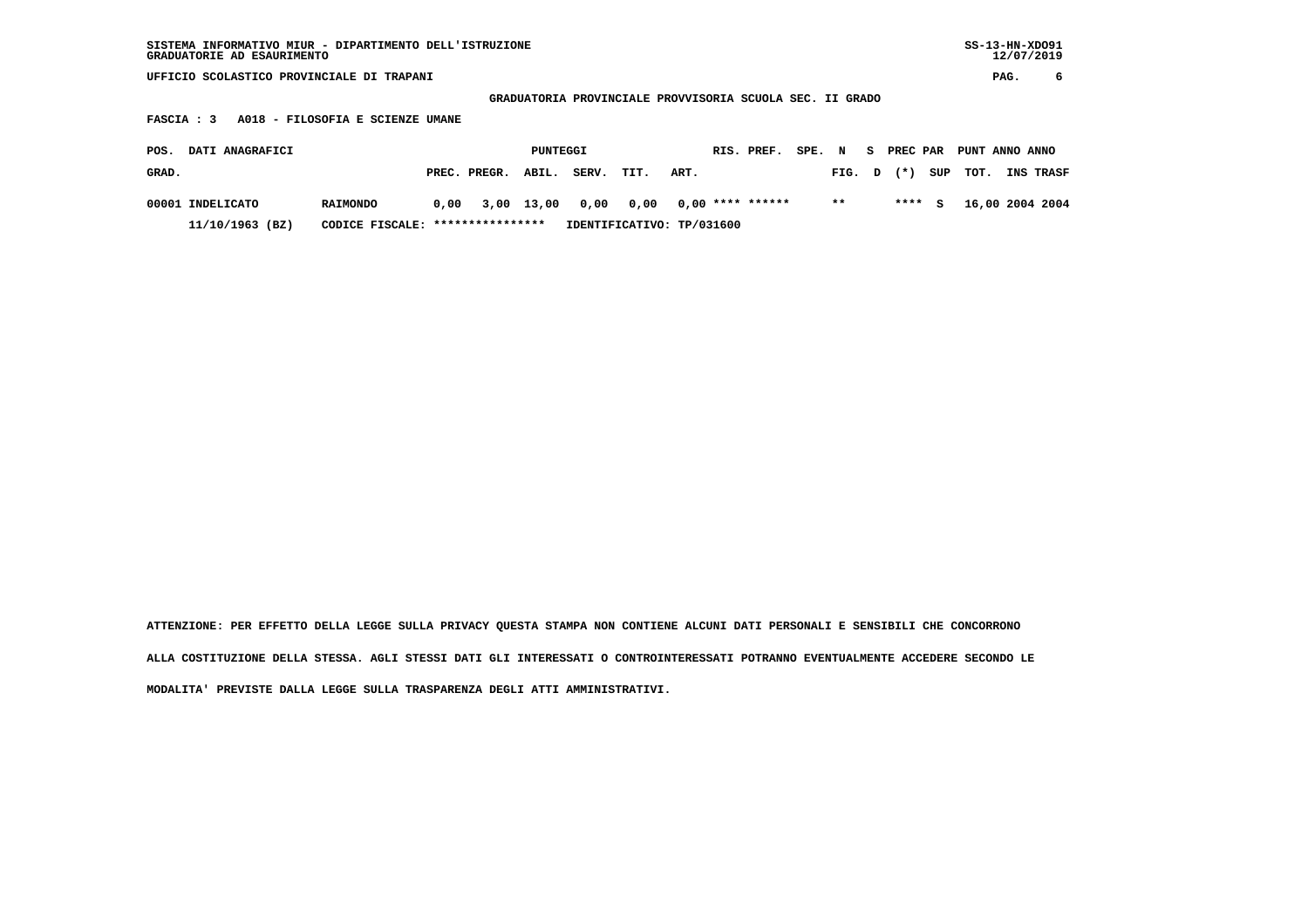| SISTEMA INFORMATIVO MIUR - DIPARTIMENTO DELL'ISTRUZIONE | $SS-13-HN-XDO91$ |
|---------------------------------------------------------|------------------|
| GRADUATORIE AD ESAURIMENTO                              | 12/07/2019       |

 **GRADUATORIA PROVINCIALE PROVVISORIA SCUOLA SEC. II GRADO**

 **FASCIA : 3 A018 - FILOSOFIA E SCIENZE UMANE**

| POS.  | <b>DATI ANAGRAFICI</b> |                                  |                      | PUNTEGGI |       |                           |      | RIS. PREF. | SPE. N |        |        | S PREC PAR PUNT ANNO ANNO |                        |
|-------|------------------------|----------------------------------|----------------------|----------|-------|---------------------------|------|------------|--------|--------|--------|---------------------------|------------------------|
| GRAD. |                        |                                  | PREC. PREGR. ABIL.   |          | SERV. | TIT.                      | ART. |            |        | FIG. D |        |                           | (*) SUP TOT. INS TRASF |
|       | 00001 INDELICATO       | <b>RAIMONDO</b>                  | 0,00 3,00 13,00 0,00 |          |       | 0,00 0,00 **** ******     |      |            |        | $* *$  | **** S |                           | 16,00 2004 2004        |
|       | 11/10/1963 (BZ)        | CODICE FISCALE: **************** |                      |          |       | IDENTIFICATIVO: TP/031600 |      |            |        |        |        |                           |                        |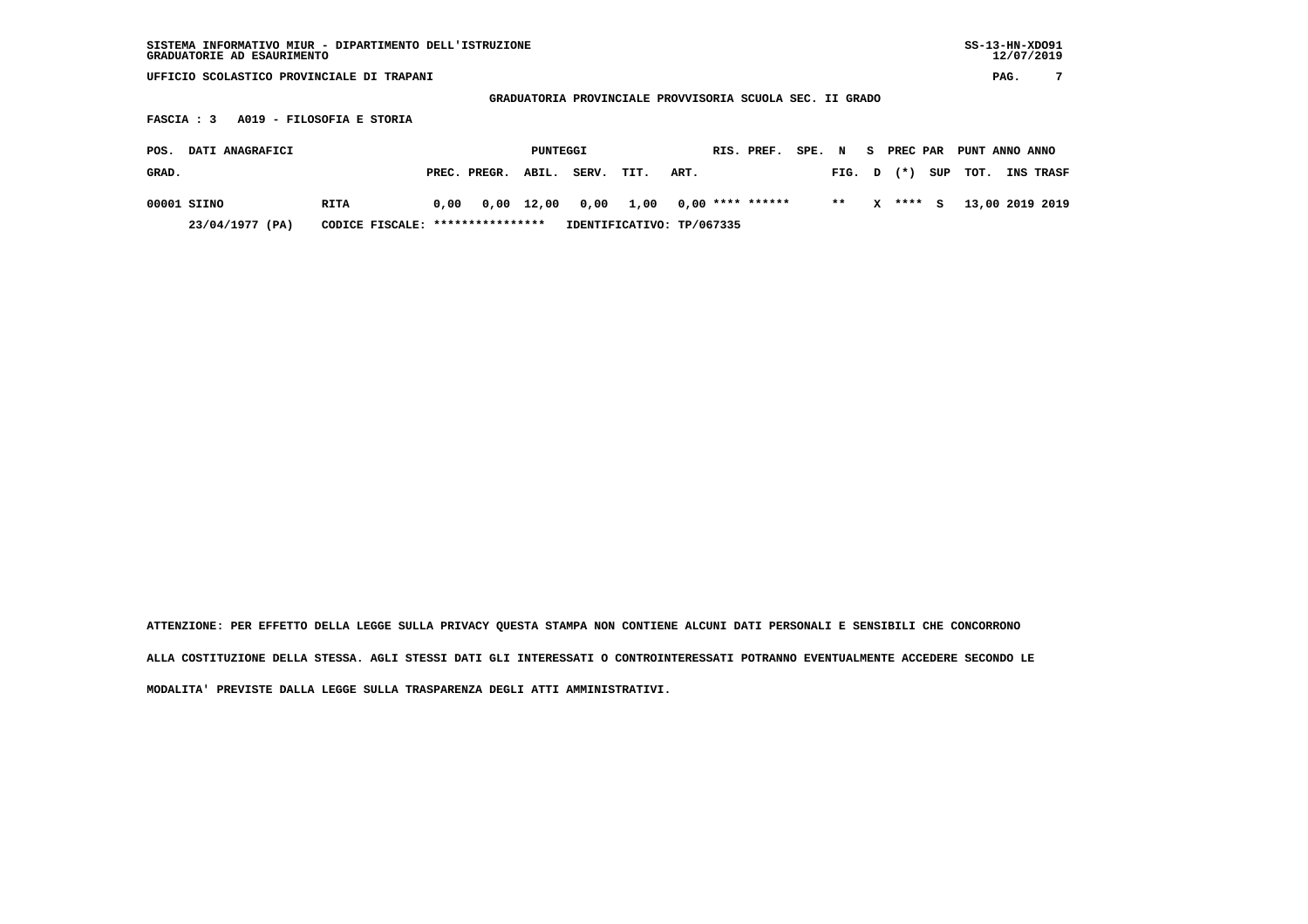| SISTEMA INFORMATIVO MIUR - DIPARTIMENTO DELL'ISTRUZIONE<br>GRADUATORIE AD ESAURIMENTO               |      |              |          |       |                           |      |  |                    |        |        |   |            |     |                |      | $SS-13-HN-XDO91$<br>12/07/2019 |
|-----------------------------------------------------------------------------------------------------|------|--------------|----------|-------|---------------------------|------|--|--------------------|--------|--------|---|------------|-----|----------------|------|--------------------------------|
| UFFICIO SCOLASTICO PROVINCIALE DI TRAPANI                                                           |      |              |          |       |                           |      |  |                    |        |        |   |            |     |                | PAG. | 7                              |
| GRADUATORIA PROVINCIALE PROVVISORIA SCUOLA SEC. II GRADO<br>A019 - FILOSOFIA E STORIA<br>FASCIA : 3 |      |              |          |       |                           |      |  |                    |        |        |   |            |     |                |      |                                |
| DATI ANAGRAFICI<br>POS.                                                                             |      |              | PUNTEGGI |       |                           |      |  | RIS. PREF.         | SPE. N |        |   | S PREC PAR |     | PUNT ANNO ANNO |      |                                |
| GRAD.                                                                                               |      | PREC. PREGR. | ABIL.    | SERV. | TIT.                      | ART. |  |                    |        | FIG. D |   | $(*)$      | SUP | TOT.           |      | <b>INS TRASF</b>               |
| 00001 SIINO<br><b>RITA</b>                                                                          | 0.00 | 0,00         | 12,00    | 0,00  | 1,00                      |      |  | $0,00$ **** ****** |        | $**$   | x | ****       | s   |                |      | 13,00 2019 2019                |
| CODICE FISCALE: *****************<br>23/04/1977 (PA)                                                |      |              |          |       | IDENTIFICATIVO: TP/067335 |      |  |                    |        |        |   |            |     |                |      |                                |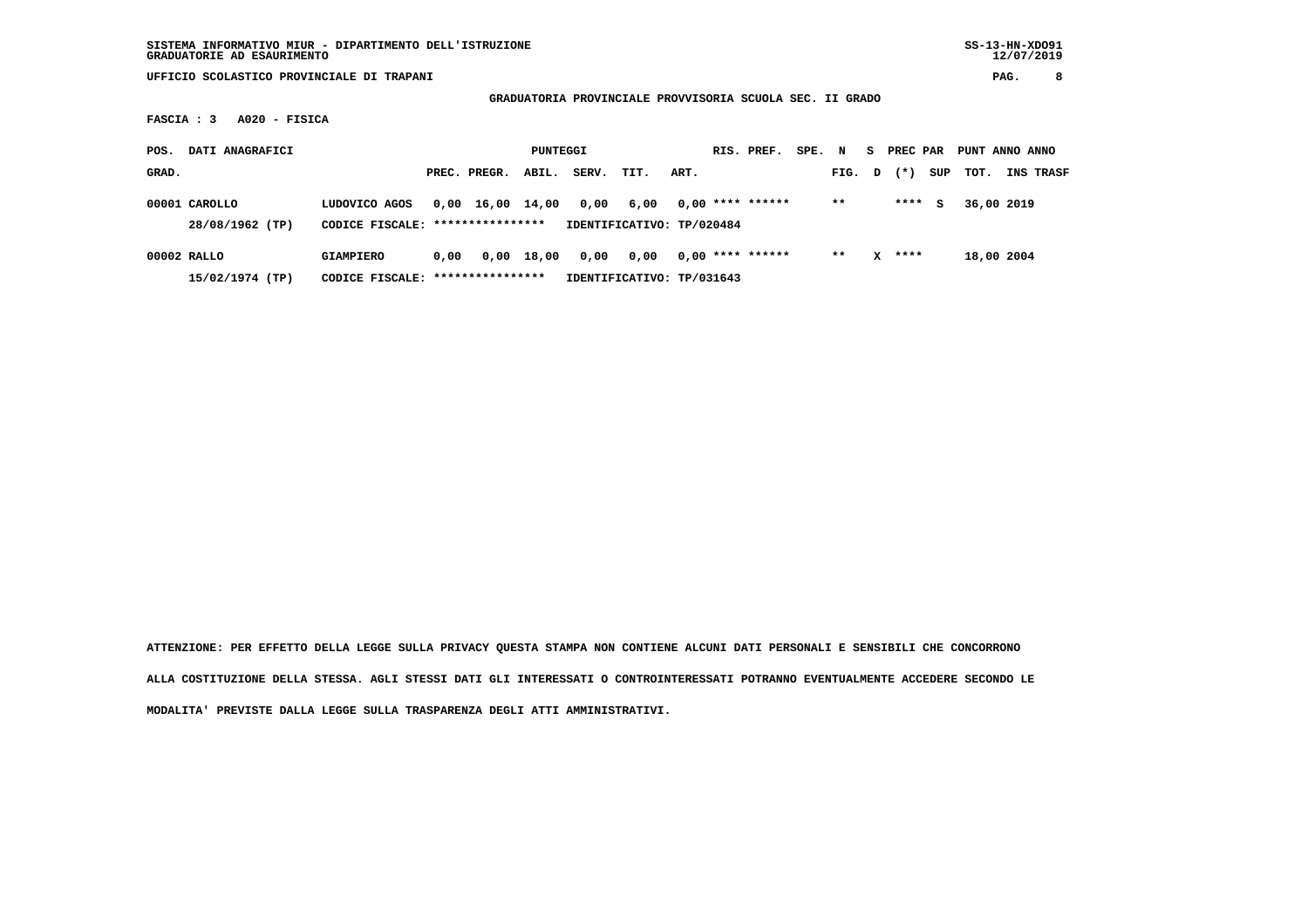**GRADUATORIA PROVINCIALE PROVVISORIA SCUOLA SEC. II GRADO**

 **FASCIA : 3 A020 - FISICA**

| POS.  | DATI ANAGRAFICI                  |                                                       |      |              | PUNTEGGI   |       |                                   |      | RIS. PREF.         | SPE. N |        | S. | PREC PAR |     | PUNT ANNO ANNO |                  |
|-------|----------------------------------|-------------------------------------------------------|------|--------------|------------|-------|-----------------------------------|------|--------------------|--------|--------|----|----------|-----|----------------|------------------|
| GRAD. |                                  |                                                       |      | PREC. PREGR. | ABIL.      | SERV. | TIT.                              | ART. |                    |        | FIG. D |    | $(* )$   | SUP | тот.           | <b>INS TRASF</b> |
|       | 00001 CAROLLO<br>28/08/1962 (TP) | LUDOVICO AGOS<br>CODICE FISCALE: ****************     | 0,00 | 16,00 14,00  |            | 0,00  | 6,00<br>IDENTIFICATIVO: TP/020484 |      | $0,00$ **** ****** |        | $***$  |    | ****     | s   | 36,00 2019     |                  |
|       | 00002 RALLO<br>15/02/1974 (TP)   | <b>GIAMPIERO</b><br>CODICE FISCALE: ***************** | 0.00 |              | 0,00 18,00 | 0,00  | 0.00<br>IDENTIFICATIVO: TP/031643 |      | $0.00$ **** ****** |        | $**$   | x  | ****     |     | 18,00 2004     |                  |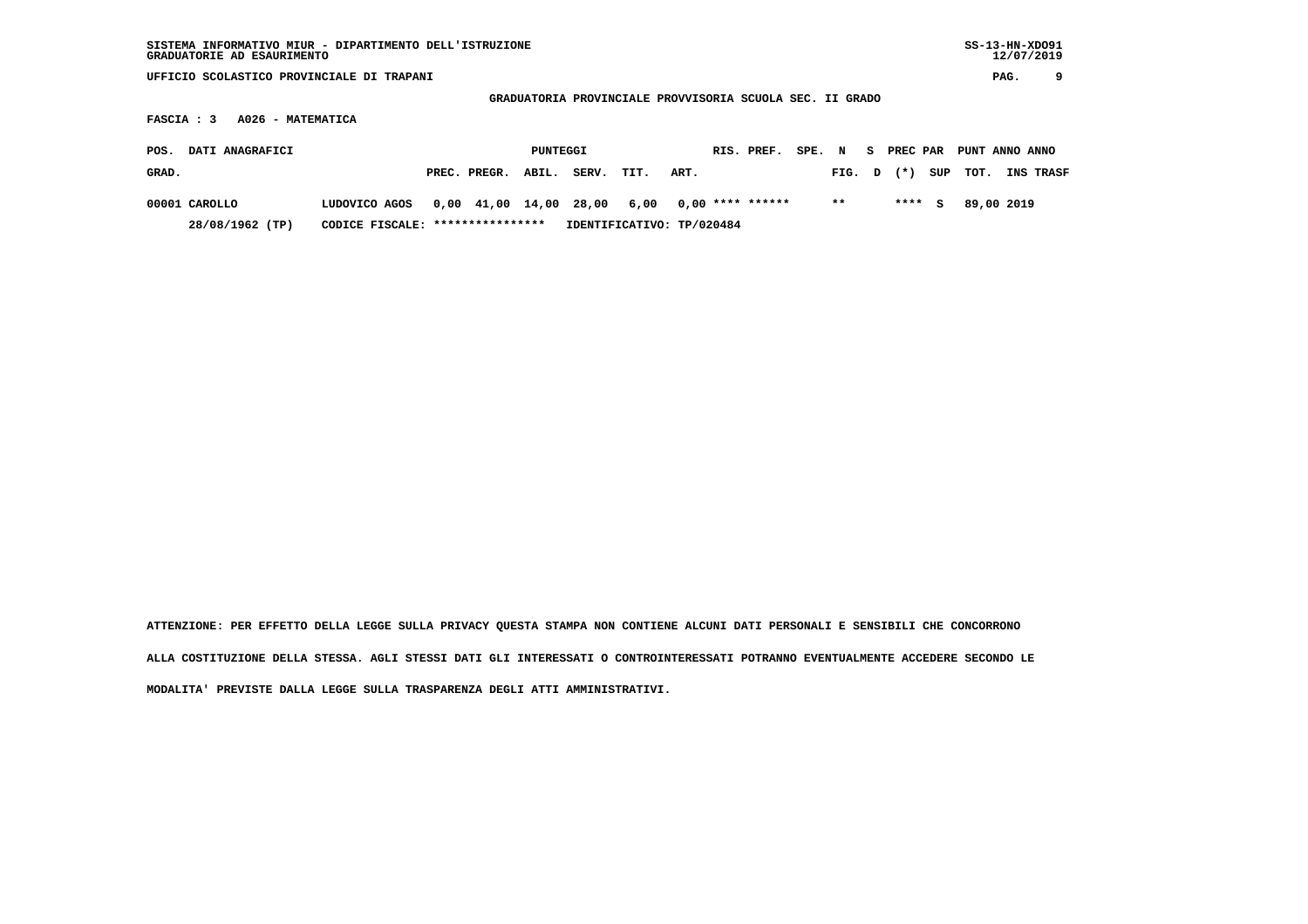| SISTEMA INFORMATIVO MIUR - DIPARTIMENTO DELL'ISTRUZIONE<br>GRADUATORIE AD ESAURIMENTO |                                                                                                    |                           |                      |                         | $SS-13-HN-XDO91$<br>12/07/2019 |  |  |  |  |  |  |  |  |  |  |
|---------------------------------------------------------------------------------------|----------------------------------------------------------------------------------------------------|---------------------------|----------------------|-------------------------|--------------------------------|--|--|--|--|--|--|--|--|--|--|
| UFFICIO SCOLASTICO PROVINCIALE DI TRAPANI                                             |                                                                                                    |                           |                      |                         | 9<br>PAG.                      |  |  |  |  |  |  |  |  |  |  |
|                                                                                       | GRADUATORIA PROVINCIALE PROVVISORIA SCUOLA SEC. II GRADO<br>A026 - MATEMATICA<br><b>FASCIA : 3</b> |                           |                      |                         |                                |  |  |  |  |  |  |  |  |  |  |
|                                                                                       |                                                                                                    |                           |                      |                         |                                |  |  |  |  |  |  |  |  |  |  |
| DATI ANAGRAFICI<br>POS.                                                               | PUNTEGGI                                                                                           |                           | RIS. PREF.<br>SPE. N | PREC PAR<br>S.          | PUNT ANNO ANNO                 |  |  |  |  |  |  |  |  |  |  |
| GRAD.                                                                                 | PREC. PREGR.<br>ABIL.                                                                              | SERV.<br>TIT.             | ART.                 | $(* )$<br>SUP<br>FIG. D | тот.<br>INS TRASF              |  |  |  |  |  |  |  |  |  |  |
| 00001 CAROLLO<br>LUDOVICO AGOS                                                        | 0,00 41,00 14,00 28,00                                                                             | 6,00                      | $0.00$ **** ******   | $***$<br>****<br>s      | 89,00 2019                     |  |  |  |  |  |  |  |  |  |  |
| 28/08/1962 (TP)                                                                       | CODICE FISCALE: *****************                                                                  | IDENTIFICATIVO: TP/020484 |                      |                         |                                |  |  |  |  |  |  |  |  |  |  |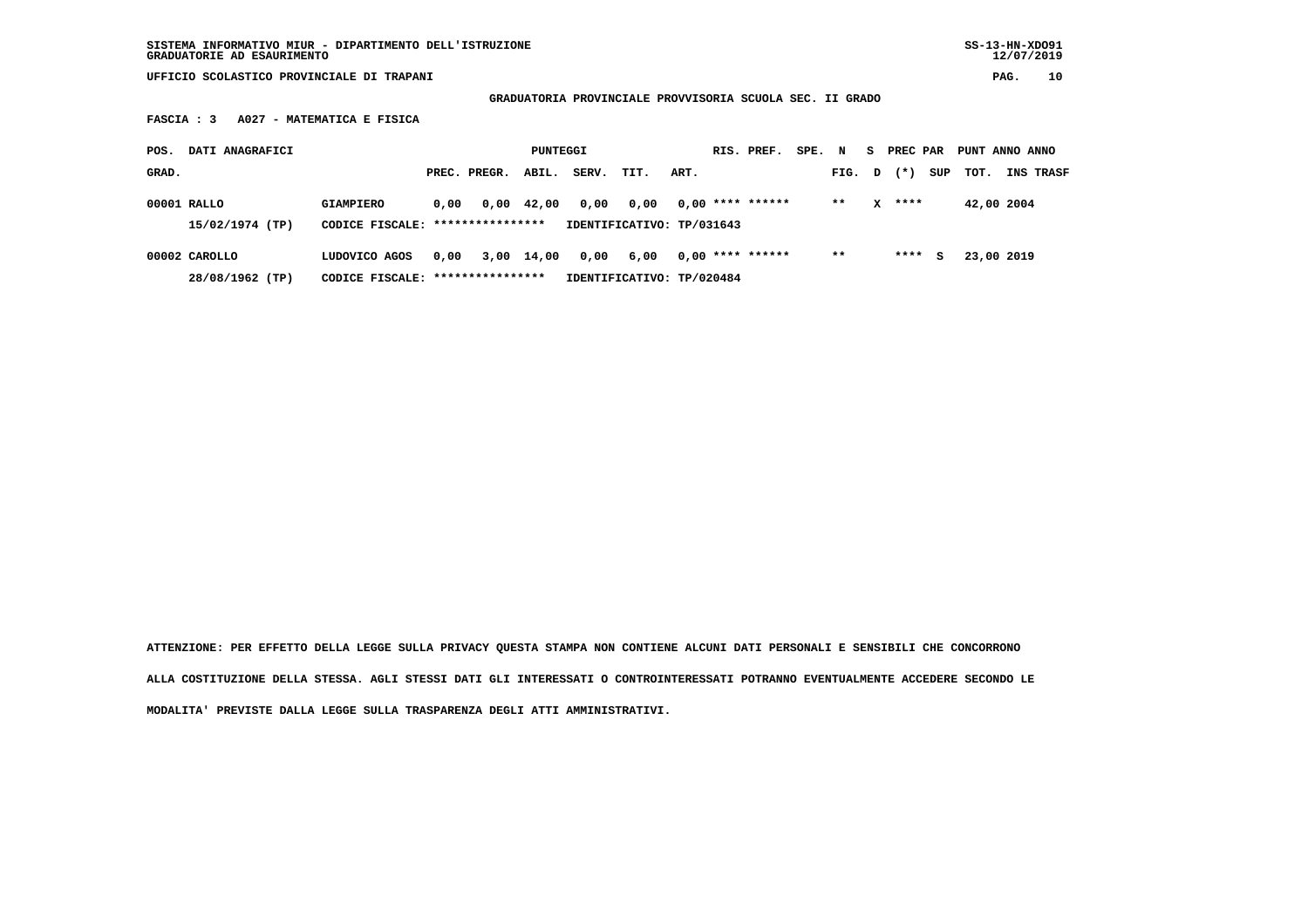**GRADUATORIA PROVINCIALE PROVVISORIA SCUOLA SEC. II GRADO**

 **FASCIA : 3 A027 - MATEMATICA E FISICA**

| POS.          | DATI ANAGRAFICI |                                                      |      |              | PUNTEGGI   |       |                                   |      | RIS. PREF.         | SPE. N |        | S. | PREC PAR |     | PUNT ANNO ANNO |                  |
|---------------|-----------------|------------------------------------------------------|------|--------------|------------|-------|-----------------------------------|------|--------------------|--------|--------|----|----------|-----|----------------|------------------|
| GRAD.         |                 |                                                      |      | PREC. PREGR. | ABIL.      | SERV. | TIT.                              | ART. |                    |        | FIG. D |    | $(* )$   | SUP | TOT.           | <b>INS TRASF</b> |
| 00001 RALLO   | 15/02/1974 (TP) | <b>GIAMPIERO</b><br>CODICE FISCALE: **************** | 0.00 |              | 0,00 42,00 | 0,00  | 0.00<br>IDENTIFICATIVO: TP/031643 |      | $0,00$ **** ****** |        | $**$   | x  | ****     |     | 42,00 2004     |                  |
| 00002 CAROLLO | 28/08/1962 (TP) | LUDOVICO AGOS<br>CODICE FISCALE: *****************   | 0.00 |              | 3,00 14,00 | 0,00  | 6,00<br>IDENTIFICATIVO: TP/020484 |      | $0.00$ **** ****** |        | $* *$  |    | ****     | s   | 23,00 2019     |                  |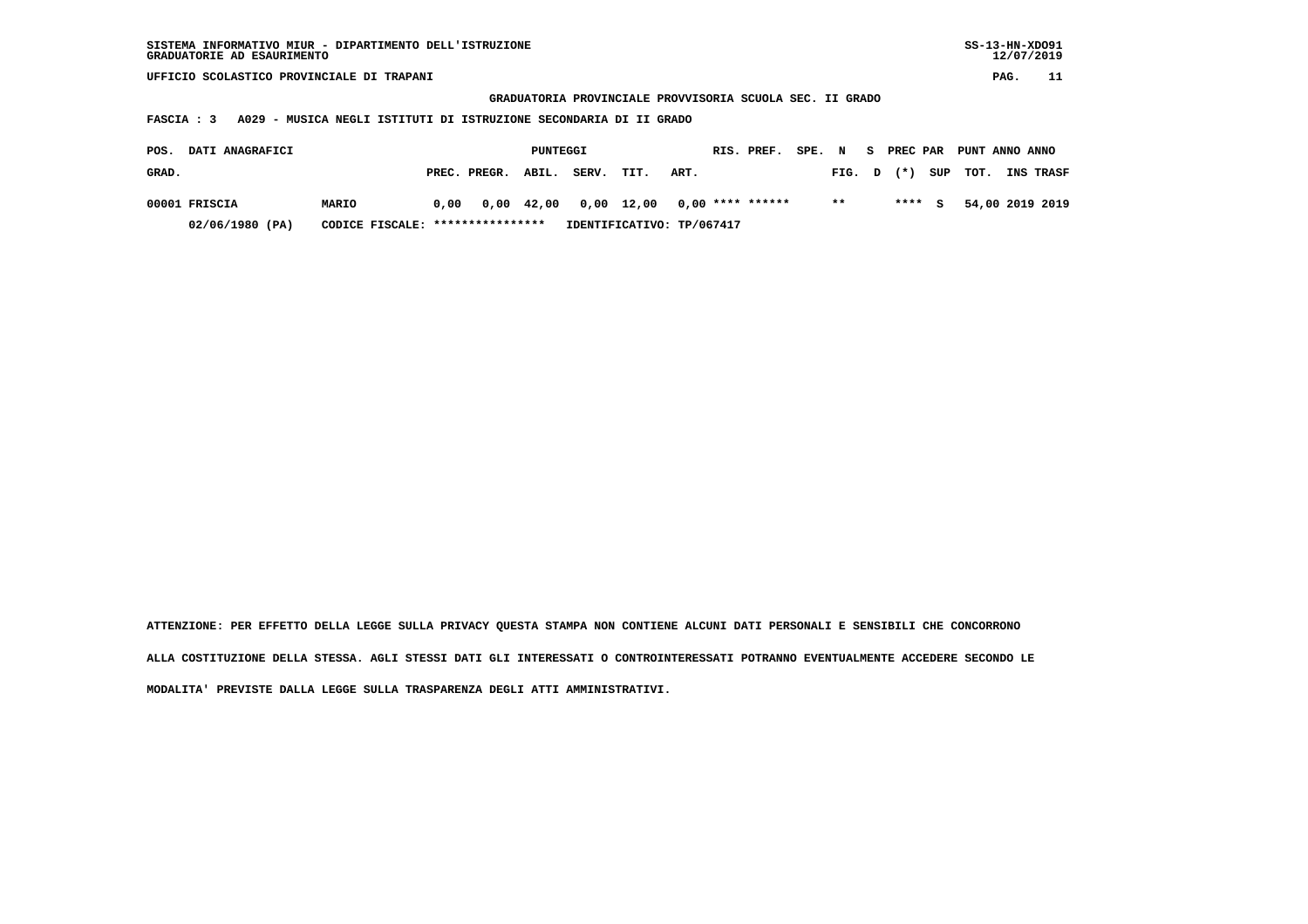| SISTEMA INFORMATIVO MIUR - DIPARTIMENTO DELL'ISTRUZIONE | SS-13-HN-XD091 |
|---------------------------------------------------------|----------------|
| GRADUATORIE AD ESAURIMENTO                              | 12/07/2019     |

 **GRADUATORIA PROVINCIALE PROVVISORIA SCUOLA SEC. II GRADO**

 **FASCIA : 3 A029 - MUSICA NEGLI ISTITUTI DI ISTRUZIONE SECONDARIA DI II GRADO**

| POS.  | <b>DATI ANAGRAFICI</b> |                                  |      |                    | PUNTEGGI |       |                                        |      | RIS. PREF. | SPE. N |        |  |        | S PREC PAR PUNT ANNO ANNO |                  |
|-------|------------------------|----------------------------------|------|--------------------|----------|-------|----------------------------------------|------|------------|--------|--------|--|--------|---------------------------|------------------|
| GRAD. |                        |                                  |      | PREC. PREGR. ABIL. |          | SERV. | TIT.                                   | ART. |            |        | FIG. D |  |        | $(*)$ SUP TOT.            | <b>INS TRASF</b> |
|       | 00001 FRISCIA          | <b>MARIO</b>                     | 0.00 |                    |          |       | 0,00 42,00 0,00 12,00 0,00 **** ****** |      |            |        | $* *$  |  | $***5$ |                           | 54,00 2019 2019  |
|       | 02/06/1980 (PA)        | CODICE FISCALE: **************** |      |                    |          |       | IDENTIFICATIVO: TP/067417              |      |            |        |        |  |        |                           |                  |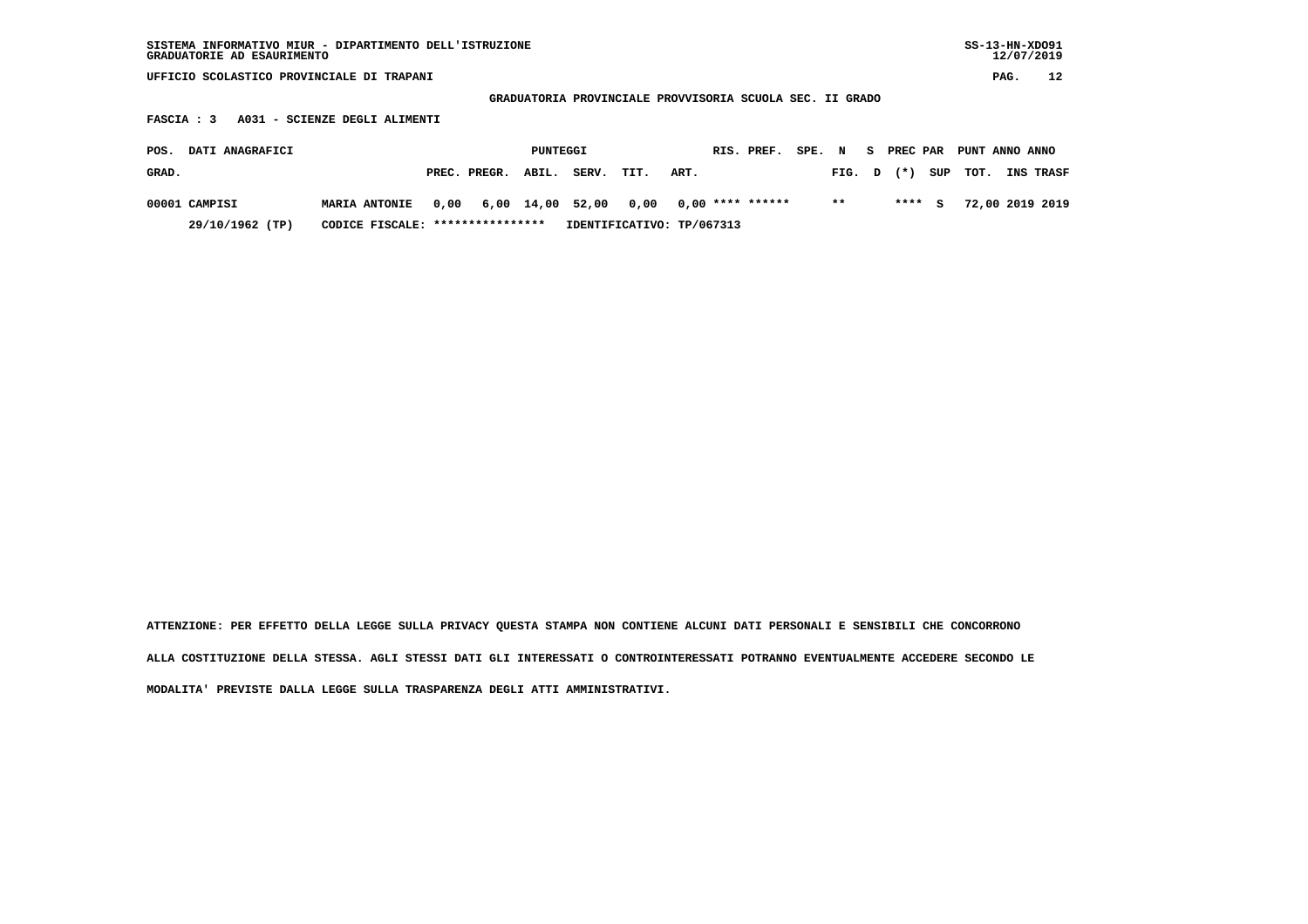| SISTEMA INFORMATIVO MIUR - DIPARTIMENTO DELL'ISTRUZIONE<br>GRADUATORIE AD ESAURIMENTO |                                   |                           |                                                          |                         | $SS-13-HN-XDO91$<br>12/07/2019 |
|---------------------------------------------------------------------------------------|-----------------------------------|---------------------------|----------------------------------------------------------|-------------------------|--------------------------------|
| UFFICIO SCOLASTICO PROVINCIALE DI TRAPANI                                             |                                   |                           |                                                          |                         | 12<br>PAG.                     |
|                                                                                       |                                   |                           | GRADUATORIA PROVINCIALE PROVVISORIA SCUOLA SEC. II GRADO |                         |                                |
| A031 - SCIENZE DEGLI ALIMENTI<br>FASCIA : 3                                           |                                   |                           |                                                          |                         |                                |
| DATI ANAGRAFICI<br>POS.                                                               |                                   | PUNTEGGI                  | RIS. PREF.<br>SPE. N                                     | PREC PAR<br>S.          | PUNT ANNO ANNO                 |
| GRAD.                                                                                 | ABIL.<br>PREC. PREGR.             | SERV.<br>TIT.             | ART.                                                     | SUP<br>$(* )$<br>FIG. D | TOT.<br>INS TRASF              |
| 00001 CAMPISI<br><b>MARIA ANTONIE</b>                                                 | 6,00 14,00 52,00<br>0,00          | 0,00                      | $0.00$ **** ******                                       | $***$<br>****<br>S.     | 72,00 2019 2019                |
| 29/10/1962 (TP)                                                                       | CODICE FISCALE: ***************** | IDENTIFICATIVO: TP/067313 |                                                          |                         |                                |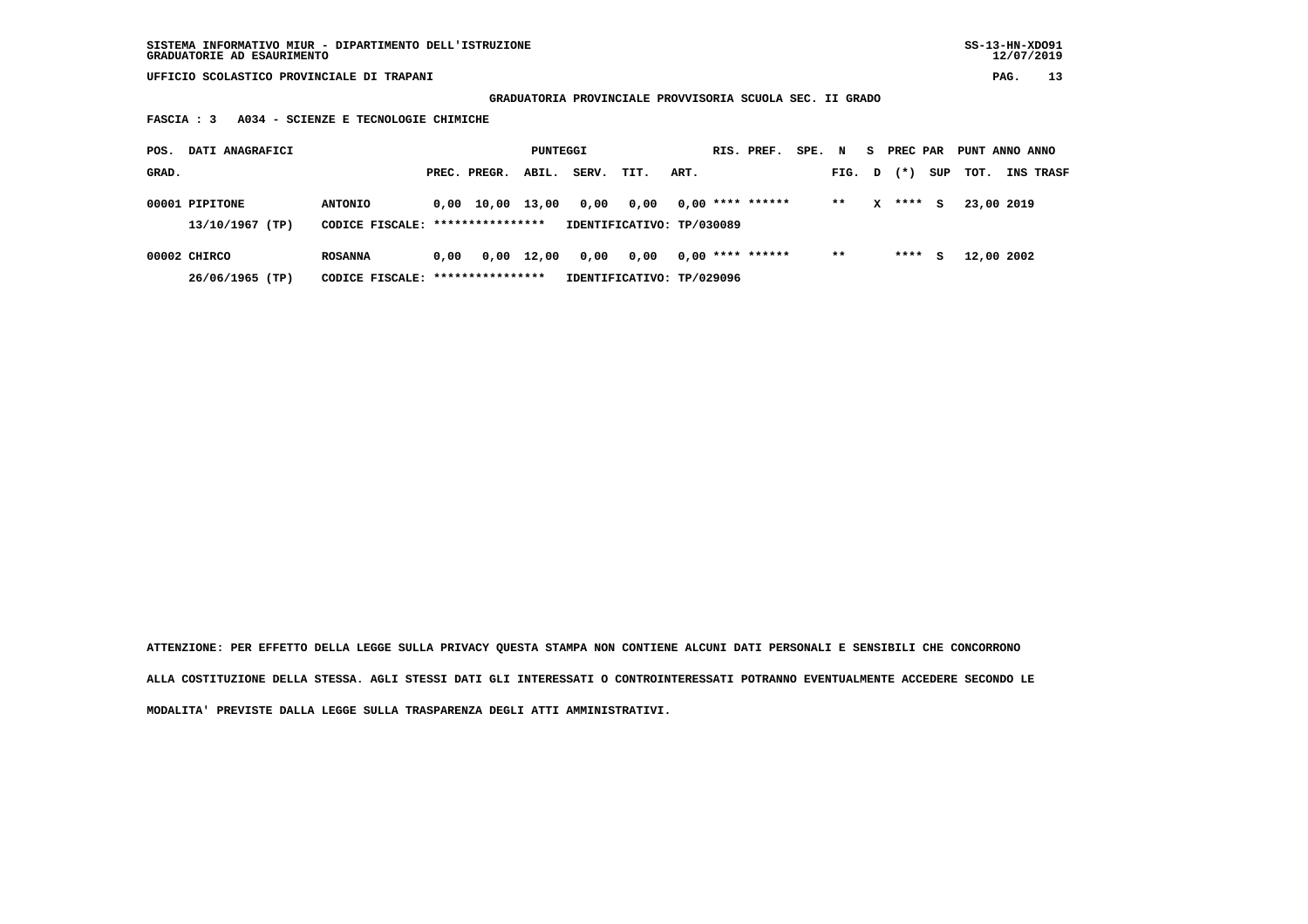**GRADUATORIA PROVINCIALE PROVVISORIA SCUOLA SEC. II GRADO**

 **FASCIA : 3 A034 - SCIENZE E TECNOLOGIE CHIMICHE**

| POS.  | DATI ANAGRAFICI |                                  |      |                  | PUNTEGGI   |       |                           |      | RIS. PREF.         | SPE. | N     | S. | PREC PAR |     | PUNT ANNO ANNO |           |
|-------|-----------------|----------------------------------|------|------------------|------------|-------|---------------------------|------|--------------------|------|-------|----|----------|-----|----------------|-----------|
| GRAD. |                 |                                  |      | PREC. PREGR.     | ABIL.      | SERV. | TIT.                      | ART. |                    |      | FIG.  | D  | $(*)$    | SUP | TOT.           | INS TRASF |
|       | 00001 PIPITONE  | <b>ANTONIO</b>                   |      | 0,00 10,00 13,00 |            | 0,00  | 0.00                      |      | $0.00$ **** ****** |      | $* *$ | x  | ****     | s   | 23,00 2019     |           |
|       | 13/10/1967 (TP) | CODICE FISCALE: **************** |      |                  |            |       | IDENTIFICATIVO: TP/030089 |      |                    |      |       |    |          |     |                |           |
|       | 00002 CHIRCO    | <b>ROSANNA</b>                   | 0.00 |                  | 0,00 12,00 | 0,00  | 0,00                      |      | $0.00$ **** ****** |      | $* *$ |    | ****     | s   | 12,00 2002     |           |
|       | 26/06/1965 (TP) | CODICE FISCALE:                  |      | **************** |            |       | IDENTIFICATIVO: TP/029096 |      |                    |      |       |    |          |     |                |           |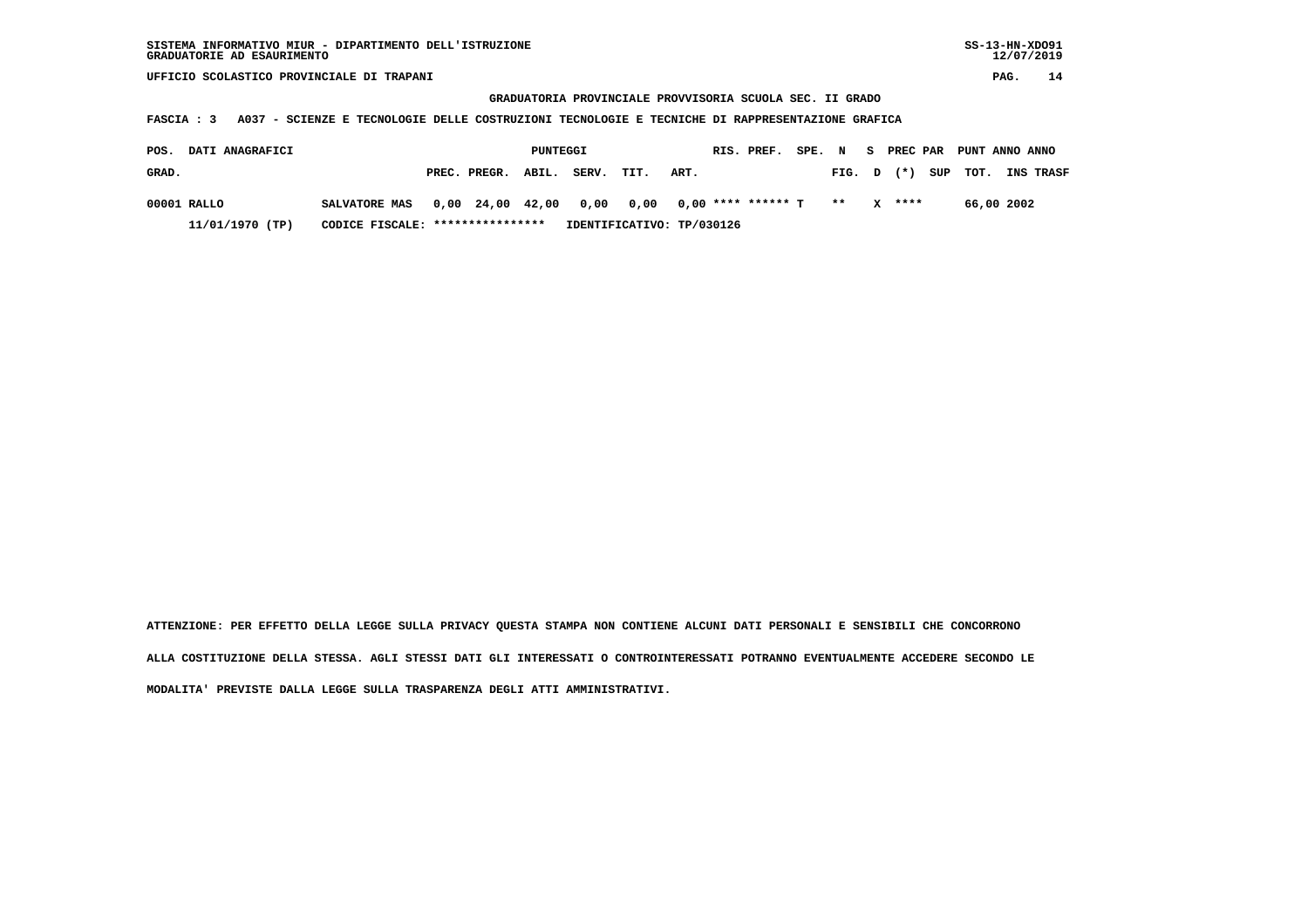## **GRADUATORIA PROVINCIALE PROVVISORIA SCUOLA SEC. II GRADO**

 **FASCIA : 3 A037 - SCIENZE E TECNOLOGIE DELLE COSTRUZIONI TECNOLOGIE E TECNICHE DI RAPPRESENTAZIONE GRAFICA**

| POS.  | <b>DATI ANAGRAFICI</b> |                                  |                    | PUNTEGGI |       |      |                                               | RIS. PREF. | SPE. N |              | - S |          |          |            | PREC PAR PUNT ANNO ANNO |
|-------|------------------------|----------------------------------|--------------------|----------|-------|------|-----------------------------------------------|------------|--------|--------------|-----|----------|----------|------------|-------------------------|
| GRAD. |                        |                                  | PREC. PREGR. ABIL. |          | SERV. | TIT. | ART.                                          |            |        | $FIG. D (*)$ |     |          | SUP TOT. |            | <b>INS TRASF</b>        |
|       | 00001 RALLO            | <b>SALVATORE MAS</b>             |                    |          |       |      | 0,00 24,00 42,00 0,00 0,00 0,00 **** ****** T |            |        | $* *$        |     | $X$ **** |          | 66,00 2002 |                         |
|       | 11/01/1970 (TP)        | CODICE FISCALE: **************** |                    |          |       |      | IDENTIFICATIVO: TP/030126                     |            |        |              |     |          |          |            |                         |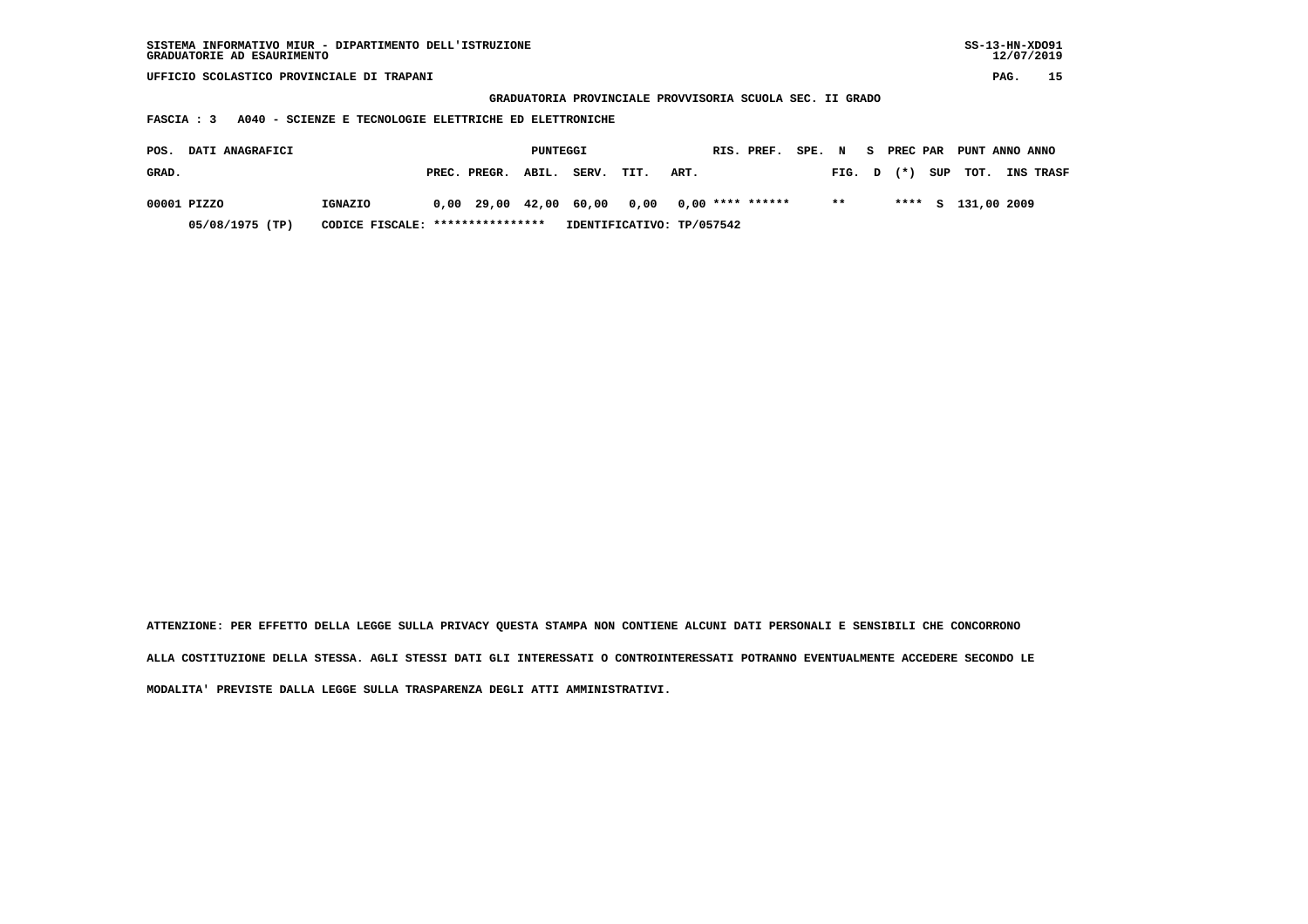| SISTEMA INFORMATIVO MIUR - DIPARTIMENTO DELL'ISTRUZIONE<br>GRADUATORIE AD ESAURIMENTO |                                                        |                    |          |                                                          |                           |                    |            |        |       |    |          |     | $SS-13-HN-XDO91$ | 12/07/2019 |           |
|---------------------------------------------------------------------------------------|--------------------------------------------------------|--------------------|----------|----------------------------------------------------------|---------------------------|--------------------|------------|--------|-------|----|----------|-----|------------------|------------|-----------|
| UFFICIO SCOLASTICO PROVINCIALE DI TRAPANI                                             |                                                        |                    |          |                                                          |                           |                    |            |        |       |    |          |     |                  | PAG.       | 15        |
|                                                                                       |                                                        |                    |          | GRADUATORIA PROVINCIALE PROVVISORIA SCUOLA SEC. II GRADO |                           |                    |            |        |       |    |          |     |                  |            |           |
| FASCIA : 3                                                                            | A040 - SCIENZE E TECNOLOGIE ELETTRICHE ED ELETTRONICHE |                    |          |                                                          |                           |                    |            |        |       |    |          |     |                  |            |           |
|                                                                                       |                                                        |                    |          |                                                          |                           |                    |            |        |       |    |          |     |                  |            |           |
| DATI ANAGRAFICI<br>POS.                                                               |                                                        |                    | PUNTEGGI |                                                          |                           |                    | RIS. PREF. | SPE. N |       | S. | PREC PAR |     | PUNT ANNO ANNO   |            |           |
| GRAD.                                                                                 |                                                        | PREC. PREGR.       | ABIL.    | SERV.                                                    | TIT.                      | ART.               |            |        | FIG.  | D  | $(* )$   | SUP | TOT.             |            | INS TRASF |
| 00001 PIZZO                                                                           | IGNAZIO                                                | $0,00$ 29,00 42,00 |          | 60,00                                                    | 0,00                      | $0.00$ **** ****** |            |        | $* *$ |    | ****     | S.  | 131,00 2009      |            |           |
| 05/08/1975 (TP)                                                                       | CODICE FISCALE:                                        | ****************   |          |                                                          | IDENTIFICATIVO: TP/057542 |                    |            |        |       |    |          |     |                  |            |           |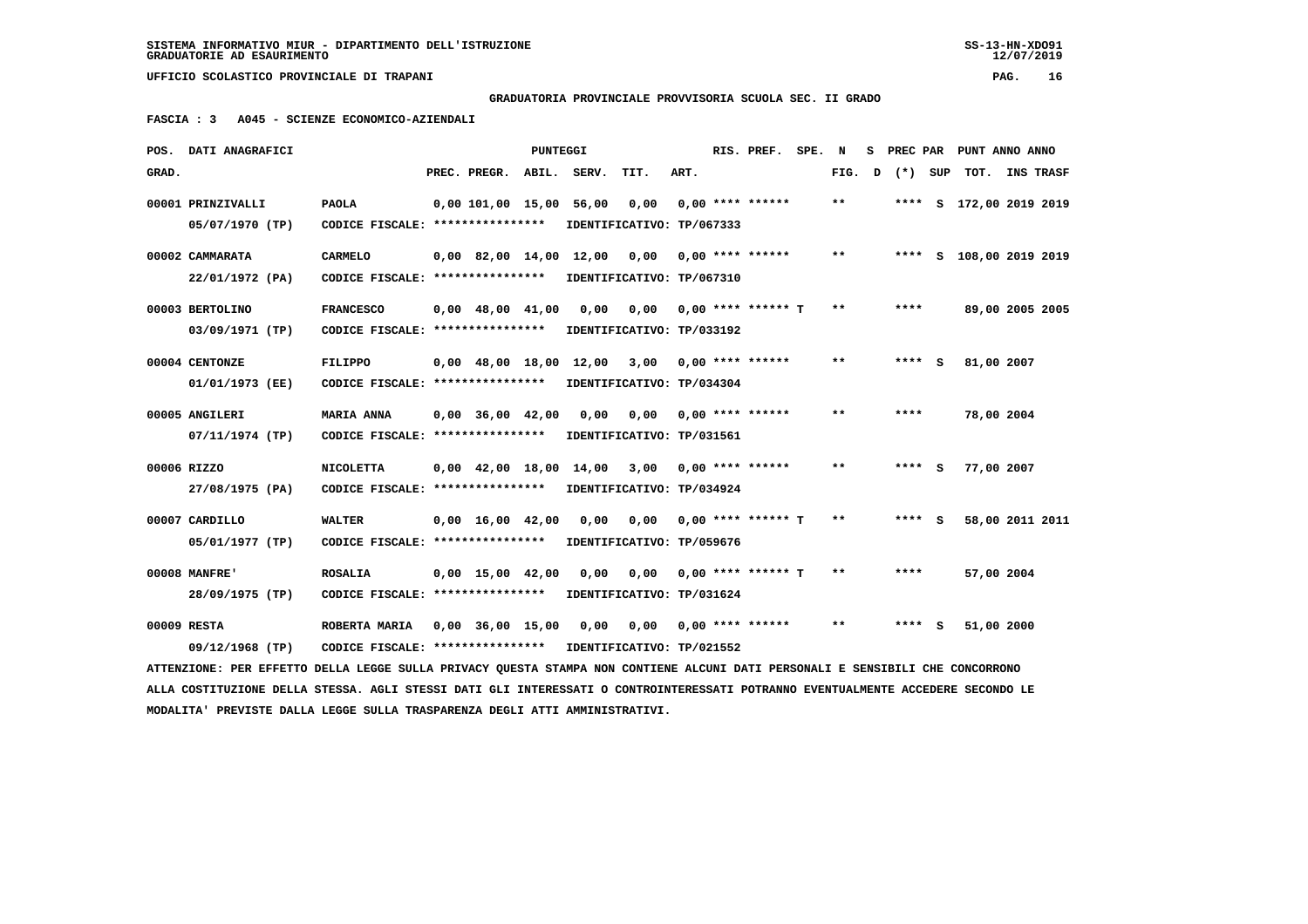**GRADUATORIA PROVINCIALE PROVVISORIA SCUOLA SEC. II GRADO**

 **FASCIA : 3 A045 - SCIENZE ECONOMICO-AZIENDALI**

| POS.  | DATI ANAGRAFICI                                                                                                                 |                                                      |                                            | PUNTEGGI |       |                                   |      | RIS. PREF.           | SPE. | N     | s |           |     | PREC PAR PUNT ANNO ANNO |           |
|-------|---------------------------------------------------------------------------------------------------------------------------------|------------------------------------------------------|--------------------------------------------|----------|-------|-----------------------------------|------|----------------------|------|-------|---|-----------|-----|-------------------------|-----------|
| GRAD. |                                                                                                                                 |                                                      | PREC. PREGR.                               | ABIL.    | SERV. | TIT.                              | ART. |                      |      | FIG.  | D | $(*)$ SUP |     | TOT.                    | INS TRASF |
|       | 00001 PRINZIVALLI<br>05/07/1970 (TP)                                                                                            | <b>PAOLA</b><br>CODICE FISCALE: ****************     | 0,00 101,00 15,00                          |          | 56,00 | 0,00<br>IDENTIFICATIVO: TP/067333 |      | $0,00$ **** ******   |      | **    |   |           |     | **** S 172,00 2019 2019 |           |
|       | 00002 CAMMARATA                                                                                                                 | <b>CARMELO</b>                                       | $0.00 \quad 82.00 \quad 14.00 \quad 12.00$ |          |       | 0,00                              |      | $0.00$ **** ******   |      | $***$ |   |           |     | **** S 108,00 2019 2019 |           |
|       | 22/01/1972 (PA)<br>00003 BERTOLINO                                                                                              | CODICE FISCALE: ****************<br><b>FRANCESCO</b> | $0,00 \quad 48,00 \quad 41,00$             |          | 0,00  | IDENTIFICATIVO: TP/067310<br>0,00 |      | $0,00$ **** ****** T |      | **    |   | ****      |     | 89,00 2005 2005         |           |
|       | 03/09/1971 (TP)                                                                                                                 | CODICE FISCALE: ****************                     |                                            |          |       | IDENTIFICATIVO: TP/033192         |      |                      |      |       |   |           |     |                         |           |
|       | 00004 CENTONZE                                                                                                                  | <b>FILIPPO</b>                                       | $0.00 \quad 48.00 \quad 18.00 \quad 12.00$ |          |       | 3,00                              |      | $0.00$ **** ******   |      | $* *$ |   | ****      | - S | 81,00 2007              |           |
|       | 01/01/1973 (EE)                                                                                                                 | CODICE FISCALE: *****************                    |                                            |          |       | IDENTIFICATIVO: TP/034304         |      |                      |      |       |   |           |     |                         |           |
|       | 00005 ANGILERI                                                                                                                  | <b>MARIA ANNA</b>                                    | $0,00$ $36,00$ $42,00$                     |          | 0,00  | 0,00                              |      | $0.00$ **** ******   |      | $* *$ |   | ****      |     | 78,00 2004              |           |
|       | 07/11/1974 (TP)                                                                                                                 | CODICE FISCALE: ****************                     |                                            |          |       | IDENTIFICATIVO: TP/031561         |      |                      |      |       |   |           |     |                         |           |
|       | 00006 RIZZO                                                                                                                     | <b>NICOLETTA</b>                                     | $0,00 \quad 42,00 \quad 18,00$             |          | 14,00 | 3,00                              |      | $0.00$ **** ******   |      | $* *$ |   | $***$ S   |     | 77,00 2007              |           |
|       | 27/08/1975 (PA)                                                                                                                 | CODICE FISCALE: ****************                     |                                            |          |       | IDENTIFICATIVO: TP/034924         |      |                      |      |       |   |           |     |                         |           |
|       | 00007 CARDILLO                                                                                                                  | WALTER                                               | $0.00 \quad 16.00 \quad 42.00$             |          | 0.00  | 0.00                              |      | $0.00$ **** ****** T |      | $* *$ |   | **** S    |     | 58,00 2011 2011         |           |
|       | 05/01/1977 (TP)                                                                                                                 | CODICE FISCALE: ****************                     |                                            |          |       | IDENTIFICATIVO: TP/059676         |      |                      |      |       |   |           |     |                         |           |
|       | 00008 MANFRE'                                                                                                                   | <b>ROSALIA</b>                                       | $0,00 \quad 15,00 \quad 42,00$             |          | 0,00  | 0,00                              |      | $0.00$ **** ****** T |      | $**$  |   | ****      |     | 57,00 2004              |           |
|       | 28/09/1975 (TP)                                                                                                                 | CODICE FISCALE: ****************                     |                                            |          |       | IDENTIFICATIVO: TP/031624         |      |                      |      |       |   |           |     |                         |           |
|       | 00009 RESTA                                                                                                                     | ROBERTA MARIA                                        | $0,00$ $36,00$ $15,00$                     |          | 0,00  | 0,00                              |      | $0.00$ **** ******   |      | $**$  |   | **** S    |     | 51,00 2000              |           |
|       | 09/12/1968 (TP)                                                                                                                 | CODICE FISCALE: *****************                    |                                            |          |       | IDENTIFICATIVO: TP/021552         |      |                      |      |       |   |           |     |                         |           |
|       | ATTENZIONE: PER EFFETTO DELLA LEGGE SULLA PRIVACY QUESTA STAMPA NON CONTIENE ALCUNI DATI PERSONALI E SENSIBILI CHE CONCORRONO   |                                                      |                                            |          |       |                                   |      |                      |      |       |   |           |     |                         |           |
|       | ALLA COSTITUZIONE DELLA STESSA. AGLI STESSI DATI GLI INTERESSATI O CONTROINTERESSATI POTRANNO EVENTUALMENTE ACCEDERE SECONDO LE |                                                      |                                            |          |       |                                   |      |                      |      |       |   |           |     |                         |           |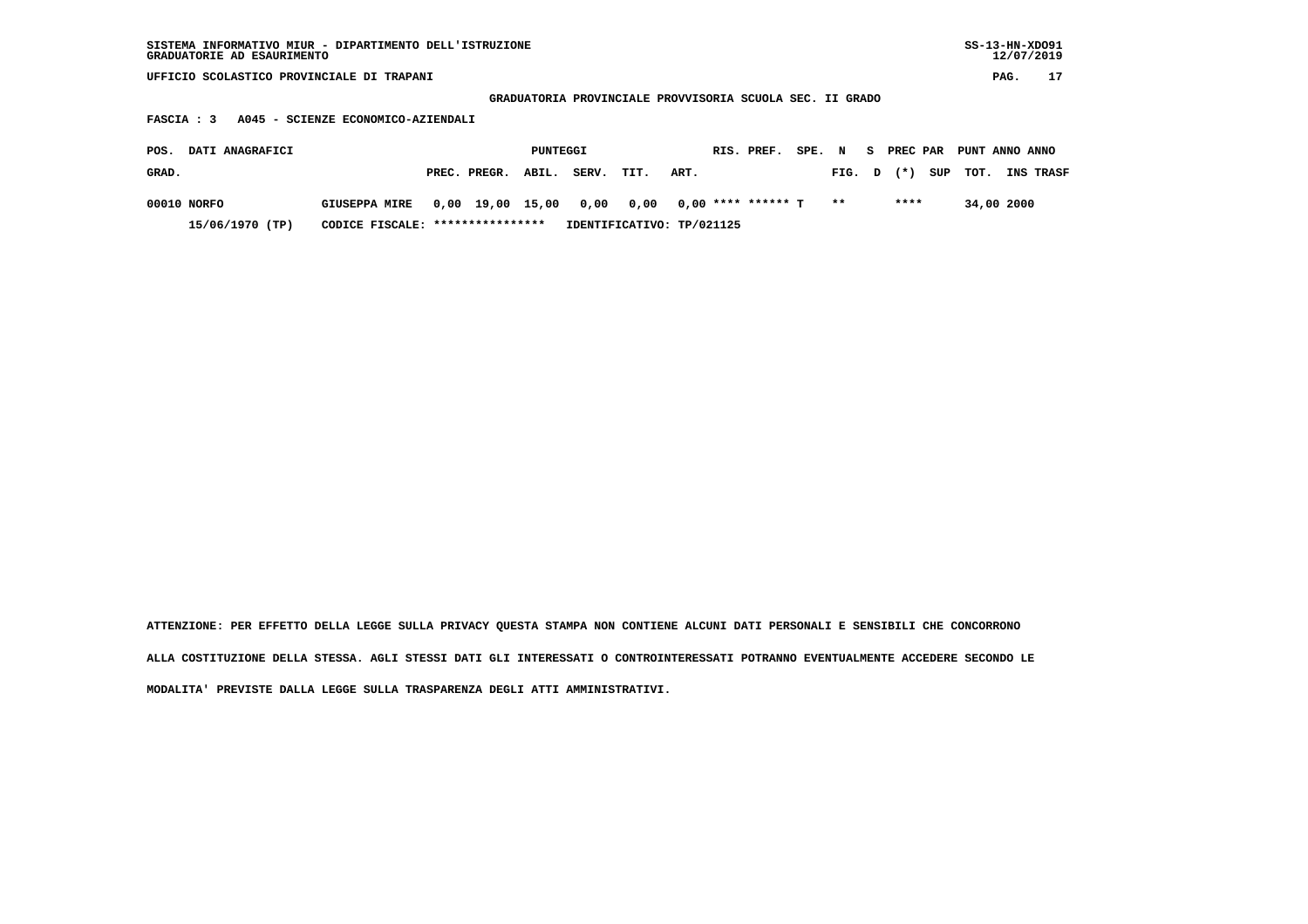| SISTEMA INFORMATIVO MIUR - DIPARTIMENTO DELL'ISTRUZIONE<br>GRADUATORIE AD ESAURIMENTO |                                    |                  |          |       |                                                          |      |                      |        |        |            |     |                |            | $SS-13-HN-XDO91$<br>12/07/2019 |
|---------------------------------------------------------------------------------------|------------------------------------|------------------|----------|-------|----------------------------------------------------------|------|----------------------|--------|--------|------------|-----|----------------|------------|--------------------------------|
| UFFICIO SCOLASTICO PROVINCIALE DI TRAPANI                                             |                                    |                  |          |       |                                                          |      |                      |        |        |            |     |                | PAG.       | 17                             |
|                                                                                       |                                    |                  |          |       | GRADUATORIA PROVINCIALE PROVVISORIA SCUOLA SEC. II GRADO |      |                      |        |        |            |     |                |            |                                |
| FASCIA : 3                                                                            | A045 - SCIENZE ECONOMICO-AZIENDALI |                  |          |       |                                                          |      |                      |        |        |            |     |                |            |                                |
| DATI ANAGRAFICI<br>POS.                                                               |                                    |                  | PUNTEGGI |       |                                                          |      | RIS. PREF.           | SPE. N |        | S PREC PAR |     | PUNT ANNO ANNO |            |                                |
| GRAD.                                                                                 |                                    | PREC. PREGR.     | ABIL.    | SERV. | TIT.                                                     | ART. |                      |        | FIG. D | $(* )$     | SUP | TOT.           |            | INS TRASF                      |
| 00010 NORFO                                                                           | <b>GIUSEPPA MIRE</b>               | 0,00 19,00 15,00 |          | 0,00  | 0,00                                                     |      | $0.00$ **** ****** T |        | $* *$  | ****       |     |                | 34,00 2000 |                                |
| 15/06/1970 (TP)                                                                       | CODICE FISCALE: *****************  |                  |          |       | IDENTIFICATIVO: TP/021125                                |      |                      |        |        |            |     |                |            |                                |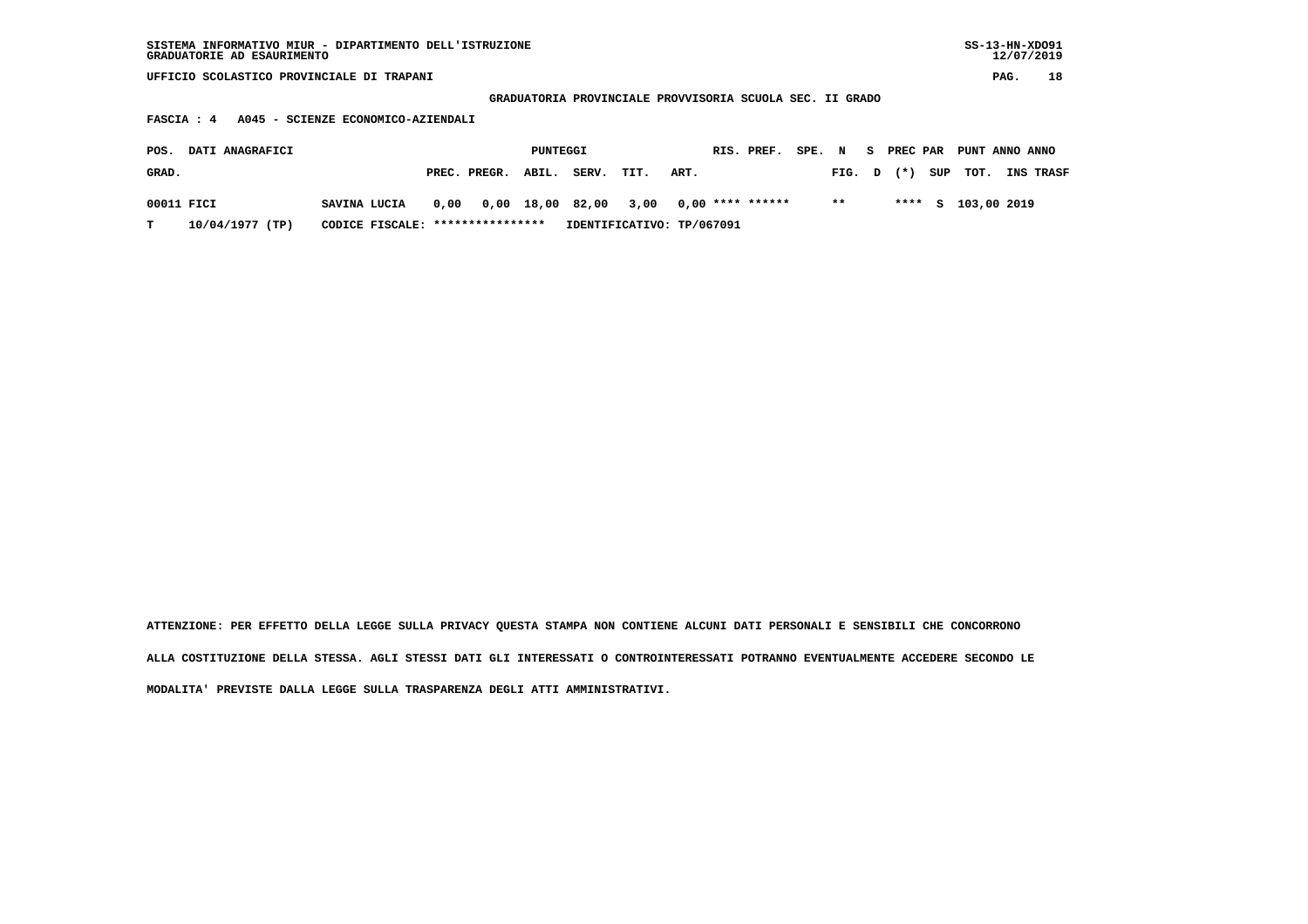| SISTEMA INFORMATIVO MIUR - DIPARTIMENTO DELL'ISTRUZIONE<br>GRADUATORIE AD ESAURIMENTO |                                    |      |              |          |                                                          |      |      |                    |        |        |    |          |     |                |      | $SS-13-HN-XDO91$<br>12/07/2019 |
|---------------------------------------------------------------------------------------|------------------------------------|------|--------------|----------|----------------------------------------------------------|------|------|--------------------|--------|--------|----|----------|-----|----------------|------|--------------------------------|
| UFFICIO SCOLASTICO PROVINCIALE DI TRAPANI                                             |                                    |      |              |          |                                                          |      |      |                    |        |        |    |          |     |                | PAG. | 18                             |
|                                                                                       |                                    |      |              |          | GRADUATORIA PROVINCIALE PROVVISORIA SCUOLA SEC. II GRADO |      |      |                    |        |        |    |          |     |                |      |                                |
| FASCIA : 4                                                                            | A045 - SCIENZE ECONOMICO-AZIENDALI |      |              |          |                                                          |      |      |                    |        |        |    |          |     |                |      |                                |
| DATI ANAGRAFICI<br>POS.                                                               |                                    |      |              | PUNTEGGI |                                                          |      |      | RIS. PREF.         | SPE. N |        | S. | PREC PAR |     | PUNT ANNO ANNO |      |                                |
| GRAD.                                                                                 |                                    |      | PREC. PREGR. | ABIL.    | SERV.                                                    | TIT. | ART. |                    |        | FIG. D |    | $(*)$    | SUP | TOT.           |      | <b>INS TRASF</b>               |
| 00011 FICI                                                                            | SAVINA LUCIA                       | 0,00 | 0,00         | 18,00    | 82,00                                                    | 3,00 |      | $0.00$ **** ****** |        | $**$   |    | ****     | s   | 103,00 2019    |      |                                |

 **T 10/04/1977 (TP) CODICE FISCALE: \*\*\*\*\*\*\*\*\*\*\*\*\*\*\*\* IDENTIFICATIVO: TP/067091**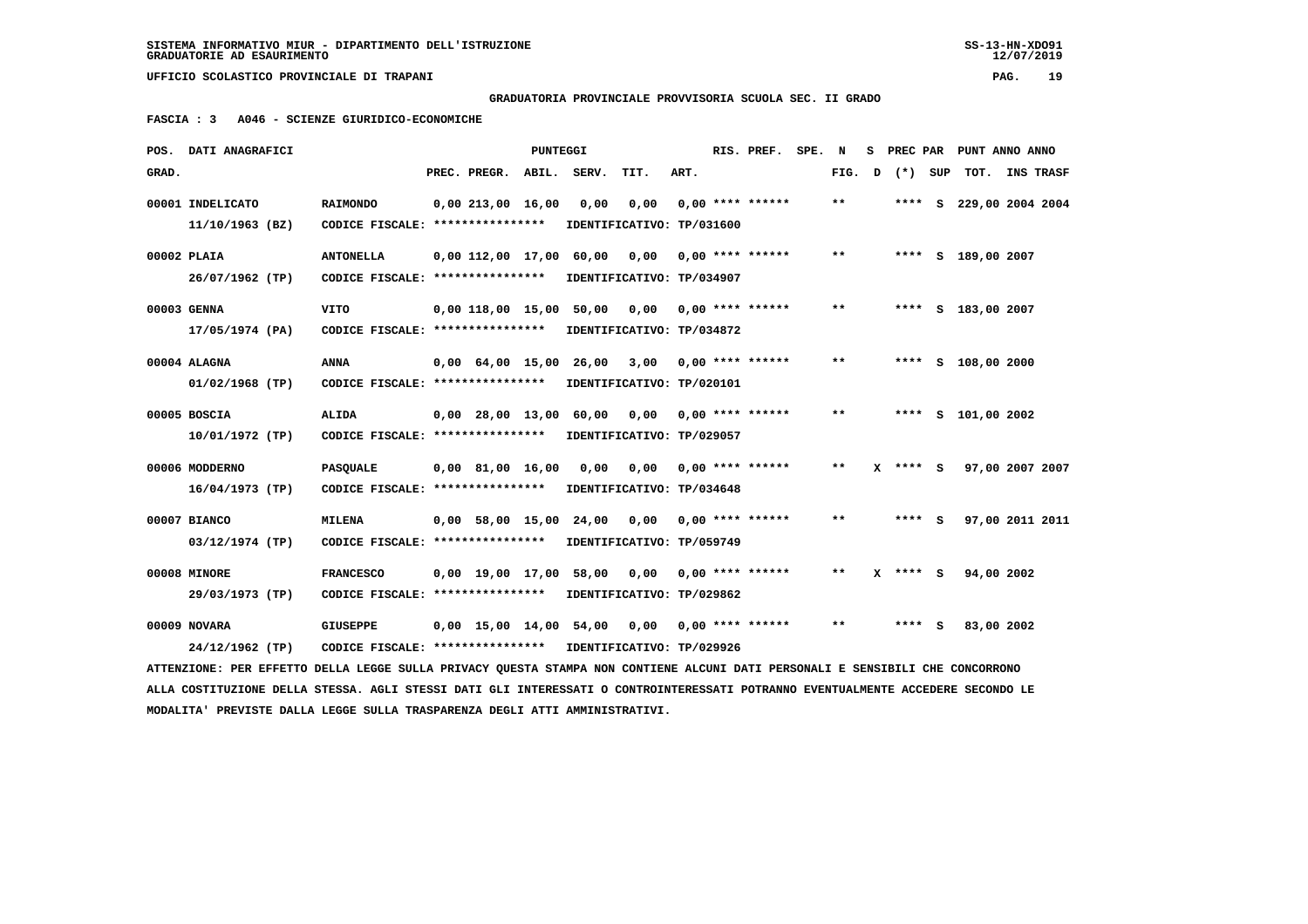**GRADUATORIA PROVINCIALE PROVVISORIA SCUOLA SEC. II GRADO**

 **FASCIA : 3 A046 - SCIENZE GIURIDICO-ECONOMICHE**

|       | POS. DATI ANAGRAFICI                                                                                                            |                                   |                                | <b>PUNTEGGI</b> |                                                 |                           |      | RIS. PREF.                | SPE. N |       | s | PREC PAR   | PUNT ANNO ANNO          |           |
|-------|---------------------------------------------------------------------------------------------------------------------------------|-----------------------------------|--------------------------------|-----------------|-------------------------------------------------|---------------------------|------|---------------------------|--------|-------|---|------------|-------------------------|-----------|
| GRAD. |                                                                                                                                 |                                   | PREC. PREGR. ABIL. SERV.       |                 |                                                 | TIT.                      | ART. |                           |        | FIG.  | D | (*) SUP    | TOT.                    | INS TRASF |
|       | 00001 INDELICATO                                                                                                                | <b>RAIMONDO</b>                   | 0,00213,0016,00                |                 | 0,00                                            | 0,00                      |      | $0.00$ **** ******        |        | $* *$ |   |            | **** S 229,00 2004 2004 |           |
|       | 11/10/1963 (BZ)                                                                                                                 | CODICE FISCALE: ****************  |                                |                 |                                                 | IDENTIFICATIVO: TP/031600 |      |                           |        |       |   |            |                         |           |
|       | 00002 PLAIA                                                                                                                     | <b>ANTONELLA</b>                  | 0,00 112,00 17,00 60,00        |                 |                                                 | 0,00                      |      | $0.00$ **** ******        |        | $***$ |   |            | **** S 189,00 2007      |           |
|       | 26/07/1962 (TP)                                                                                                                 | CODICE FISCALE: ***************** |                                |                 |                                                 | IDENTIFICATIVO: TP/034907 |      |                           |        |       |   |            |                         |           |
|       | 00003 GENNA                                                                                                                     | <b>VITO</b>                       |                                |                 | $0,00$ 118,00 15,00 50,00 0,00 0,00 **** ****** |                           |      |                           |        | **    |   |            | **** S 183,00 2007      |           |
|       | 17/05/1974 (PA)                                                                                                                 | CODICE FISCALE: ****************  |                                |                 |                                                 | IDENTIFICATIVO: TP/034872 |      |                           |        |       |   |            |                         |           |
|       | 00004 ALAGNA                                                                                                                    | <b>ANNA</b>                       | $0.00 \quad 64.00 \quad 15.00$ |                 | 26,00                                           | 3,00                      |      | $0.00$ **** ******        |        | $***$ |   |            | **** S 108,00 2000      |           |
|       | $01/02/1968$ (TP)                                                                                                               | CODICE FISCALE: ****************  |                                |                 |                                                 | IDENTIFICATIVO: TP/020101 |      |                           |        |       |   |            |                         |           |
|       | 00005 BOSCIA                                                                                                                    | ALIDA                             |                                |                 | $0,00$ 28,00 13,00 60,00 0,00 0,00 **** ******  |                           |      |                           |        | **    |   |            | **** S 101,00 2002      |           |
|       | 10/01/1972 (TP)                                                                                                                 | CODICE FISCALE: ****************  |                                |                 |                                                 | IDENTIFICATIVO: TP/029057 |      |                           |        |       |   |            |                         |           |
|       | 00006 MODDERNO                                                                                                                  | <b>PASQUALE</b>                   | $0,00$ 81,00 16,00             |                 | 0,00                                            | 0,00                      |      | $0.00$ **** ******        |        | $***$ |   | **** S     | 97,00 2007 2007         |           |
|       | $16/04/1973$ (TP)                                                                                                               | CODICE FISCALE: ****************  |                                |                 |                                                 | IDENTIFICATIVO: TP/034648 |      |                           |        |       |   |            |                         |           |
|       | 00007 BIANCO                                                                                                                    | <b>MILENA</b>                     |                                |                 | 0,00 58,00 15,00 24,00                          |                           |      | $0,00$ $0,00$ **** ****** |        | $* *$ |   | $***$ S    | 97,00 2011 2011         |           |
|       | $03/12/1974$ (TP)                                                                                                               | CODICE FISCALE: ****************  |                                |                 |                                                 | IDENTIFICATIVO: TP/059749 |      |                           |        |       |   |            |                         |           |
|       | 00008 MINORE                                                                                                                    | <b>FRANCESCO</b>                  |                                |                 | 0,00 19,00 17,00 58,00                          | 0,00                      |      | $0.00$ **** ******        |        | $***$ |   | $X$ **** S | 94,00 2002              |           |
|       | 29/03/1973 (TP)                                                                                                                 | CODICE FISCALE: ****************  |                                |                 |                                                 | IDENTIFICATIVO: TP/029862 |      |                           |        |       |   |            |                         |           |
|       | 00009 NOVARA                                                                                                                    | <b>GIUSEPPE</b>                   |                                |                 | 0,00 15,00 14,00 54,00                          | 0,00                      |      | 0,00 **** ******          |        | $* *$ |   | $***$ S    | 83,00 2002              |           |
|       | 24/12/1962 (TP)                                                                                                                 | CODICE FISCALE: ****************  |                                |                 |                                                 | IDENTIFICATIVO: TP/029926 |      |                           |        |       |   |            |                         |           |
|       | ATTENZIONE: PER EFFETTO DELLA LEGGE SULLA PRIVACY QUESTA STAMPA NON CONTIENE ALCUNI DATI PERSONALI E SENSIBILI CHE CONCORRONO   |                                   |                                |                 |                                                 |                           |      |                           |        |       |   |            |                         |           |
|       | ALLA COSTITUZIONE DELLA STESSA. AGLI STESSI DATI GLI INTERESSATI O CONTROINTERESSATI POTRANNO EVENTUALMENTE ACCEDERE SECONDO LE |                                   |                                |                 |                                                 |                           |      |                           |        |       |   |            |                         |           |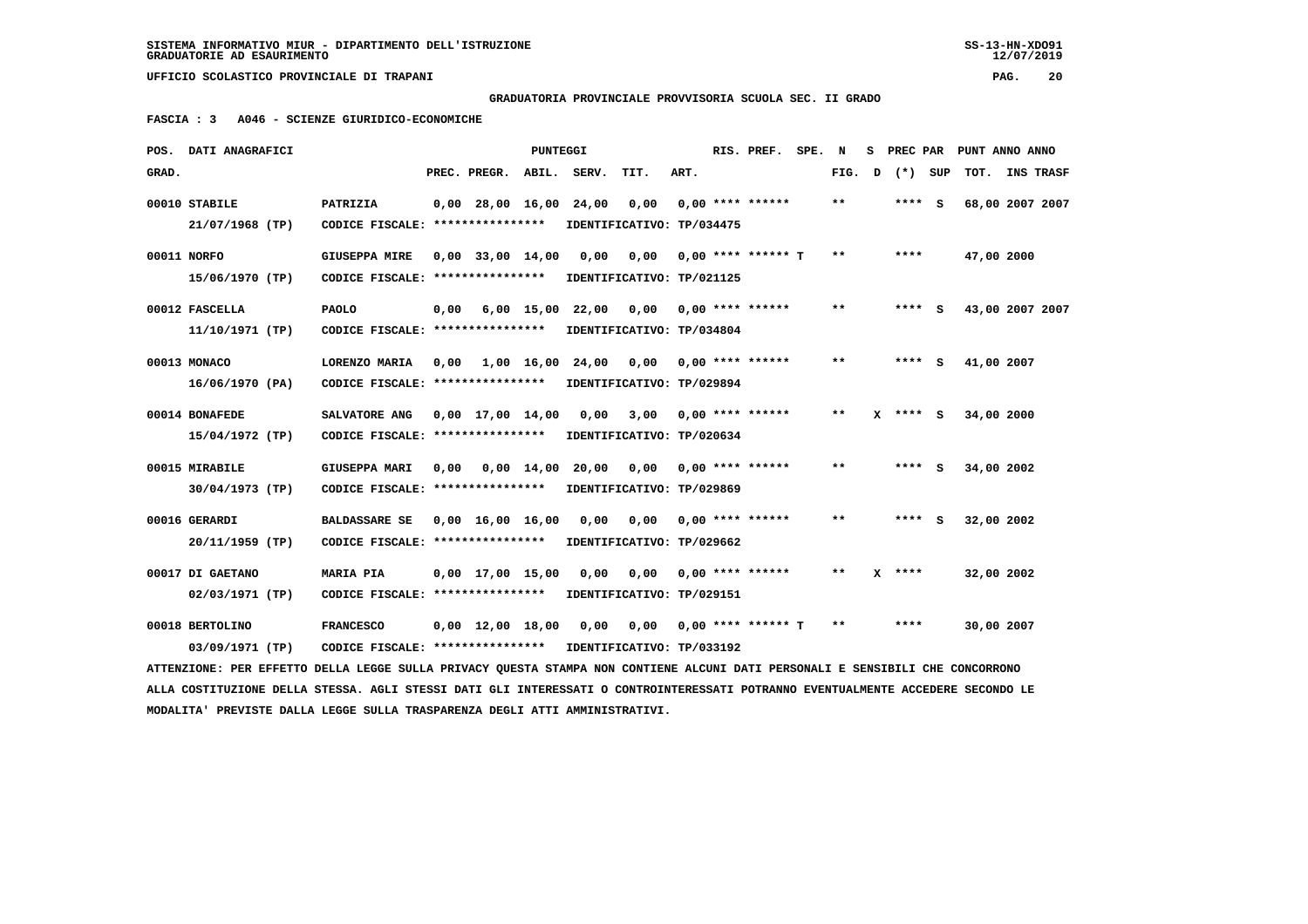**GRADUATORIA PROVINCIALE PROVVISORIA SCUOLA SEC. II GRADO**

 **FASCIA : 3 A046 - SCIENZE GIURIDICO-ECONOMICHE**

|       | POS. DATI ANAGRAFICI                                                                                                            |                                                            |      |                                | PUNTEGGI           |                                               |                                        |      | RIS. PREF. SPE. N  |        |            | S PREC PAR PUNT ANNO ANNO |  |
|-------|---------------------------------------------------------------------------------------------------------------------------------|------------------------------------------------------------|------|--------------------------------|--------------------|-----------------------------------------------|----------------------------------------|------|--------------------|--------|------------|---------------------------|--|
| GRAD. |                                                                                                                                 |                                                            |      | PREC. PREGR. ABIL. SERV.       |                    |                                               | TIT.                                   | ART. |                    | FIG. D | (*) SUP    | TOT. INS TRASF            |  |
|       | 00010 STABILE                                                                                                                   | PATRIZIA                                                   |      | 0,00 28,00 16,00 24,00         |                    |                                               | 0,00                                   |      | $0.00$ **** ****** | $* *$  | **** S     | 68,00 2007 2007           |  |
|       | 21/07/1968 (TP)                                                                                                                 | CODICE FISCALE: ****************                           |      |                                |                    |                                               | IDENTIFICATIVO: TP/034475              |      |                    |        |            |                           |  |
|       | 00011 NORFO                                                                                                                     | <b>GIUSEPPA MIRE</b>                                       |      | $0,00$ 33,00 14,00             |                    | 0,00                                          | 0,00                                   |      | 0,00 **** ****** T | $* *$  | ****       | 47,00 2000                |  |
|       | 15/06/1970 (TP)                                                                                                                 | CODICE FISCALE: ****************                           |      |                                |                    |                                               | IDENTIFICATIVO: TP/021125              |      |                    |        |            |                           |  |
|       | 00012 FASCELLA                                                                                                                  | <b>PAOLO</b>                                               |      |                                |                    | $0,00$ 6,00 15,00 22,00 0,00 0,00 **** ****** |                                        |      |                    | $* *$  | $***$ S    | 43,00 2007 2007           |  |
|       | 11/10/1971 (TP)                                                                                                                 | CODICE FISCALE: ****************                           |      |                                |                    |                                               | IDENTIFICATIVO: TP/034804              |      |                    |        |            |                           |  |
|       | 00013 MONACO                                                                                                                    | LORENZO MARIA                                              | 0,00 | 1,00 16,00                     |                    | 24,00                                         | 0,00 0,00 **** ******                  |      |                    | $* *$  | **** S     | 41,00 2007                |  |
|       | 16/06/1970 (PA)                                                                                                                 | CODICE FISCALE: *****************                          |      |                                |                    | IDENTIFICATIVO: TP/029894                     |                                        |      |                    |        |            |                           |  |
|       | 00014 BONAFEDE                                                                                                                  | SALVATORE ANG                                              |      | $0,00 \quad 17,00 \quad 14,00$ |                    | 0,00                                          | $3,00$ 0,00 **** ******                |      |                    | $**$   | $X$ **** S | 34,00 2000                |  |
|       | 15/04/1972 (TP)                                                                                                                 | CODICE FISCALE: ****************                           |      |                                |                    |                                               | IDENTIFICATIVO: TP/020634              |      |                    |        |            |                           |  |
|       | 00015 MIRABILE                                                                                                                  | <b>GIUSEPPA MARI</b>                                       | 0,00 |                                | $0.00 \quad 14.00$ |                                               | $20,00$ $0,00$ $0,00$ $***$ **** ***** |      |                    | $* *$  | **** $S$   | 34,00 2002                |  |
|       | 30/04/1973 (TP)                                                                                                                 | CODICE FISCALE: ****************                           |      |                                |                    |                                               | IDENTIFICATIVO: TP/029869              |      |                    |        |            |                           |  |
|       | 00016 GERARDI                                                                                                                   | <b>BALDASSARE SE</b>                                       |      | $0,00 \quad 16,00 \quad 16,00$ |                    | 0,00                                          |                                        |      |                    | $* *$  | **** S     | 32,00 2002                |  |
|       | 20/11/1959 (TP)                                                                                                                 | CODICE FISCALE: ****************                           |      |                                |                    |                                               | IDENTIFICATIVO: TP/029662              |      |                    |        |            |                           |  |
|       | 00017 DI GAETANO                                                                                                                | <b>MARIA PIA</b>                                           |      | $0,00$ 17,00 15,00             |                    | 0,00                                          | 0,00                                   |      | $0.00$ **** ****** | **     | $X$ ****   | 32,00 2002                |  |
|       | 02/03/1971 (TP)                                                                                                                 | CODICE FISCALE: ****************                           |      |                                |                    |                                               | IDENTIFICATIVO: TP/029151              |      |                    |        |            |                           |  |
|       | 00018 BERTOLINO                                                                                                                 | <b>FRANCESCO</b>                                           |      | $0,00 \quad 12,00 \quad 18,00$ |                    |                                               | 0,00 0,00 0,00 **** ****** T           |      |                    | $* *$  | ****       | 30,00 2007                |  |
|       | 03/09/1971 (TP)                                                                                                                 | CODICE FISCALE: **************** IDENTIFICATIVO: TP/033192 |      |                                |                    |                                               |                                        |      |                    |        |            |                           |  |
|       | ATTENZIONE: PER EFFETTO DELLA LEGGE SULLA PRIVACY QUESTA STAMPA NON CONTIENE ALCUNI DATI PERSONALI E SENSIBILI CHE CONCORRONO   |                                                            |      |                                |                    |                                               |                                        |      |                    |        |            |                           |  |
|       | ALLA COSTITUZIONE DELLA STESSA. AGLI STESSI DATI GLI INTERESSATI O CONTROINTERESSATI POTRANNO EVENTUALMENTE ACCEDERE SECONDO LE |                                                            |      |                                |                    |                                               |                                        |      |                    |        |            |                           |  |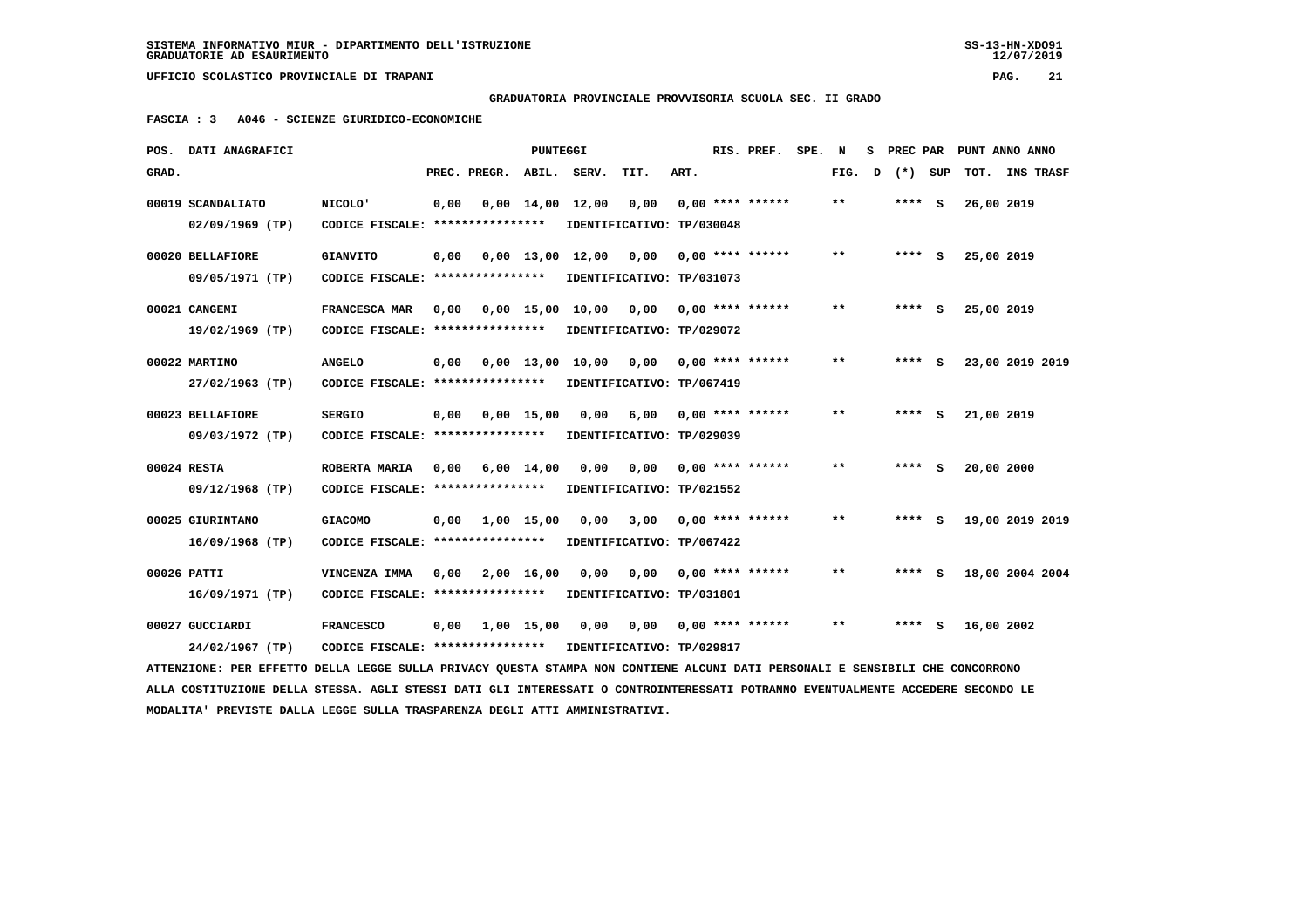$12/07/2019$ 

## **GRADUATORIA PROVINCIALE PROVVISORIA SCUOLA SEC. II GRADO**

 **FASCIA : 3 A046 - SCIENZE GIURIDICO-ECONOMICHE**

| POS.  | DATI ANAGRAFICI                                                                                                                 |                                   |      |                               | <b>PUNTEGGI</b>    |                                |                           |      | RIS. PREF.         | SPE. | N            | s | PREC PAR |     |            | PUNT ANNO ANNO  |
|-------|---------------------------------------------------------------------------------------------------------------------------------|-----------------------------------|------|-------------------------------|--------------------|--------------------------------|---------------------------|------|--------------------|------|--------------|---|----------|-----|------------|-----------------|
| GRAD. |                                                                                                                                 |                                   |      | PREC. PREGR.                  | ABIL.              | SERV.                          | TIT.                      | ART. |                    |      | FIG.         | D | $(*)$    | SUP | TOT.       | INS TRASF       |
|       | 00019 SCANDALIATO                                                                                                               | <b>NICOLO'</b>                    | 0,00 |                               |                    | $0,00 \quad 14,00 \quad 12,00$ | 0,00                      |      | $0.00$ **** ****** |      | $***$        |   | $***$ S  |     | 26,00 2019 |                 |
|       | $02/09/1969$ (TP)                                                                                                               | CODICE FISCALE: ***************** |      |                               |                    |                                | IDENTIFICATIVO: TP/030048 |      |                    |      |              |   |          |     |            |                 |
|       | 00020 BELLAFIORE                                                                                                                | <b>GIANVITO</b>                   | 0,00 |                               |                    | $0,00 \quad 13,00 \quad 12,00$ | 0,00                      |      | $0.00$ **** ****** |      | $***$        |   | $***$ S  |     | 25,00 2019 |                 |
|       | 09/05/1971 (TP)                                                                                                                 | CODICE FISCALE: ***************** |      |                               |                    |                                | IDENTIFICATIVO: TP/031073 |      |                    |      |              |   |          |     |            |                 |
|       | 00021 CANGEMI                                                                                                                   | FRANCESCA MAR                     | 0.00 |                               |                    | $0.00$ 15,00 10,00             | 0,00                      |      | $0.00$ **** ****** |      | $* *$        |   | **** S   |     | 25,00 2019 |                 |
|       | 19/02/1969 (TP)                                                                                                                 | CODICE FISCALE: ****************  |      |                               |                    |                                | IDENTIFICATIVO: TP/029072 |      |                    |      |              |   |          |     |            |                 |
|       | 00022 MARTINO                                                                                                                   | <b>ANGELO</b>                     | 0,00 |                               | $0.00$ 13,00       | 10,00                          | 0.00                      |      | $0.00$ **** ****** |      | **           |   | **** S   |     |            | 23,00 2019 2019 |
|       | 27/02/1963 (TP)                                                                                                                 | CODICE FISCALE: ****************  |      |                               |                    |                                | IDENTIFICATIVO: TP/067419 |      |                    |      |              |   |          |     |            |                 |
|       | 00023 BELLAFIORE                                                                                                                | <b>SERGIO</b>                     | 0,00 |                               | $0,00$ 15,00       | 0,00                           | 6,00                      |      | $0,00$ **** ****** |      | $\star\star$ |   | **** S   |     | 21,00 2019 |                 |
|       | 09/03/1972 (TP)                                                                                                                 | CODICE FISCALE: ***************** |      |                               |                    |                                | IDENTIFICATIVO: TP/029039 |      |                    |      |              |   |          |     |            |                 |
|       | 00024 RESTA                                                                                                                     | ROBERTA MARIA                     | 0,00 |                               | $6,00 \quad 14,00$ | 0,00                           | 0,00                      |      | $0.00$ **** ****** |      | $* *$        |   | **** S   |     | 20,00 2000 |                 |
|       | 09/12/1968 (TP)                                                                                                                 | CODICE FISCALE: ****************  |      |                               |                    |                                | IDENTIFICATIVO: TP/021552 |      |                    |      |              |   |          |     |            |                 |
|       | 00025 GIURINTANO                                                                                                                | <b>GIACOMO</b>                    |      | $0,00 \quad 1,00 \quad 15,00$ |                    | 0,00                           | 3,00                      |      | $0.00$ **** ****** |      | $**$         |   | $***$ S  |     |            | 19,00 2019 2019 |
|       | $16/09/1968$ (TP)                                                                                                               | CODICE FISCALE: ****************  |      |                               |                    |                                | IDENTIFICATIVO: TP/067422 |      |                    |      |              |   |          |     |            |                 |
|       | 00026 PATTI                                                                                                                     | VINCENZA IMMA                     | 0.00 |                               | 2,00 16,00         | 0.00                           | 0.00                      |      | $0.00$ **** ****** |      | $* *$        |   | **** S   |     |            | 18,00 2004 2004 |
|       | 16/09/1971 (TP)                                                                                                                 | CODICE FISCALE: ****************  |      |                               |                    |                                | IDENTIFICATIVO: TP/031801 |      |                    |      |              |   |          |     |            |                 |
|       | 00027 GUCCIARDI                                                                                                                 | <b>FRANCESCO</b>                  |      | $0,00 \quad 1,00 \quad 15,00$ |                    | 0,00                           | 0,00                      |      | $0,00$ **** ****** |      | $***$        |   | $***$ S  |     | 16,00 2002 |                 |
|       | 24/02/1967 (TP)                                                                                                                 | CODICE FISCALE: ****************  |      |                               |                    |                                | IDENTIFICATIVO: TP/029817 |      |                    |      |              |   |          |     |            |                 |
|       | ATTENZIONE: PER EFFETTO DELLA LEGGE SULLA PRIVACY QUESTA STAMPA NON CONTIENE ALCUNI DATI PERSONALI E SENSIBILI CHE CONCORRONO   |                                   |      |                               |                    |                                |                           |      |                    |      |              |   |          |     |            |                 |
|       | ALLA COSTITUZIONE DELLA STESSA. AGLI STESSI DATI GLI INTERESSATI O CONTROINTERESSATI POTRANNO EVENTUALMENTE ACCEDERE SECONDO LE |                                   |      |                               |                    |                                |                           |      |                    |      |              |   |          |     |            |                 |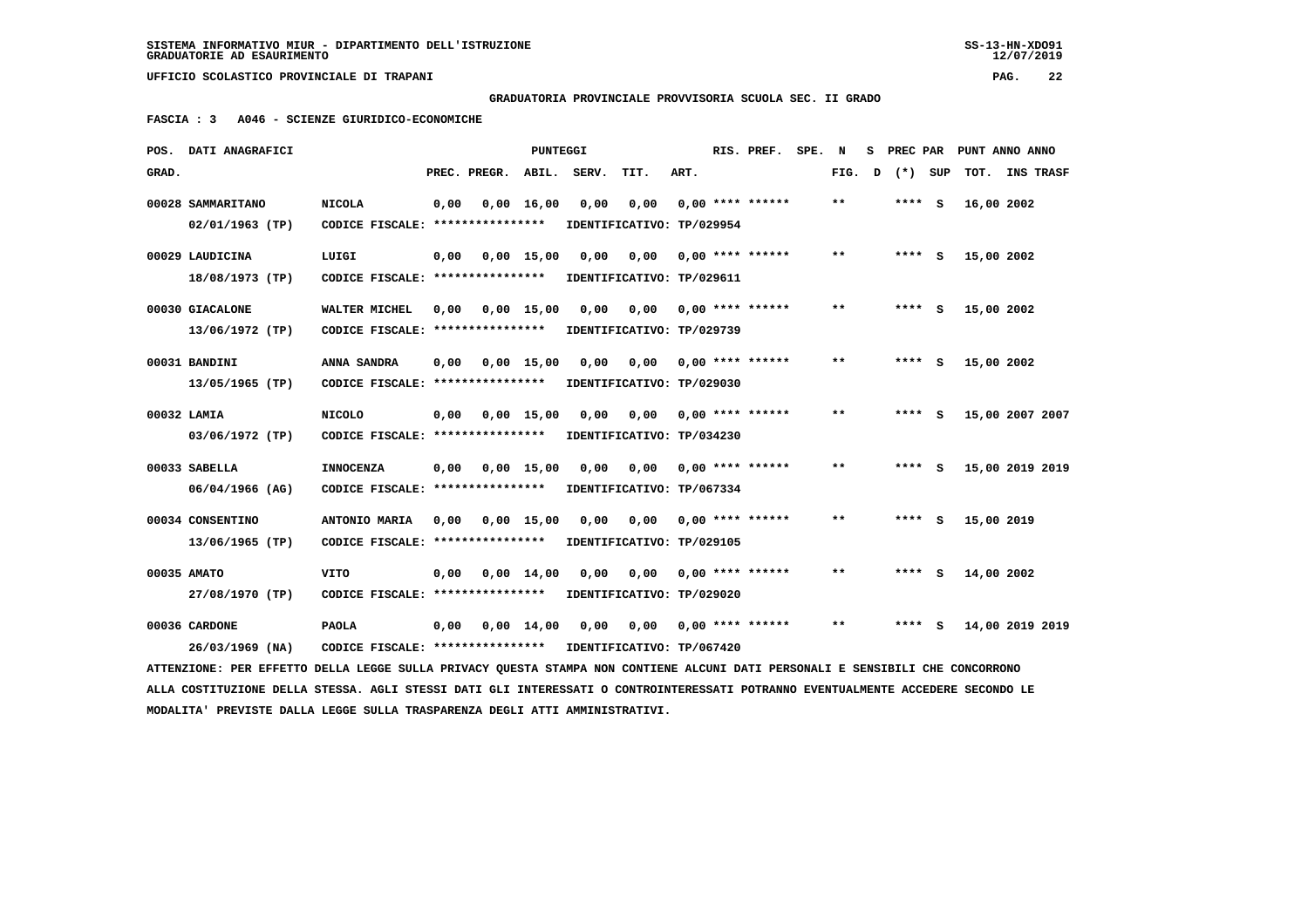$12/07/2019$ 

 **UFFICIO SCOLASTICO PROVINCIALE DI TRAPANI PAG. 22**

 **GRADUATORIA PROVINCIALE PROVVISORIA SCUOLA SEC. II GRADO**

 **FASCIA : 3 A046 - SCIENZE GIURIDICO-ECONOMICHE**

|       | POS. DATI ANAGRAFICI                                                                                                            |                                                            |      |              | <b>PUNTEGGI</b>    |       |                            |      | RIS. PREF.                | SPE. N |       | s            | PREC PAR |     | PUNT ANNO ANNO  |  |
|-------|---------------------------------------------------------------------------------------------------------------------------------|------------------------------------------------------------|------|--------------|--------------------|-------|----------------------------|------|---------------------------|--------|-------|--------------|----------|-----|-----------------|--|
| GRAD. |                                                                                                                                 |                                                            |      | PREC. PREGR. | ABIL.              | SERV. | TIT.                       | ART. |                           |        | FIG.  | $\mathbf{D}$ | $(*)$    | SUP | TOT. INS TRASF  |  |
|       | 00028 SAMMARITANO                                                                                                               | <b>NICOLA</b>                                              | 0,00 |              | $0,00 \quad 16,00$ | 0,00  | 0,00                       |      | $0,00$ **** ******        |        | $* *$ |              | **** S   |     | 16,00 2002      |  |
|       | $02/01/1963$ (TP)                                                                                                               | CODICE FISCALE: ****************                           |      |              |                    |       | IDENTIFICATIVO: TP/029954  |      |                           |        |       |              |          |     |                 |  |
|       | 00029 LAUDICINA                                                                                                                 | LUIGI                                                      | 0,00 |              | $0,00$ 15,00       | 0,00  | 0,00                       |      | $0,00$ **** ******        |        | **    |              | $***$ S  |     | 15,00 2002      |  |
|       | 18/08/1973 (TP)                                                                                                                 | CODICE FISCALE: *****************                          |      |              |                    |       | IDENTIFICATIVO: TP/029611  |      |                           |        |       |              |          |     |                 |  |
|       | 00030 GIACALONE                                                                                                                 | WALTER MICHEL                                              | 0,00 | 0,00 15,00   |                    |       | 0,00 0,00                  |      | $0,00$ **** ******        |        | $* *$ |              | **** S   |     | 15,00 2002      |  |
|       | 13/06/1972 (TP)                                                                                                                 | CODICE FISCALE: *****************                          |      |              |                    |       | IDENTIFICATIVO: TP/029739  |      |                           |        |       |              |          |     |                 |  |
|       | 00031 BANDINI                                                                                                                   | ANNA SANDRA                                                | 0,00 |              | $0,00$ 15,00       | 0,00  | 0,00                       |      | $0,00$ **** ******        |        | **    |              | $***$ S  |     | 15,00 2002      |  |
|       | 13/05/1965 (TP)                                                                                                                 | CODICE FISCALE: *****************                          |      |              |                    |       | IDENTIFICATIVO: TP/029030  |      |                           |        |       |              |          |     |                 |  |
|       | 00032 LAMIA                                                                                                                     | <b>NICOLO</b>                                              | 0,00 | 0,00 15,00   |                    | 0,00  | 0,00                       |      | $0.00$ **** ******        |        | $* *$ |              | $***$ S  |     | 15,00 2007 2007 |  |
|       | 03/06/1972 (TP)                                                                                                                 | CODICE FISCALE: *****************                          |      |              |                    |       | IDENTIFICATIVO: TP/034230  |      |                           |        |       |              |          |     |                 |  |
|       |                                                                                                                                 |                                                            |      |              |                    |       |                            |      |                           |        |       |              |          |     |                 |  |
|       | 00033 SABELLA                                                                                                                   | <b>INNOCENZA</b>                                           | 0,00 |              | $0,00$ 15,00       | 0,00  | 0,00                       |      | $0,00$ **** ******        |        | $***$ |              | $***$ S  |     | 15,00 2019 2019 |  |
|       | 06/04/1966 (AG)                                                                                                                 | CODICE FISCALE: ****************                           |      |              |                    |       | IDENTIFICATIVO: TP/067334  |      |                           |        |       |              |          |     |                 |  |
|       | 00034 CONSENTINO                                                                                                                | ANTONIO MARIA                                              | 0,00 | 0,00 15,00   |                    | 0,00  |                            |      | $0,00$ $0,00$ **** ****** |        | $***$ |              | $***$ S  |     | 15,00 2019      |  |
|       | 13/06/1965 (TP)                                                                                                                 | CODICE FISCALE: *****************                          |      |              |                    |       | IDENTIFICATIVO: TP/029105  |      |                           |        |       |              |          |     |                 |  |
|       | 00035 AMATO                                                                                                                     | <b>VITO</b>                                                | 0,00 |              | $0.00 \quad 14.00$ | 0,00  | 0.00                       |      | $0.00$ **** ******        |        | $***$ |              | $***$ S  |     | 14,00 2002      |  |
|       | 27/08/1970 (TP)                                                                                                                 | CODICE FISCALE: ****************                           |      |              |                    |       | IDENTIFICATIVO: TP/029020  |      |                           |        |       |              |          |     |                 |  |
|       | 00036 CARDONE                                                                                                                   | <b>PAOLA</b>                                               | 0,00 | 0,00 14,00   |                    |       | 0,00 0,00 0,00 **** ****** |      |                           |        | $***$ |              | $***$ S  |     | 14,00 2019 2019 |  |
|       | 26/03/1969 (NA)                                                                                                                 | CODICE FISCALE: **************** IDENTIFICATIVO: TP/067420 |      |              |                    |       |                            |      |                           |        |       |              |          |     |                 |  |
|       | ATTENZIONE: PER EFFETTO DELLA LEGGE SULLA PRIVACY OUESTA STAMPA NON CONTIENE ALCUNI DATI PERSONALI E SENSIBILI CHE CONCORRONO   |                                                            |      |              |                    |       |                            |      |                           |        |       |              |          |     |                 |  |
|       | ALLA COSTITUZIONE DELLA STESSA. AGLI STESSI DATI GLI INTERESSATI O CONTROINTERESSATI POTRANNO EVENTUALMENTE ACCEDERE SECONDO LE |                                                            |      |              |                    |       |                            |      |                           |        |       |              |          |     |                 |  |
|       |                                                                                                                                 |                                                            |      |              |                    |       |                            |      |                           |        |       |              |          |     |                 |  |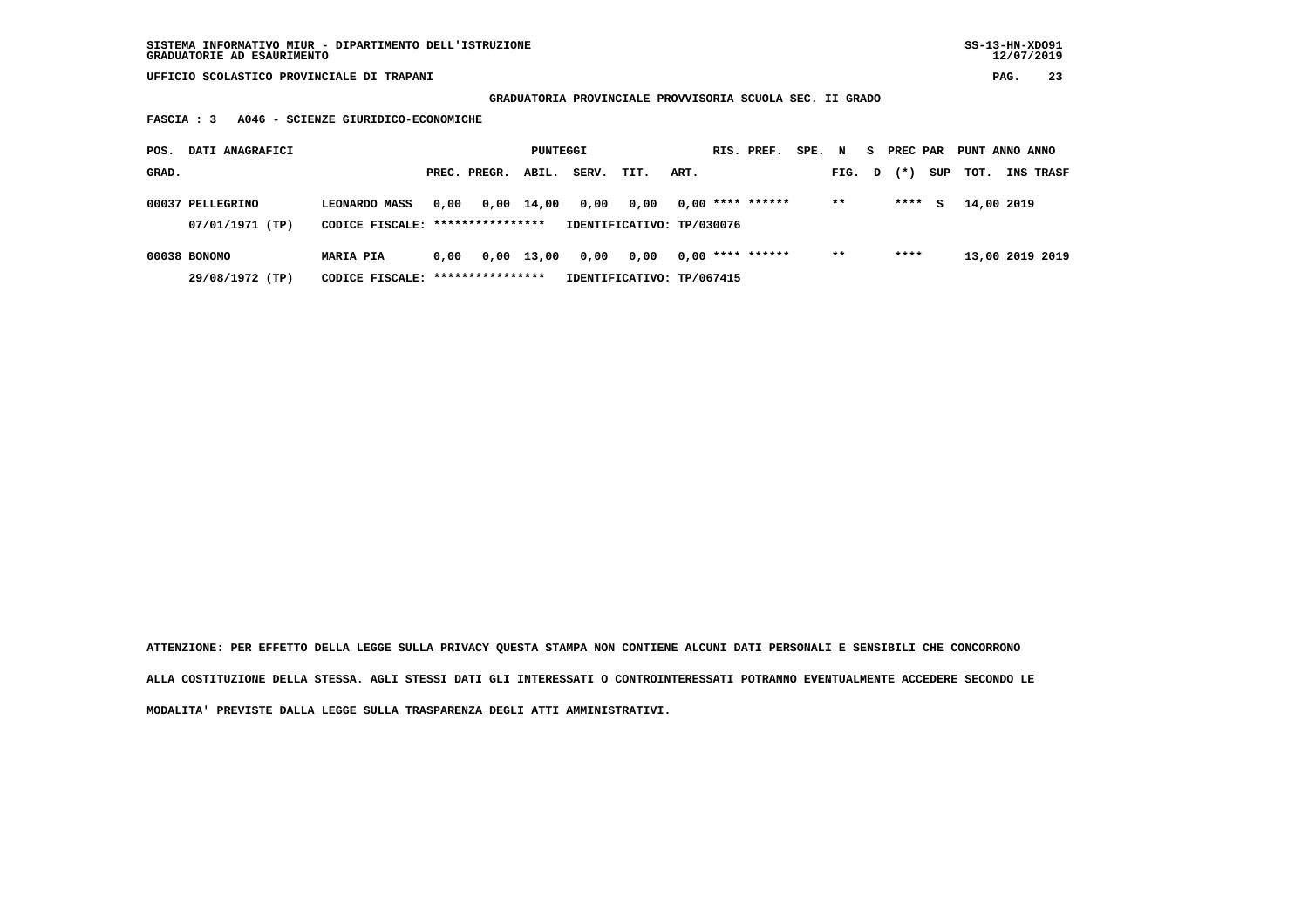## **GRADUATORIA PROVINCIALE PROVVISORIA SCUOLA SEC. II GRADO**

 **FASCIA : 3 A046 - SCIENZE GIURIDICO-ECONOMICHE**

| DATI ANAGRAFICI<br>POS.             |                                                          |      |              | PUNTEGGI   |       |                                   |      | RIS. PREF.         | SPE. | N      | S PREC PAR |     | PUNT ANNO ANNO  |           |  |
|-------------------------------------|----------------------------------------------------------|------|--------------|------------|-------|-----------------------------------|------|--------------------|------|--------|------------|-----|-----------------|-----------|--|
| GRAD.                               |                                                          |      | PREC. PREGR. | ABIL.      | SERV. | TIT.                              | ART. |                    |      | FIG. D | $(* )$     | SUP | тот.            | INS TRASF |  |
| 00037 PELLEGRINO<br>07/01/1971 (TP) | <b>LEONARDO MASS</b><br>CODICE FISCALE: **************** | 0,00 |              | 0,00 14,00 | 0,00  | 0,00<br>IDENTIFICATIVO: TP/030076 |      | $0.00$ **** ****** |      | $* *$  | ****       | s   | 14,00 2019      |           |  |
| 00038 BONOMO<br>29/08/1972 (TP)     | <b>MARIA PIA</b><br>CODICE FISCALE: *****************    | 0.00 |              | 0,00 13,00 | 0,00  | 0,00<br>IDENTIFICATIVO: TP/067415 |      | $0.00$ **** ****** |      | $***$  | ****       |     | 13,00 2019 2019 |           |  |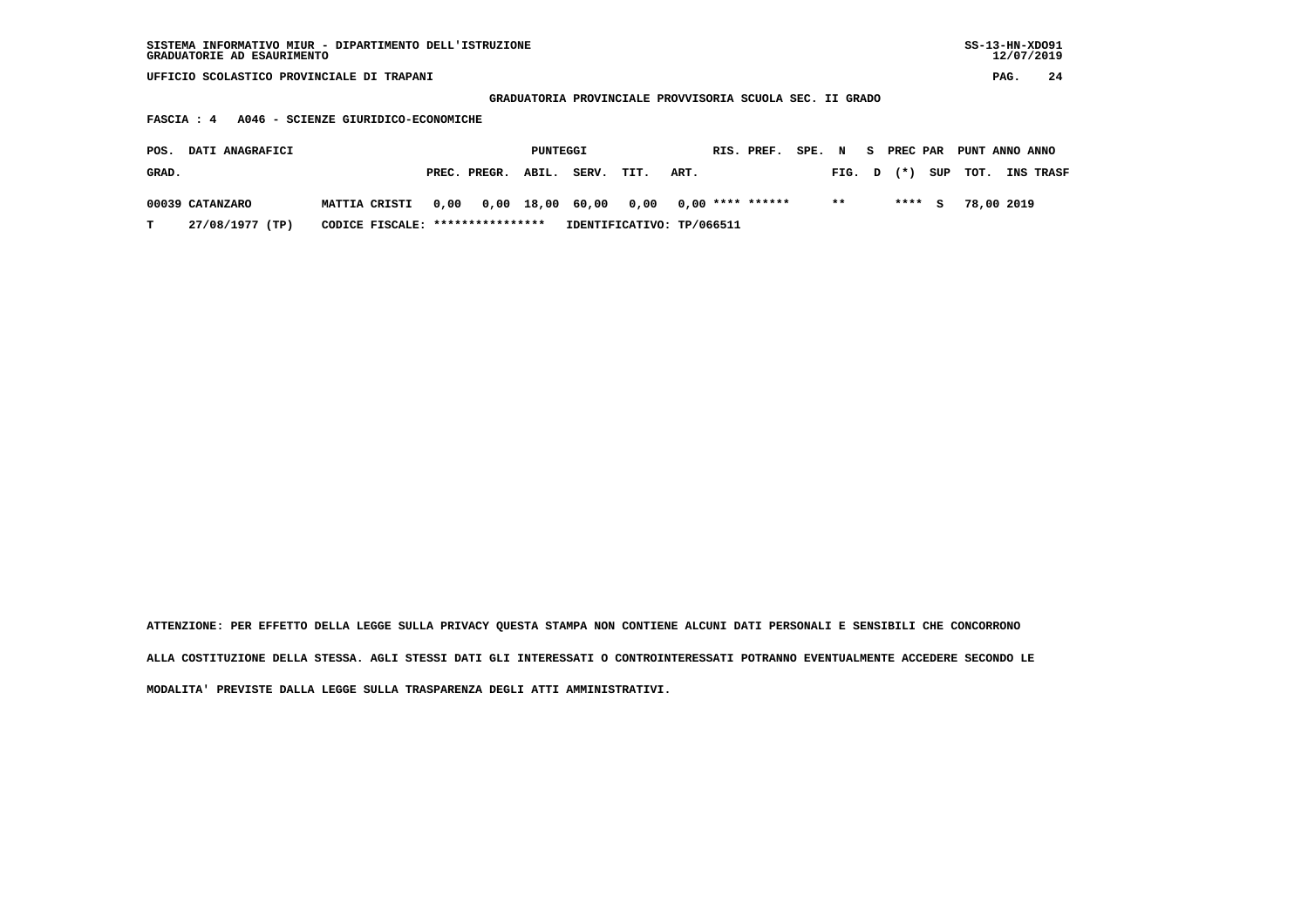| SISTEMA INFORMATIVO MIUR - DIPARTIMENTO DELL'ISTRUZIONE<br>GRADUATORIE AD ESAURIMENTO |                                   |                           |                                                          |                         | $SS-13-HN-XDO91$<br>12/07/2019 |  |  |  |  |  |  |  |  |
|---------------------------------------------------------------------------------------|-----------------------------------|---------------------------|----------------------------------------------------------|-------------------------|--------------------------------|--|--|--|--|--|--|--|--|
| UFFICIO SCOLASTICO PROVINCIALE DI TRAPANI                                             |                                   |                           |                                                          |                         | 24<br>PAG.                     |  |  |  |  |  |  |  |  |
|                                                                                       |                                   |                           | GRADUATORIA PROVINCIALE PROVVISORIA SCUOLA SEC. II GRADO |                         |                                |  |  |  |  |  |  |  |  |
| A046 - SCIENZE GIURIDICO-ECONOMICHE<br>FASCIA : 4                                     |                                   |                           |                                                          |                         |                                |  |  |  |  |  |  |  |  |
| DATI ANAGRAFICI<br>POS.                                                               | PUNTEGGI                          |                           | RIS. PREF.<br>SPE. N                                     | S PREC PAR              | PUNT ANNO ANNO                 |  |  |  |  |  |  |  |  |
| GRAD.                                                                                 | PREC. PREGR.<br>ABIL.             | SERV.<br>TIT.<br>ART.     |                                                          | SUP<br>$(* )$<br>FIG. D | TOT.<br><b>INS TRASF</b>       |  |  |  |  |  |  |  |  |
| 00039 CATANZARO<br>MATTIA CRISTI                                                      | 0,00 18,00<br>0,00                | 60,00<br>0,00             | $0.00$ **** ******                                       | $* *$<br>****<br>S.     | 78,00 2019                     |  |  |  |  |  |  |  |  |
| 27/08/1977 (TP)<br>т                                                                  | CODICE FISCALE: ***************** | IDENTIFICATIVO: TP/066511 |                                                          |                         |                                |  |  |  |  |  |  |  |  |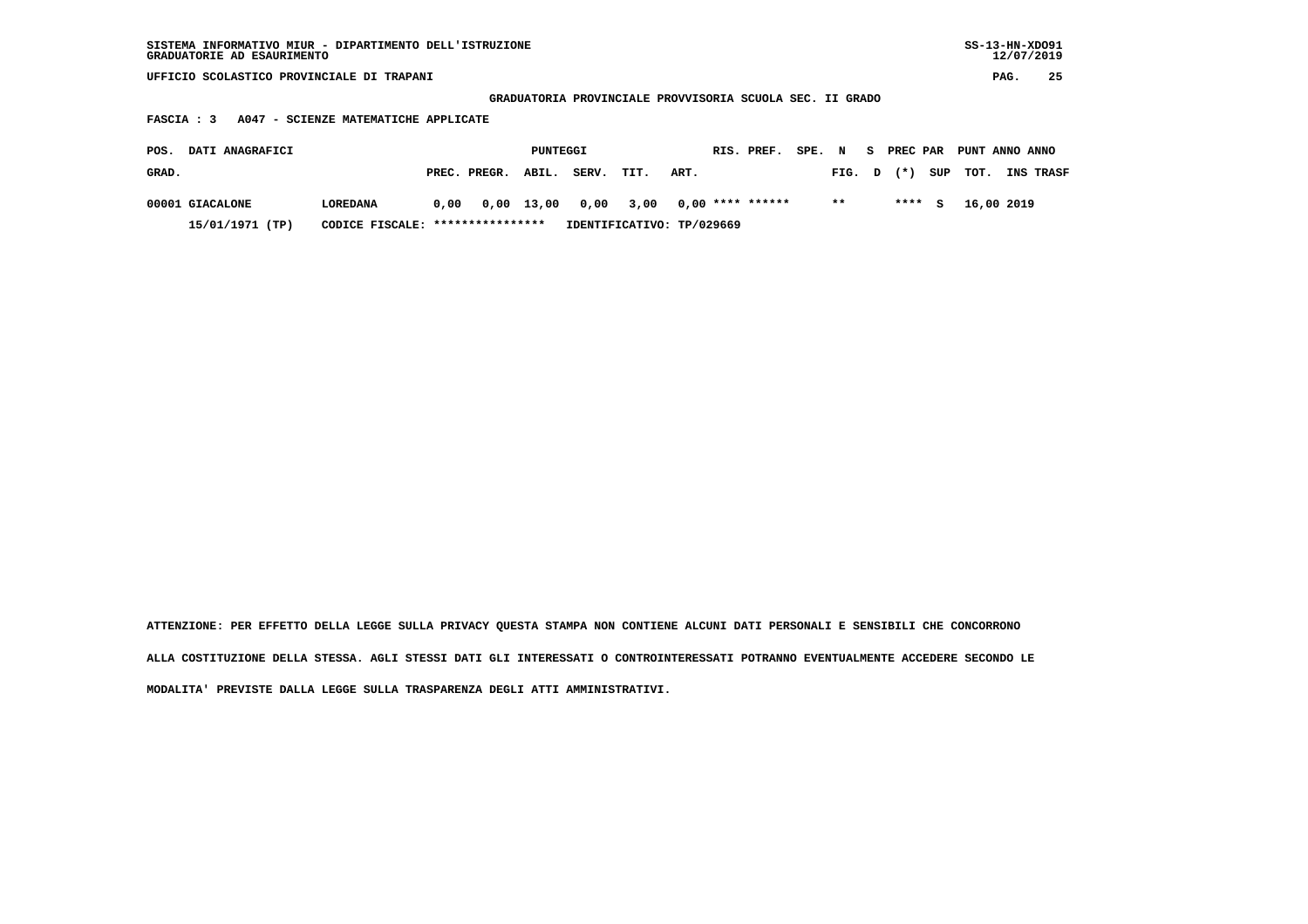| SISTEMA INFORMATIVO MIUR - DIPARTIMENTO DELL'ISTRUZIONE | SS-13-HN-XD091 |
|---------------------------------------------------------|----------------|
| GRADUATORIE AD ESAURIMENTO                              | 12/07/2019     |

 **GRADUATORIA PROVINCIALE PROVVISORIA SCUOLA SEC. II GRADO**

 **FASCIA : 3 A047 - SCIENZE MATEMATICHE APPLICATE**

| POS.  | <b>DATI ANAGRAFICI</b> |                                  |      |              | PUNTEGGI |                      |                           |      | RIS. PREF.       | SPE. N |        | - S | <b>PREC PAR</b> |          | PUNT ANNO ANNO |            |           |
|-------|------------------------|----------------------------------|------|--------------|----------|----------------------|---------------------------|------|------------------|--------|--------|-----|-----------------|----------|----------------|------------|-----------|
| GRAD. |                        |                                  |      | PREC. PREGR. | ABIL.    | SERV.                | TIT.                      | ART. |                  |        | FIG. D |     | $(* )$          |          | SUP TOT.       |            | INS TRASF |
|       | 00001 GIACALONE        | LOREDANA                         | 0.00 |              |          | 0,00 13,00 0,00 3,00 |                           |      | 0,00 **** ****** |        | $* *$  |     | ****            | <b>S</b> |                | 16,00 2019 |           |
|       | 15/01/1971 (TP)        | CODICE FISCALE: **************** |      |              |          |                      | IDENTIFICATIVO: TP/029669 |      |                  |        |        |     |                 |          |                |            |           |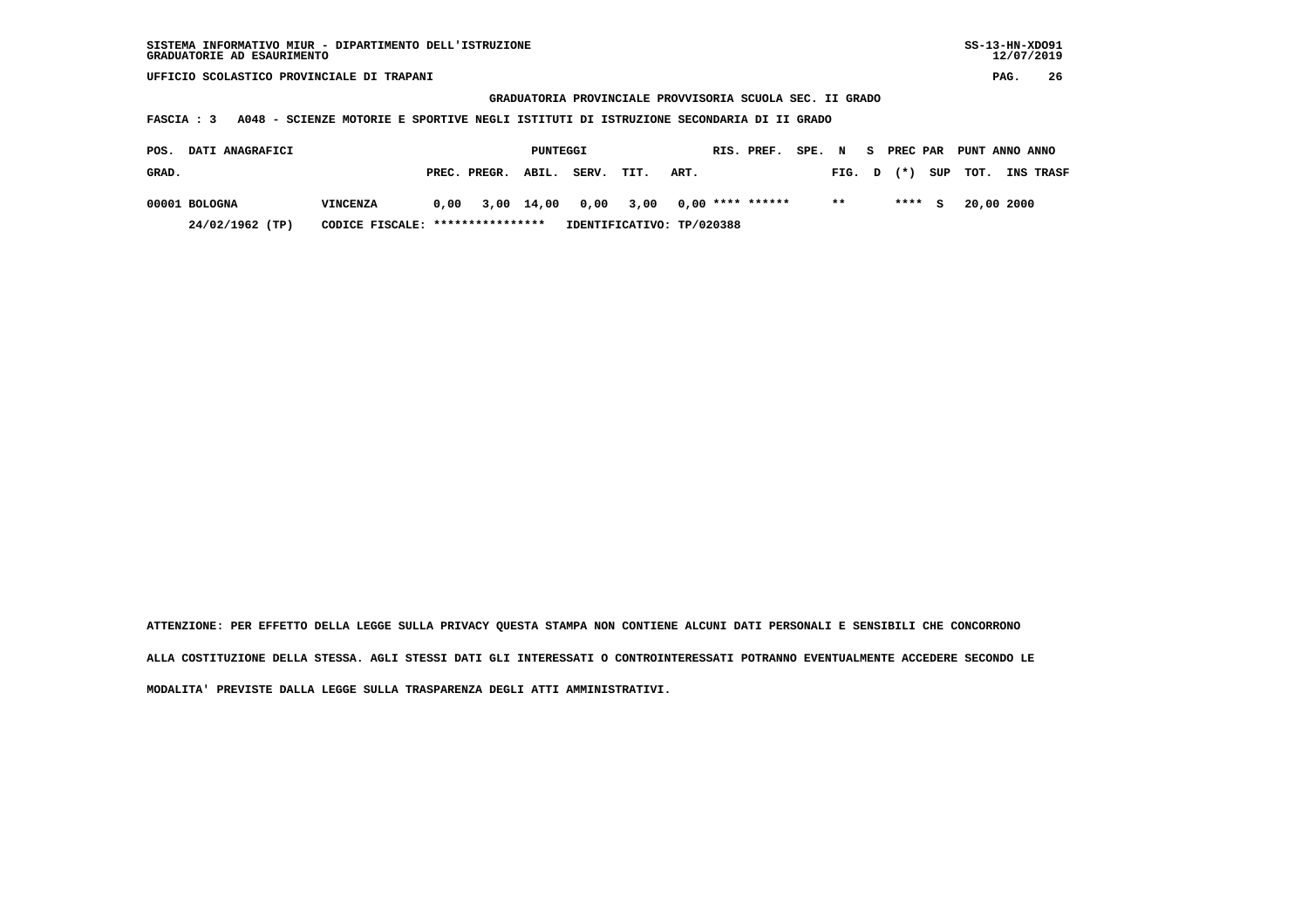**GRADUATORIA PROVINCIALE PROVVISORIA SCUOLA SEC. II GRADO**

 **FASCIA : 3 A048 - SCIENZE MOTORIE E SPORTIVE NEGLI ISTITUTI DI ISTRUZIONE SECONDARIA DI II GRADO**

| POS.  | <b>DATI ANAGRAFICI</b> |                                  |  |                                              | PUNTEGGI |                           |      |      | RIS. PREF. | SPE. N |        | S PREC PAR | PUNT ANNO ANNO |                  |
|-------|------------------------|----------------------------------|--|----------------------------------------------|----------|---------------------------|------|------|------------|--------|--------|------------|----------------|------------------|
| GRAD. |                        |                                  |  | PREC. PREGR. ABIL.                           |          | SERV.                     | TIT. | ART. |            |        | FIG. D |            | $(*)$ SUP TOT. | <b>INS TRASF</b> |
|       | 00001 BOLOGNA          | <b>VINCENZA</b>                  |  | $0.00$ 3.00 14.00 0.00 3.00 0.00 **** ****** |          |                           |      |      |            |        | $* *$  | **** S     | 20,00 2000     |                  |
|       | 24/02/1962 (TP)        | CODICE FISCALE: **************** |  |                                              |          | IDENTIFICATIVO: TP/020388 |      |      |            |        |        |            |                |                  |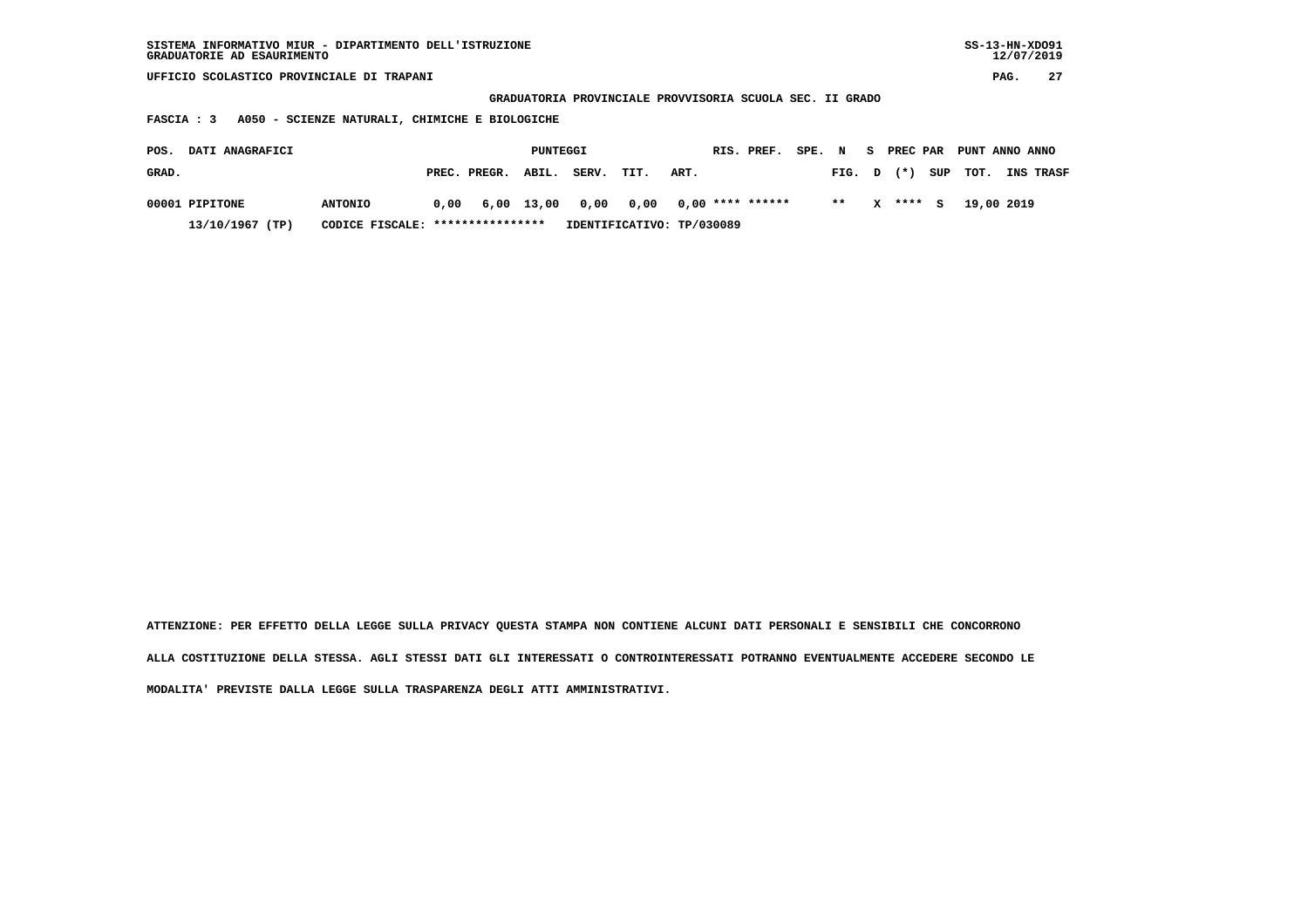| SISTEMA INFORMATIVO MIUR - DIPARTIMENTO DELL'ISTRUZIONE<br>GRADUATORIE AD ESAURIMENTO |                 |      |                  |              |       |                                                          |      |                    |  |        |    |          |     |                | $SS-13-HN-XDO91$<br>12/07/2019 |    |
|---------------------------------------------------------------------------------------|-----------------|------|------------------|--------------|-------|----------------------------------------------------------|------|--------------------|--|--------|----|----------|-----|----------------|--------------------------------|----|
| UFFICIO SCOLASTICO PROVINCIALE DI TRAPANI                                             |                 |      |                  |              |       |                                                          |      |                    |  |        |    |          |     |                | PAG.                           | 27 |
|                                                                                       |                 |      |                  |              |       | GRADUATORIA PROVINCIALE PROVVISORIA SCUOLA SEC. II GRADO |      |                    |  |        |    |          |     |                |                                |    |
| A050 - SCIENZE NATURALI, CHIMICHE E BIOLOGICHE<br><b>FASCIA : 3</b>                   |                 |      |                  |              |       |                                                          |      |                    |  |        |    |          |     |                |                                |    |
| DATI ANAGRAFICI<br>POS.                                                               |                 |      |                  | PUNTEGGI     |       |                                                          |      | RIS. PREF.         |  | SPE. N | S. | PREC PAR |     | PUNT ANNO ANNO |                                |    |
| GRAD.                                                                                 |                 |      | PREC. PREGR.     | ABIL.        | SERV. | TIT.                                                     | ART. |                    |  | FIG.   | D  | $(* )$   | SUP | TOT.           | INS TRASF                      |    |
| 00001 PIPITONE                                                                        | <b>ANTONIO</b>  | 0,00 |                  | $6,00$ 13,00 | 0,00  | 0,00                                                     |      | $0.00$ **** ****** |  | $* *$  | x  | **** S   |     | 19,00 2019     |                                |    |
| 13/10/1967 (TP)                                                                       | CODICE FISCALE: |      | **************** |              |       | IDENTIFICATIVO: TP/030089                                |      |                    |  |        |    |          |     |                |                                |    |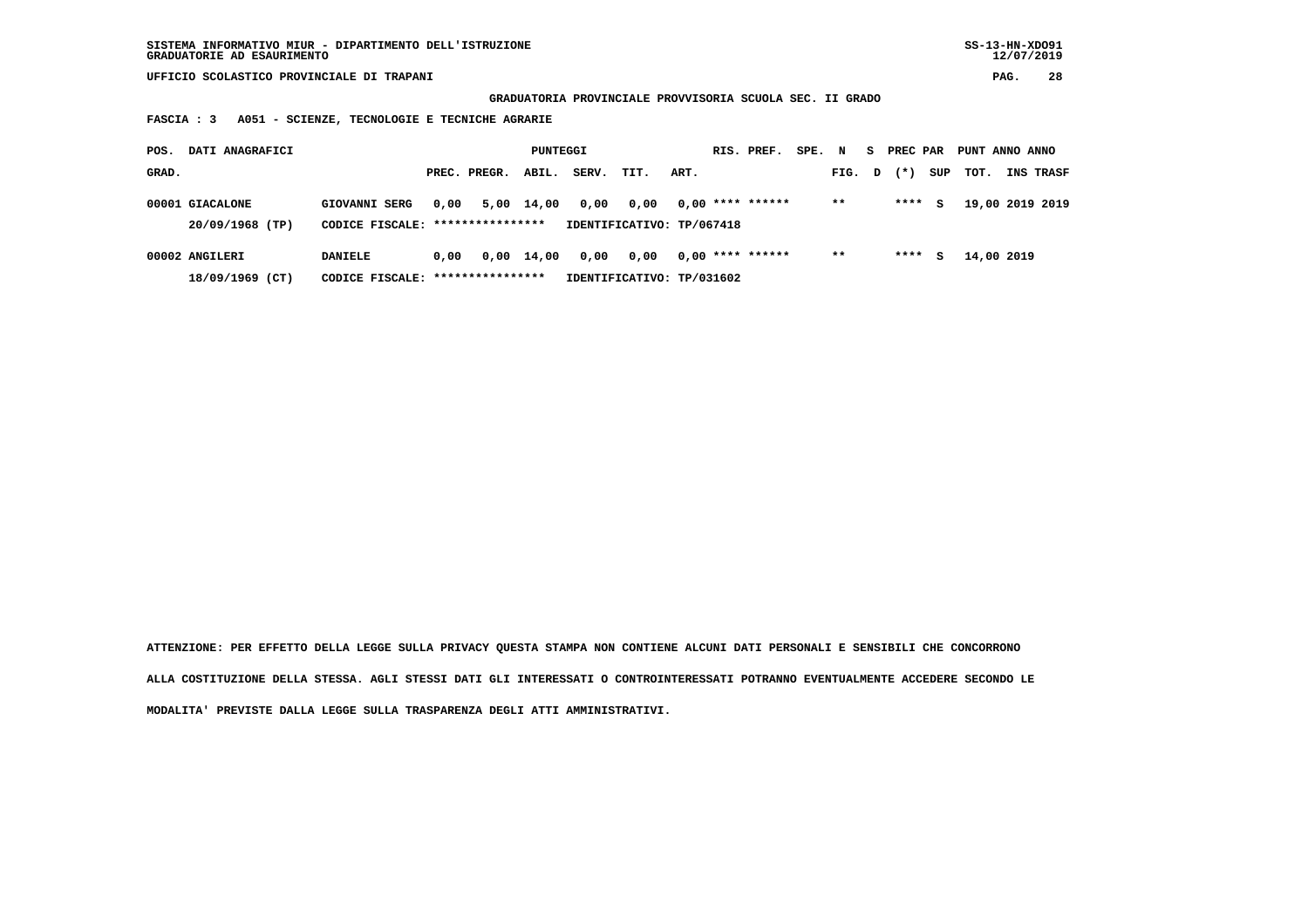**GRADUATORIA PROVINCIALE PROVVISORIA SCUOLA SEC. II GRADO**

 **FASCIA : 3 A051 - SCIENZE, TECNOLOGIE E TECNICHE AGRARIE**

| POS.  | DATI ANAGRAFICI                    |                                                    |      |              | PUNTEGGI   |       |                                   |      | RIS. PREF.         | SPE. N |        | S. | PREC PAR |     | PUNT ANNO ANNO |                  |
|-------|------------------------------------|----------------------------------------------------|------|--------------|------------|-------|-----------------------------------|------|--------------------|--------|--------|----|----------|-----|----------------|------------------|
| GRAD. |                                    |                                                    |      | PREC. PREGR. | ABIL.      | SERV. | TIT.                              | ART. |                    |        | FIG. D |    | $(* )$   | SUP | тот.           | <b>INS TRASF</b> |
|       | 00001 GIACALONE<br>20/09/1968 (TP) | GIOVANNI SERG<br>CODICE FISCALE: ***************** | 0.00 |              | 5,00 14,00 | 0,00  | 0.00<br>IDENTIFICATIVO: TP/067418 |      | $0.00$ **** ****** |        | $***$  |    | ****     | s   |                | 19,00 2019 2019  |
|       | 00002 ANGILERI<br>18/09/1969 (CT)  | <b>DANIELE</b><br>CODICE FISCALE: **************** | 0.00 |              | 0,00 14,00 | 0,00  | 0.00<br>IDENTIFICATIVO: TP/031602 |      | $0.00$ **** ****** |        | $* *$  |    | ****     | s   | 14,00 2019     |                  |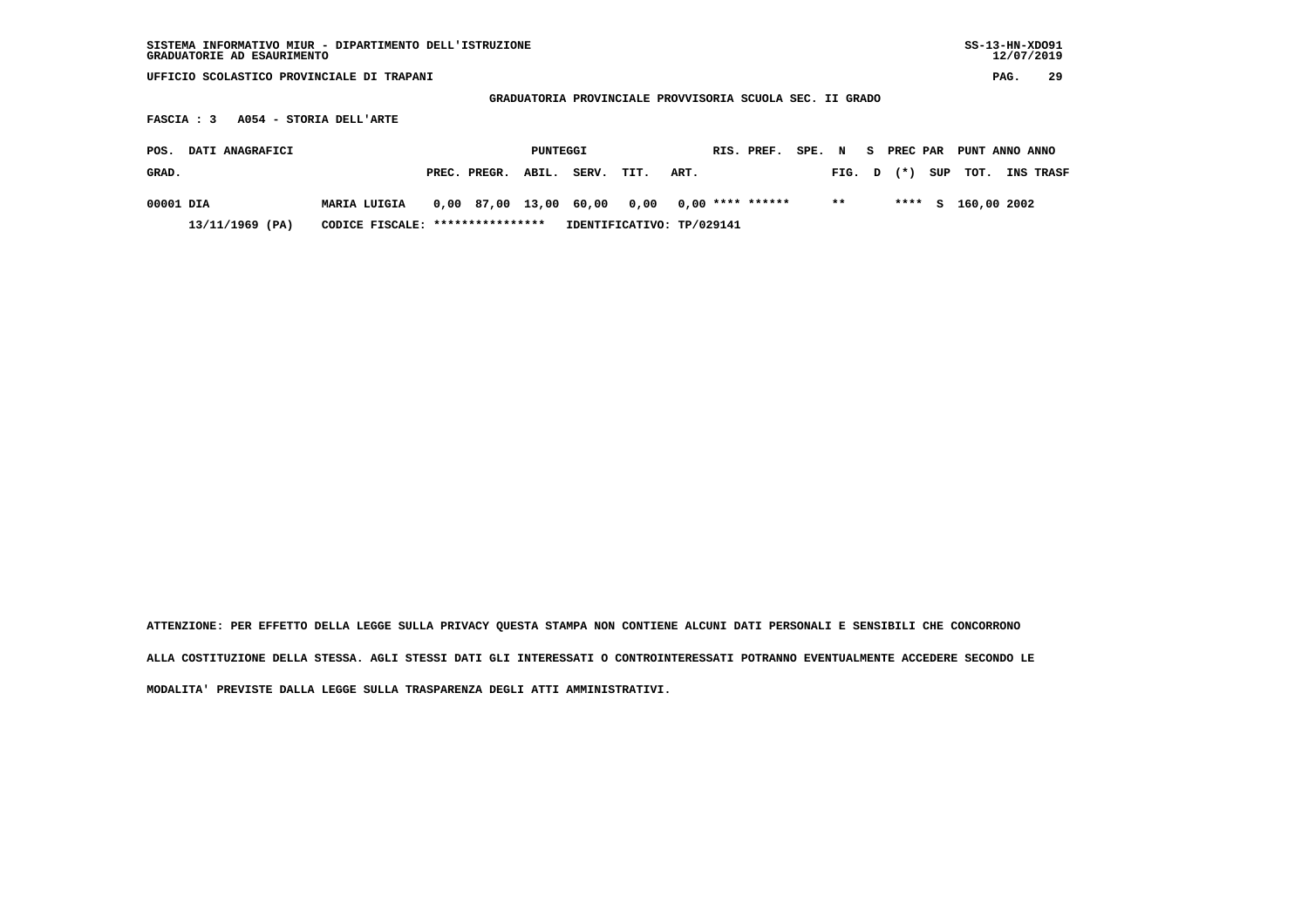| SISTEMA INFORMATIVO MIUR - DIPARTIMENTO DELL'ISTRUZIONE<br>GRADUATORIE AD ESAURIMENTO |                         |  |                  |          |       |                                                          |                    |  |            |        |        |          |          |     | $SS-13-HN-XDO91$ | 12/07/2019 |                  |
|---------------------------------------------------------------------------------------|-------------------------|--|------------------|----------|-------|----------------------------------------------------------|--------------------|--|------------|--------|--------|----------|----------|-----|------------------|------------|------------------|
| UFFICIO SCOLASTICO PROVINCIALE DI TRAPANI                                             |                         |  |                  |          |       |                                                          |                    |  |            |        |        |          |          |     |                  | PAG.       | 29               |
|                                                                                       |                         |  |                  |          |       | GRADUATORIA PROVINCIALE PROVVISORIA SCUOLA SEC. II GRADO |                    |  |            |        |        |          |          |     |                  |            |                  |
| FASCIA : 3                                                                            | A054 - STORIA DELL'ARTE |  |                  |          |       |                                                          |                    |  |            |        |        |          |          |     |                  |            |                  |
| DATI ANAGRAFICI<br>POS.                                                               |                         |  |                  | PUNTEGGI |       |                                                          |                    |  | RIS. PREF. | SPE. N |        | <b>S</b> | PREC PAR |     | PUNT ANNO ANNO   |            |                  |
| GRAD.                                                                                 |                         |  | PREC. PREGR.     | ABIL.    | SERV. | TIT.                                                     | ART.               |  |            |        | FIG. D |          | $(* )$   | SUP | тот.             |            | <b>INS TRASF</b> |
| 00001 DIA                                                                             | <b>MARIA LUIGIA</b>     |  | 0,00 87,00 13,00 |          | 60,00 | 0,00                                                     | $0.00$ **** ****** |  |            |        | $* *$  |          | ****     | s   | 160,00 2002      |            |                  |
| 13/11/1969 (PA)                                                                       | CODICE FISCALE:         |  | **************** |          |       | IDENTIFICATIVO: TP/029141                                |                    |  |            |        |        |          |          |     |                  |            |                  |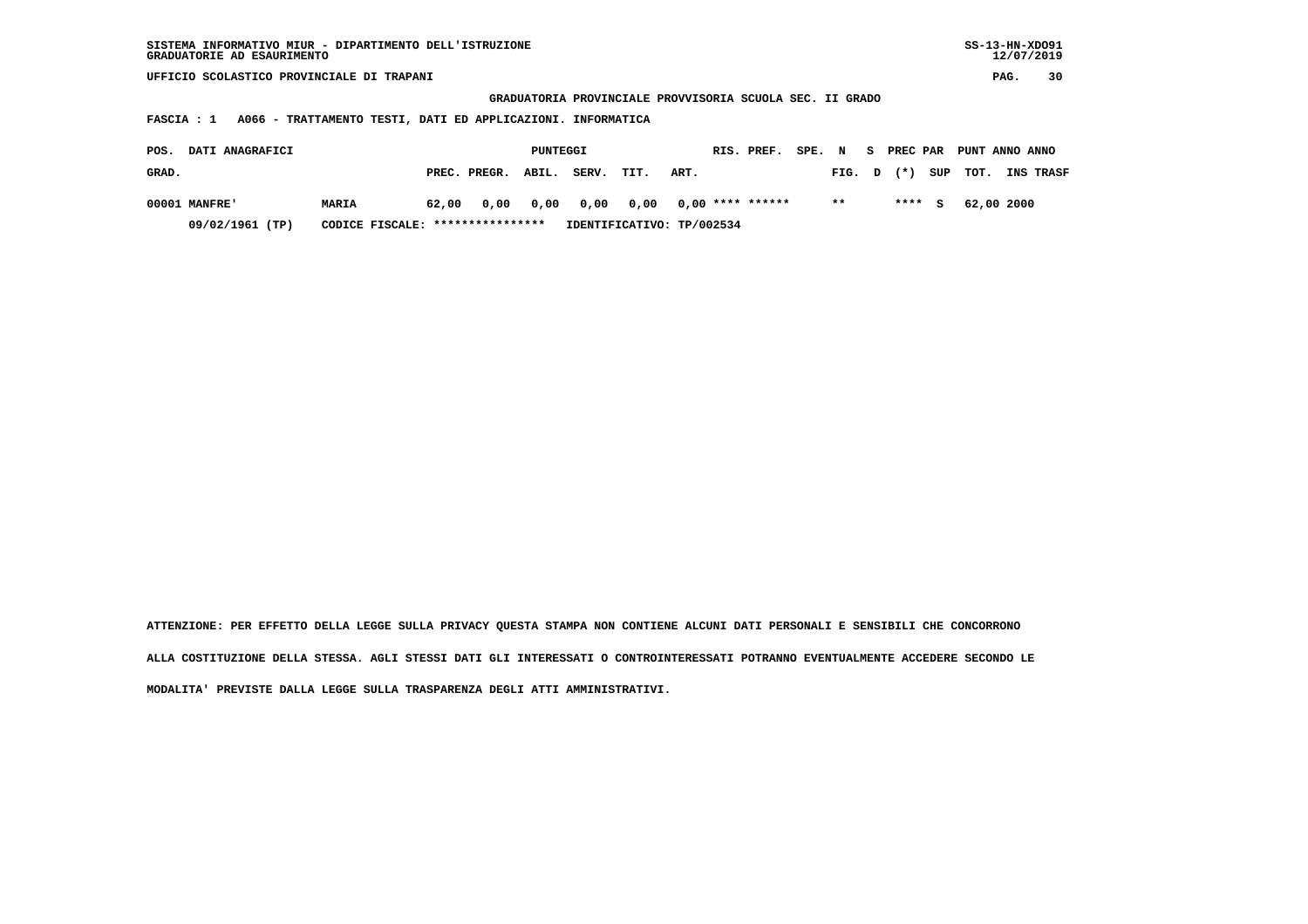| SISTEMA INFORMATIVO MIUR - DIPARTIMENTO DELL'ISTRUZIONE<br>GRADUATORIE AD ESAURIMENTO |                                                             |              |                                                          |       |      |      |             |        |       |   |            |     |                |            | $SS-13-HN-XDO91$<br>12/07/2019 |
|---------------------------------------------------------------------------------------|-------------------------------------------------------------|--------------|----------------------------------------------------------|-------|------|------|-------------|--------|-------|---|------------|-----|----------------|------------|--------------------------------|
| UFFICIO SCOLASTICO PROVINCIALE DI TRAPANI                                             |                                                             |              |                                                          |       |      |      |             |        |       |   |            |     |                | PAG.       | 30                             |
|                                                                                       |                                                             |              | GRADUATORIA PROVINCIALE PROVVISORIA SCUOLA SEC. II GRADO |       |      |      |             |        |       |   |            |     |                |            |                                |
| FASCIA : 1                                                                            | A066 - TRATTAMENTO TESTI, DATI ED APPLICAZIONI. INFORMATICA |              |                                                          |       |      |      |             |        |       |   |            |     |                |            |                                |
| DATI ANAGRAFICI<br>POS.                                                               |                                                             |              | PUNTEGGI                                                 |       |      |      | RIS. PREF.  | SPE. N |       |   | S PREC PAR |     | PUNT ANNO ANNO |            |                                |
| GRAD.                                                                                 |                                                             | PREC. PREGR. | ABIL.                                                    | SERV. | TIT. | ART. |             |        | FIG.  | D | $(* )$     | SUP | TOT.           |            | <b>INS TRASF</b>               |
| 00001 MANFRE'                                                                         | 62,00<br>MARIA                                              | 0,00         | 0,00                                                     | 0,00  | 0,00 | 0,00 | **** ****** |        | $* *$ |   | ****       | s   |                | 62,00 2000 |                                |

 **09/02/1961 (TP) CODICE FISCALE: \*\*\*\*\*\*\*\*\*\*\*\*\*\*\*\* IDENTIFICATIVO: TP/002534**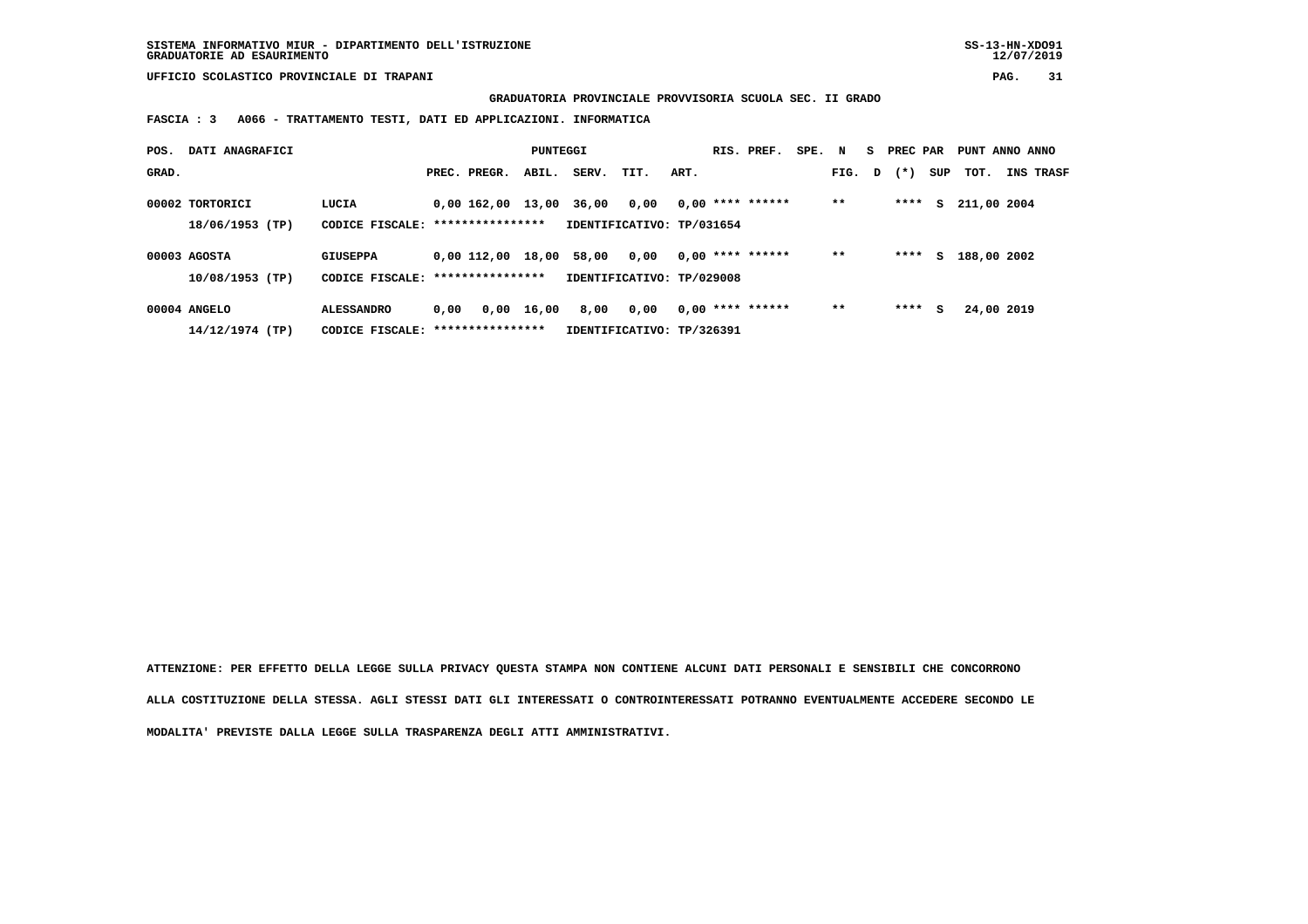**SISTEMA INFORMATIVO MIUR - DIPARTIMENTO DELL'ISTRUZIONE SS-13-HN-XDO91 GRADUATORIE AD ESAURIMENTO 12/07/2019**

 **UFFICIO SCOLASTICO PROVINCIALE DI TRAPANI PAG. 31**

 **GRADUATORIA PROVINCIALE PROVVISORIA SCUOLA SEC. II GRADO**

 **FASCIA : 3 A066 - TRATTAMENTO TESTI, DATI ED APPLICAZIONI. INFORMATICA**

| POS.  | DATI ANAGRAFICI                    |                                                       |      |                   | PUNTEGGI |       |                                   |      | RIS. PREF.         | SPE. N |        | S PREC PAR |     | PUNT ANNO ANNO |                  |
|-------|------------------------------------|-------------------------------------------------------|------|-------------------|----------|-------|-----------------------------------|------|--------------------|--------|--------|------------|-----|----------------|------------------|
| GRAD. |                                    |                                                       |      | PREC. PREGR.      | ABIL.    | SERV. | TIT.                              | ART. |                    |        | FIG. D | $(* )$     | SUP | тот.           | <b>INS TRASF</b> |
|       | 00002 TORTORICI<br>18/06/1953 (TP) | LUCIA<br>CODICE FISCALE: *****************            |      | 0,00 162,00 13,00 |          | 36,00 | 0,00<br>IDENTIFICATIVO: TP/031654 |      | $0,00$ **** ****** |        | $* *$  | ****       | s   | 211,00 2004    |                  |
|       | 00003 AGOSTA<br>$10/08/1953$ (TP)  | <b>GIUSEPPA</b><br>CODICE FISCALE: *****************  |      | 0,00 112,00       | 18,00    | 58,00 | 0,00<br>IDENTIFICATIVO: TP/029008 |      | $0.00$ **** ****** |        | $* *$  | ****       | s   | 188,00 2002    |                  |
|       | 00004 ANGELO<br>14/12/1974 (TP)    | <b>ALESSANDRO</b><br>CODICE FISCALE: **************** | 0.00 | 0,00              | 16,00    | 8,00  | 0.00<br>IDENTIFICATIVO: TP/326391 |      | $0,00$ **** ****** |        | $**$   | ****       | s   | 24,00 2019     |                  |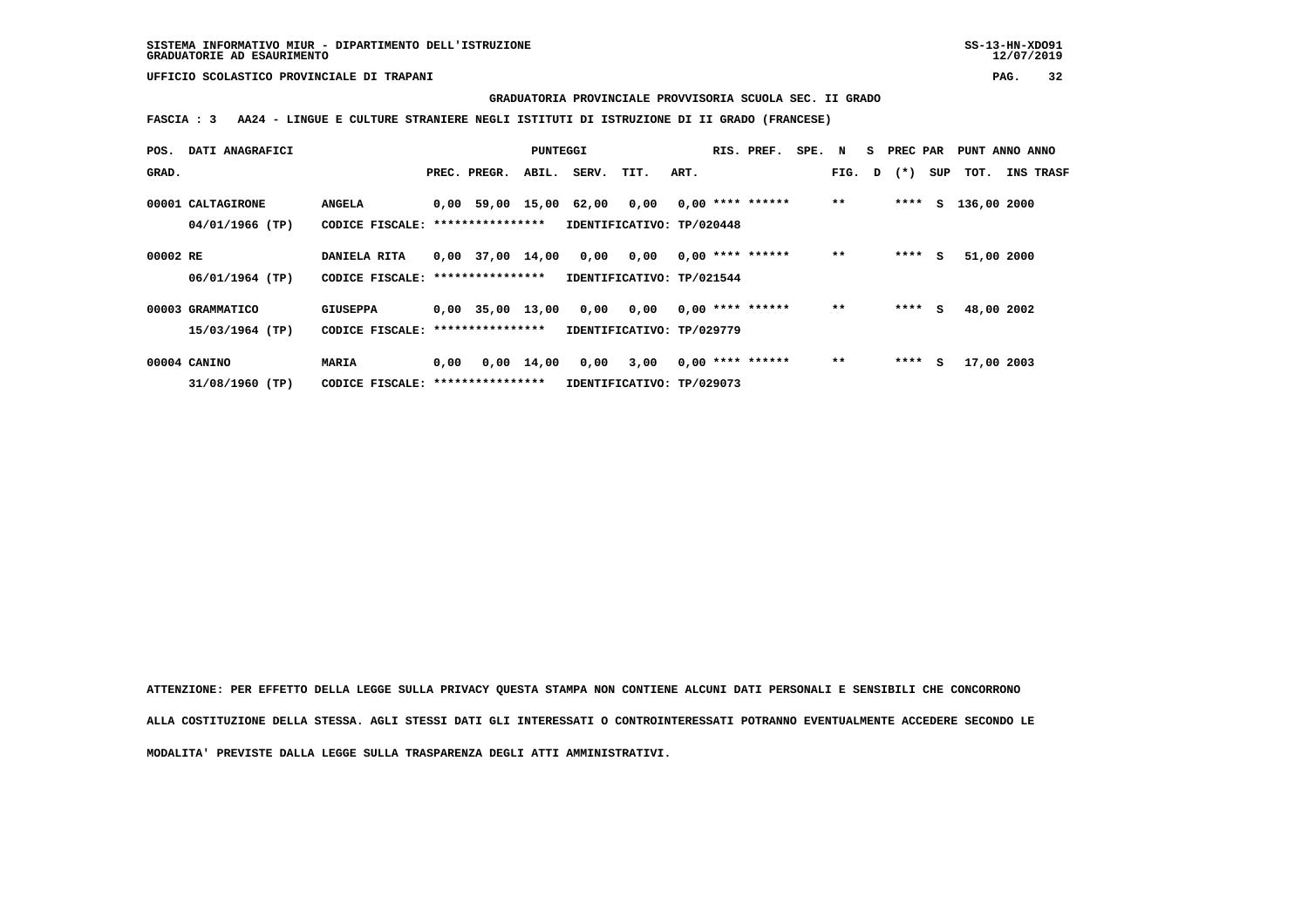**GRADUATORIA PROVINCIALE PROVVISORIA SCUOLA SEC. II GRADO**

 **FASCIA : 3 AA24 - LINGUE E CULTURE STRANIERE NEGLI ISTITUTI DI ISTRUZIONE DI II GRADO (FRANCESE)**

| POS.     | DATI ANAGRAFICI                      |                                                    |      |                    | PUNTEGGI           |                                   |                                   |      | RIS. PREF.         | SPE. N |        | S PREC PAR |     | PUNT ANNO ANNO |                  |
|----------|--------------------------------------|----------------------------------------------------|------|--------------------|--------------------|-----------------------------------|-----------------------------------|------|--------------------|--------|--------|------------|-----|----------------|------------------|
| GRAD.    |                                      |                                                    |      | PREC. PREGR.       | ABIL.              | SERV.                             | TIT.                              | ART. |                    |        | FIG. D | $(* )$     | SUP | тот.           | <b>INS TRASF</b> |
|          | 00001 CALTAGIRONE<br>04/01/1966 (TP) | <b>ANGELA</b><br>CODICE FISCALE: ***************** |      | 0,00 59,00 15,00   |                    | 62,00                             | 0.00<br>IDENTIFICATIVO: TP/020448 |      | $0.00$ **** ****** |        | $* *$  | ****       |     | S 136,00 2000  |                  |
| 00002 RE | 06/01/1964 (TP)                      | DANIELA RITA<br>CODICE FISCALE: *****************  |      | $0,00$ 37,00 14,00 |                    | 0,00<br>IDENTIFICATIVO: TP/021544 | 0,00                              |      | $0.00$ **** ****** |        | $**$   | ****       | s   | 51,00 2000     |                  |
|          | 00003 GRAMMATICO                     | <b>GIUSEPPA</b>                                    |      | $0,00$ 35,00 13,00 |                    | 0,00                              | 0,00                              |      | $0,00$ **** ****** |        | $**$   | ****       | s   | 48,00 2002     |                  |
|          | 15/03/1964 (TP)                      | CODICE FISCALE: ****************                   |      |                    |                    | IDENTIFICATIVO: TP/029779         |                                   |      |                    |        |        |            |     |                |                  |
|          | 00004 CANINO                         | MARIA                                              | 0,00 |                    | $0,00 \quad 14,00$ | 0,00                              | 3,00                              |      | $0,00$ **** ****** |        | $**$   | ****       | s   | 17,00 2003     |                  |
|          | 31/08/1960 (TP)                      | CODICE FISCALE: *****************                  |      |                    |                    |                                   | IDENTIFICATIVO: TP/029073         |      |                    |        |        |            |     |                |                  |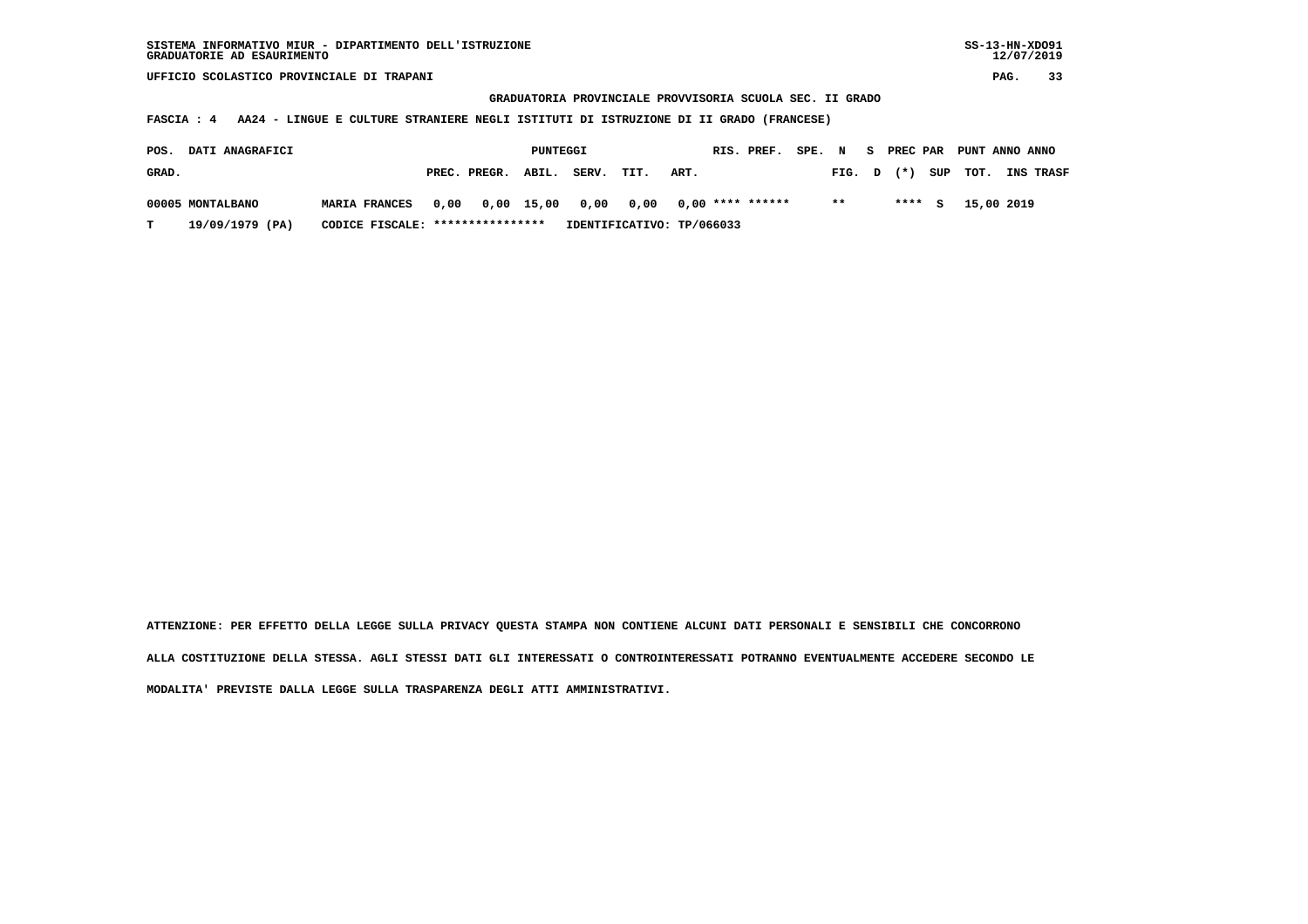## **GRADUATORIA PROVINCIALE PROVVISORIA SCUOLA SEC. II GRADO**

 **FASCIA : 4 AA24 - LINGUE E CULTURE STRANIERE NEGLI ISTITUTI DI ISTRUZIONE DI II GRADO (FRANCESE)**

| POS.  | <b>DATI ANAGRAFICI</b> |                                  |  |                                            | PUNTEGGI |       |                           |      | RIS. PREF. SPE. N S PREC PAR PUNT ANNO ANNO |      |         |                         |                  |
|-------|------------------------|----------------------------------|--|--------------------------------------------|----------|-------|---------------------------|------|---------------------------------------------|------|---------|-------------------------|------------------|
| GRAD. |                        |                                  |  | PREC. PREGR. ABIL.                         |          | SERV. | TIT.                      | ART. |                                             |      |         | FIG. $D$ $(*)$ SUP TOT. | <b>INS TRASF</b> |
|       | 00005 MONTALBANO       | <b>MARIA FRANCES</b>             |  | 0,00 0,00 15,00 0,00 0,00 0,00 **** ****** |          |       |                           |      |                                             | $**$ | $***$ S | 15,00 2019              |                  |
| T.    | 19/09/1979 (PA)        | CODICE FISCALE: **************** |  |                                            |          |       | IDENTIFICATIVO: TP/066033 |      |                                             |      |         |                         |                  |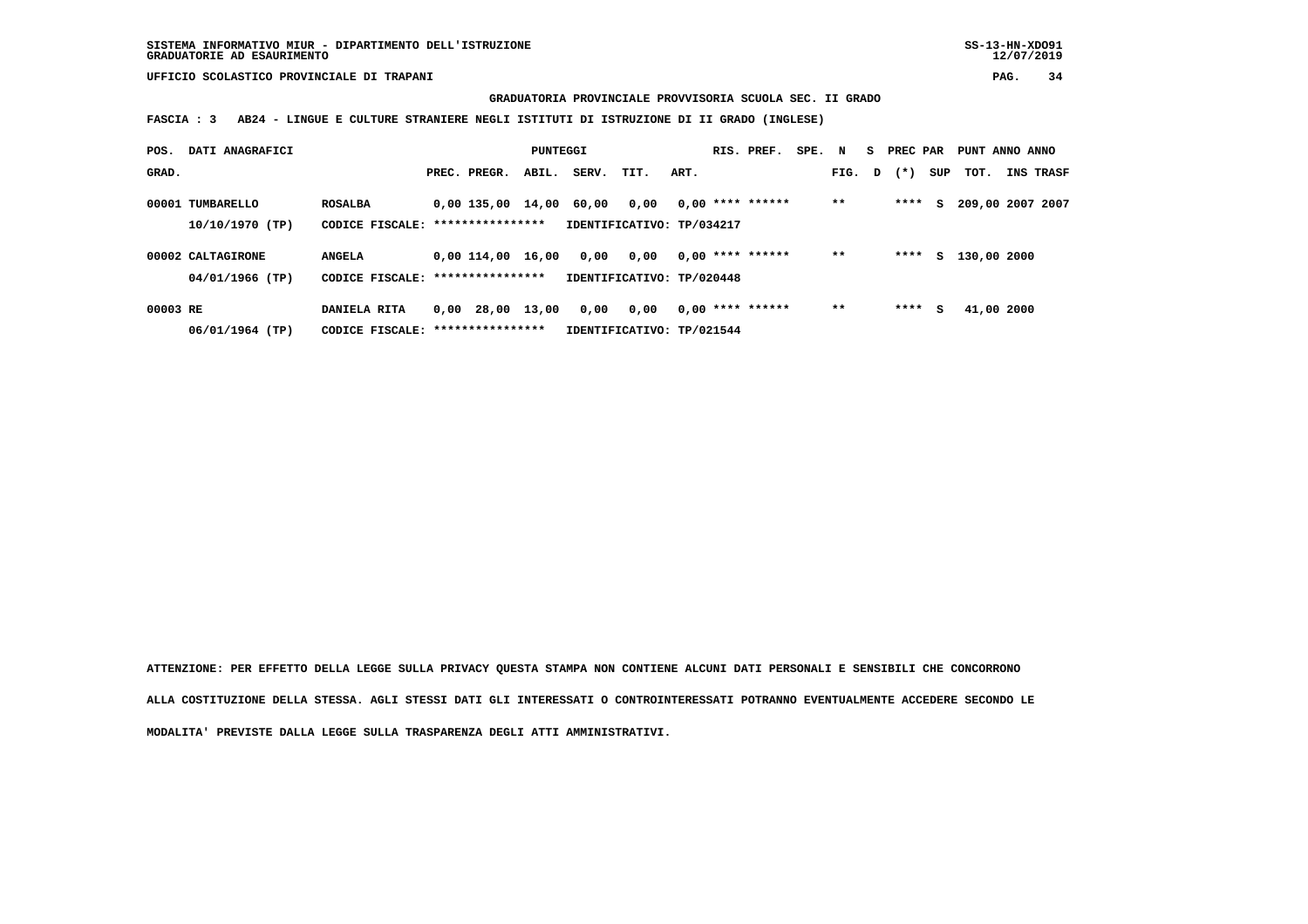**GRADUATORIA PROVINCIALE PROVVISORIA SCUOLA SEC. II GRADO**

 **FASCIA : 3 AB24 - LINGUE E CULTURE STRANIERE NEGLI ISTITUTI DI ISTRUZIONE DI II GRADO (INGLESE)**

| POS.     | DATI ANAGRAFICI   |                                   |      |                   | PUNTEGGI |       |                           |      | RIS. PREF.         | SPE. | N      | PREC PAR |     | PUNT ANNO ANNO   |                  |
|----------|-------------------|-----------------------------------|------|-------------------|----------|-------|---------------------------|------|--------------------|------|--------|----------|-----|------------------|------------------|
| GRAD.    |                   |                                   |      | PREC. PREGR.      | ABIL.    | SERV. | TIT.                      | ART. |                    |      | FIG. D | $(*)$    | SUP | TOT.             | <b>INS TRASF</b> |
|          | 00001 TUMBARELLO  | <b>ROSALBA</b>                    |      | 0,00 135,00 14,00 |          | 60.00 | 0,00                      |      | $0,00$ **** ****** |      | $**$   | ****     | s   | 209,00 2007 2007 |                  |
|          | 10/10/1970 (TP)   | CODICE FISCALE: ****************  |      |                   |          |       | IDENTIFICATIVO: TP/034217 |      |                    |      |        |          |     |                  |                  |
|          | 00002 CALTAGIRONE | <b>ANGELA</b>                     |      | 0.00 114.00       | 16,00    | 0,00  | 0,00                      |      | $0.00$ **** ****** |      | $* *$  | ****     | s   | 130,00 2000      |                  |
|          | 04/01/1966 (TP)   | CODICE FISCALE: ***************** |      |                   |          |       | IDENTIFICATIVO: TP/020448 |      |                    |      |        |          |     |                  |                  |
| 00003 RE |                   | DANIELA RITA                      | 0.00 | 28,00             | 13,00    | 0,00  | 0.00                      |      | $0.00$ **** ****** |      | $* *$  | ****     | s   | 41,00 2000       |                  |
|          | 06/01/1964 (TP)   | CODICE FISCALE: ****************  |      |                   |          |       | IDENTIFICATIVO: TP/021544 |      |                    |      |        |          |     |                  |                  |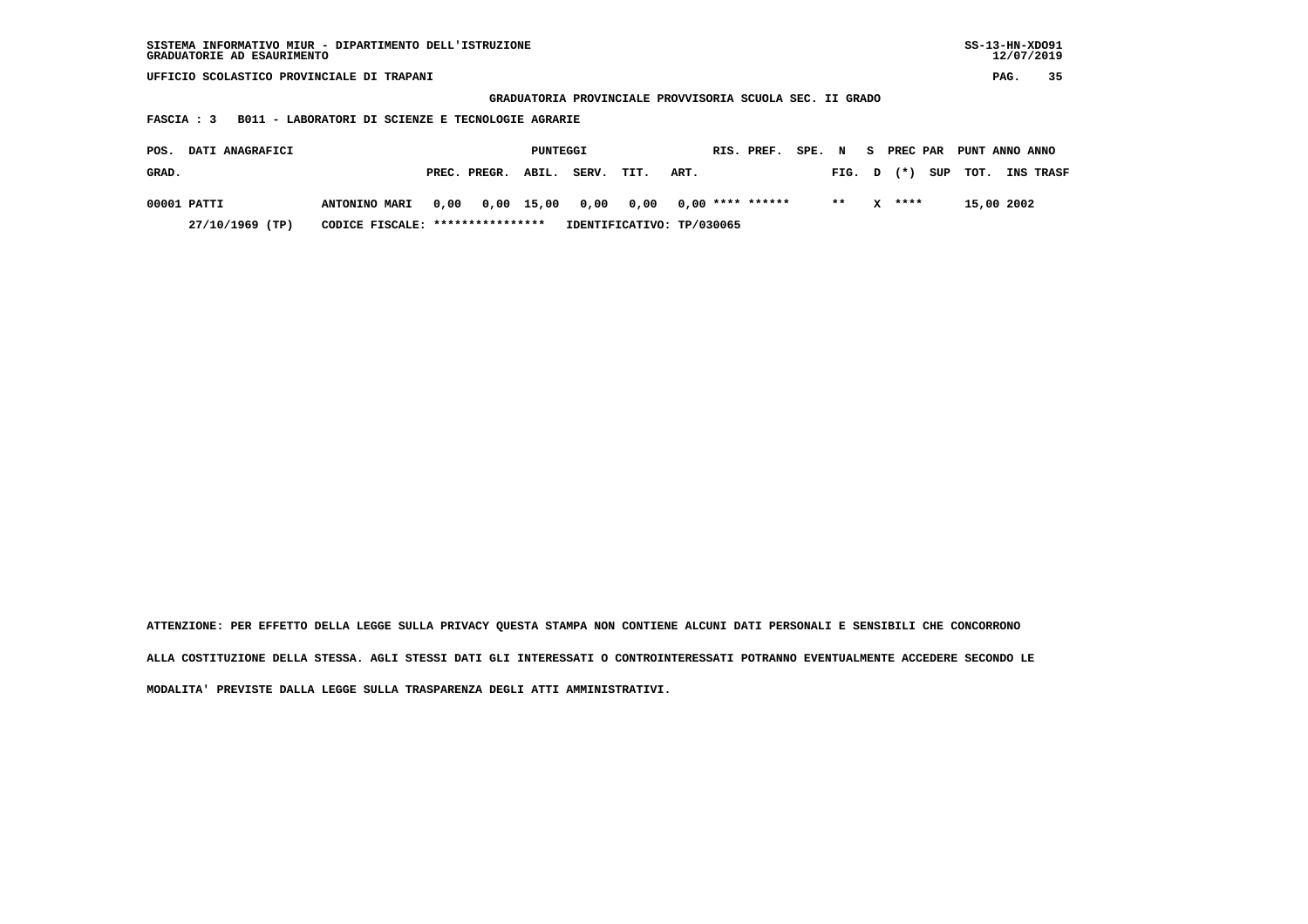| SISTEMA INFORMATIVO MIUR - DIPARTIMENTO DELL'ISTRUZIONE<br>GRADUATORIE AD ESAURIMENTO |                                   |      |              |            |       |                           |      |  |                    |        |        | $SS-13-HN-XDO91$<br>12/07/2019 |        |     |                           |  |                  |
|---------------------------------------------------------------------------------------|-----------------------------------|------|--------------|------------|-------|---------------------------|------|--|--------------------|--------|--------|--------------------------------|--------|-----|---------------------------|--|------------------|
| UFFICIO SCOLASTICO PROVINCIALE DI TRAPANI                                             |                                   |      |              |            |       |                           |      |  |                    |        |        |                                | PAG.   | 35  |                           |  |                  |
| GRADUATORIA PROVINCIALE PROVVISORIA SCUOLA SEC. II GRADO                              |                                   |      |              |            |       |                           |      |  |                    |        |        |                                |        |     |                           |  |                  |
| B011 - LABORATORI DI SCIENZE E TECNOLOGIE AGRARIE<br>FASCIA : 3                       |                                   |      |              |            |       |                           |      |  |                    |        |        |                                |        |     |                           |  |                  |
|                                                                                       |                                   |      |              |            |       |                           |      |  |                    |        |        |                                |        |     |                           |  |                  |
| DATI ANAGRAFICI<br>POS.                                                               |                                   |      |              | PUNTEGGI   |       |                           |      |  | RIS. PREF.         | SPE. N |        |                                |        |     | S PREC PAR PUNT ANNO ANNO |  |                  |
| GRAD.                                                                                 |                                   |      | PREC. PREGR. | ABIL.      | SERV. | TIT.                      | ART. |  |                    |        | FIG. D |                                | $(* )$ | SUP | тот.                      |  | <b>INS TRASF</b> |
| 00001 PATTI                                                                           | <b>ANTONINO MARI</b>              | 0,00 |              | 0,00 15,00 | 0,00  | 0,00                      |      |  | $0.00$ **** ****** |        | $* *$  | x                              | ****   |     | 15,00 2002                |  |                  |
| 27/10/1969 (TP)                                                                       | CODICE FISCALE: ***************** |      |              |            |       | IDENTIFICATIVO: TP/030065 |      |  |                    |        |        |                                |        |     |                           |  |                  |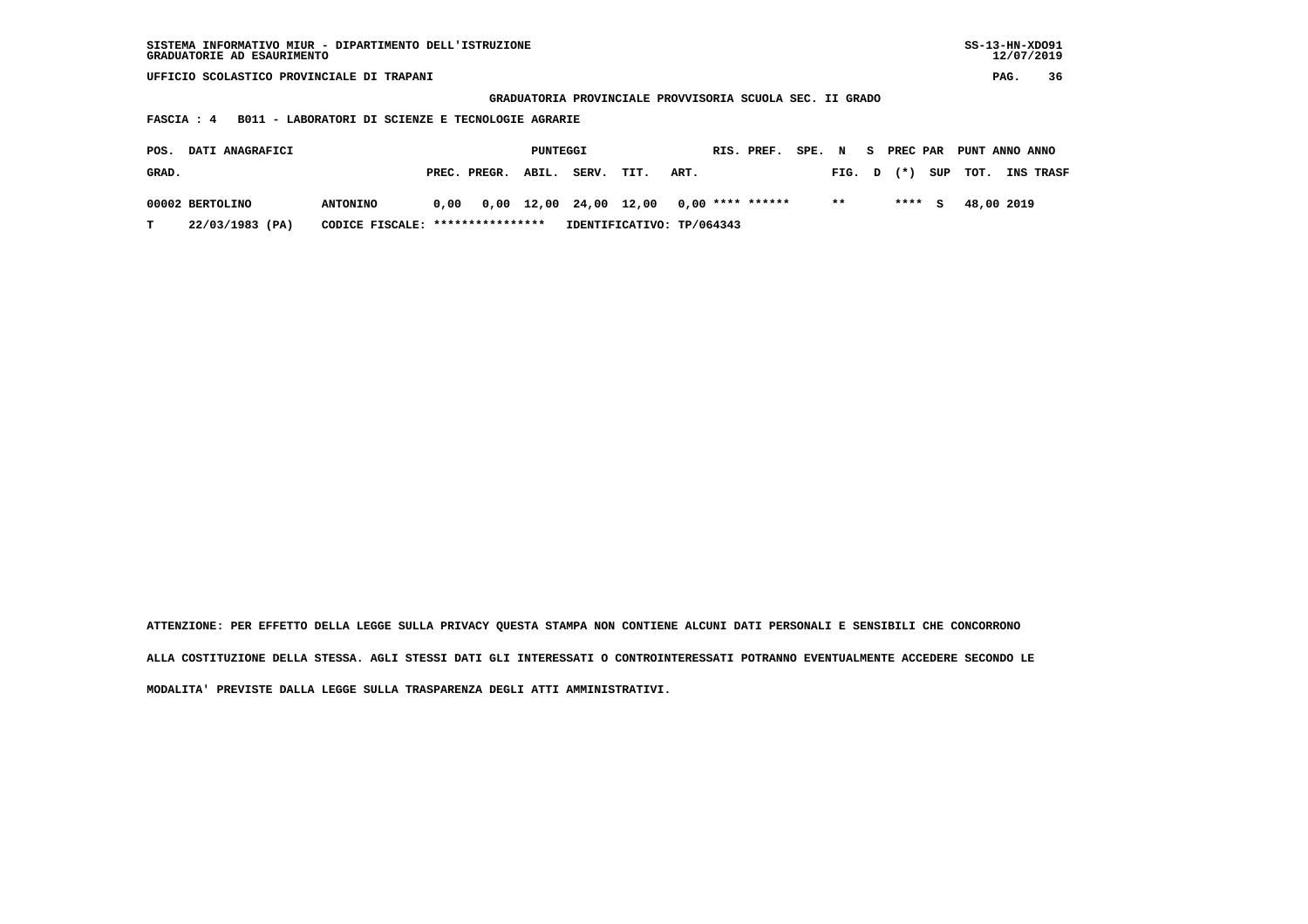| SISTEMA INFORMATIVO MIUR - DIPARTIMENTO DELL'ISTRUZIONE<br>GRADUATORIE AD ESAURIMENTO |                 |      |                  |          |                        |      |                           |            |  |        |        | $SS-13-HN-XDO91$<br>12/07/2019 |     |                |    |           |
|---------------------------------------------------------------------------------------|-----------------|------|------------------|----------|------------------------|------|---------------------------|------------|--|--------|--------|--------------------------------|-----|----------------|----|-----------|
| UFFICIO SCOLASTICO PROVINCIALE DI TRAPANI                                             |                 |      |                  |          |                        |      |                           |            |  |        |        |                                |     | PAG.           | 36 |           |
| GRADUATORIA PROVINCIALE PROVVISORIA SCUOLA SEC. II GRADO                              |                 |      |                  |          |                        |      |                           |            |  |        |        |                                |     |                |    |           |
| B011 - LABORATORI DI SCIENZE E TECNOLOGIE AGRARIE<br><b>FASCIA : 4</b>                |                 |      |                  |          |                        |      |                           |            |  |        |        |                                |     |                |    |           |
|                                                                                       |                 |      |                  |          |                        |      |                           |            |  |        |        |                                |     |                |    |           |
| DATI ANAGRAFICI<br>POS.                                                               |                 |      |                  | PUNTEGGI |                        |      |                           | RIS. PREF. |  | SPE. N |        | S PREC PAR                     |     | PUNT ANNO ANNO |    |           |
| GRAD.                                                                                 |                 |      | PREC. PREGR.     | ABIL.    | SERV.                  | TIT. | ART.                      |            |  |        | FIG. D | $(* )$                         | SUP | TOT.           |    | INS TRASF |
|                                                                                       |                 |      |                  |          |                        |      | $0,00$ **** ******        |            |  | $* *$  |        | $***$ S                        |     | 48,00 2019     |    |           |
| 00002 BERTOLINO                                                                       | <b>ANTONINO</b> | 0,00 |                  |          | 0,00 12,00 24,00 12,00 |      |                           |            |  |        |        |                                |     |                |    |           |
| 22/03/1983 (PA)<br>т                                                                  | CODICE FISCALE: |      | **************** |          |                        |      | IDENTIFICATIVO: TP/064343 |            |  |        |        |                                |     |                |    |           |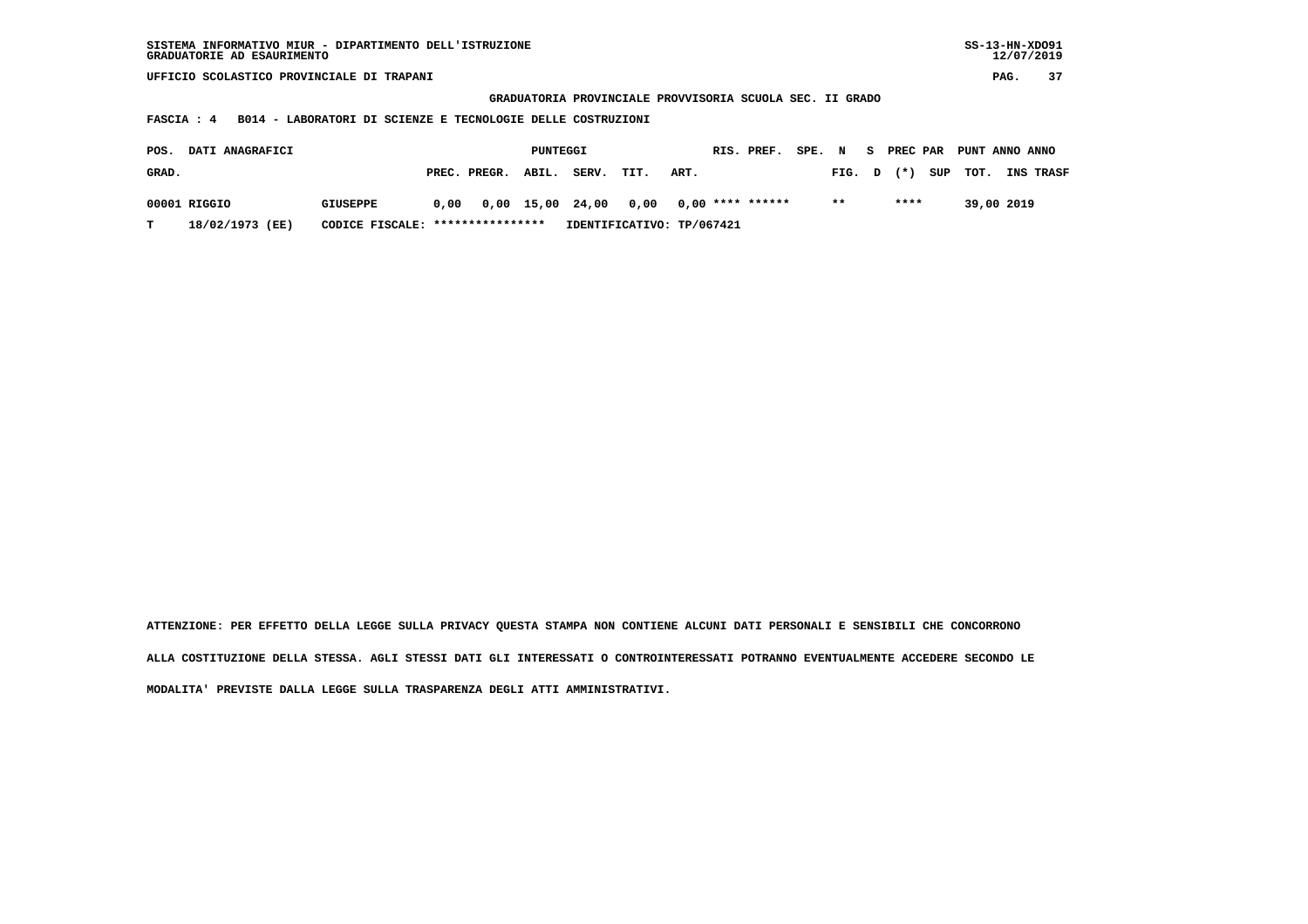| SISTEMA INFORMATIVO MIUR - DIPARTIMENTO DELL'ISTRUZIONE<br>GRADUATORIE AD ESAURIMENTO |                 |      |              |          |                    |                                                          |      |  |                    |        |       | $SS-13-HN-XDO91$<br>12/07/2019 |          |      |                |  |                  |
|---------------------------------------------------------------------------------------|-----------------|------|--------------|----------|--------------------|----------------------------------------------------------|------|--|--------------------|--------|-------|--------------------------------|----------|------|----------------|--|------------------|
| UFFICIO SCOLASTICO PROVINCIALE DI TRAPANI                                             |                 |      |              |          |                    |                                                          |      |  |                    |        |       |                                |          | PAG. | 37             |  |                  |
|                                                                                       |                 |      |              |          |                    | GRADUATORIA PROVINCIALE PROVVISORIA SCUOLA SEC. II GRADO |      |  |                    |        |       |                                |          |      |                |  |                  |
| B014 - LABORATORI DI SCIENZE E TECNOLOGIE DELLE COSTRUZIONI<br>FASCIA : 4             |                 |      |              |          |                    |                                                          |      |  |                    |        |       |                                |          |      |                |  |                  |
|                                                                                       |                 |      |              |          |                    |                                                          |      |  |                    |        |       |                                |          |      |                |  |                  |
| DATI ANAGRAFICI<br>POS.                                                               |                 |      |              | PUNTEGGI |                    |                                                          |      |  | RIS. PREF.         | SPE. N |       | S.                             | PREC PAR |      | PUNT ANNO ANNO |  |                  |
| GRAD.                                                                                 |                 |      | PREC. PREGR. | ABIL.    | SERV.              | TIT.                                                     | ART. |  |                    |        | FIG.  | D                              | $(* )$   | SUP  | TOT.           |  | <b>INS TRASF</b> |
| 00001 RIGGIO                                                                          | <b>GIUSEPPE</b> | 0.00 |              |          | $0,00$ 15,00 24,00 | 0,00                                                     |      |  | $0,00$ **** ****** |        | $***$ |                                | ****     |      | 39,00 2019     |  |                  |
|                                                                                       |                 |      |              |          |                    |                                                          |      |  |                    |        |       |                                |          |      |                |  |                  |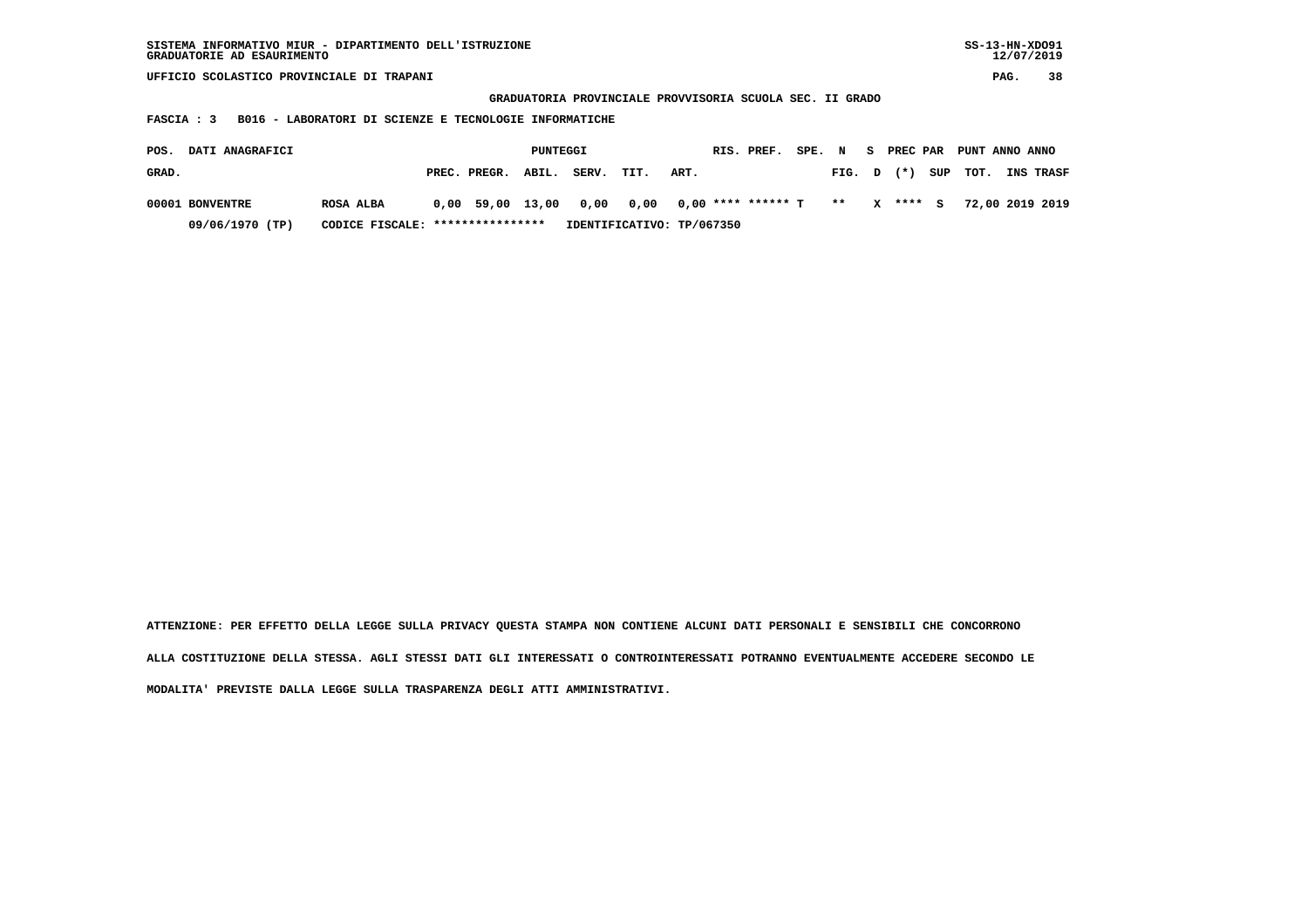| SISTEMA INFORMATIVO MIUR - DIPARTIMENTO DELL'ISTRUZIONE<br>GRADUATORIE AD ESAURIMENTO |                  |  |                  |          |       |      |                      |            |        |        |              | $SS-13-HN-XDO91$<br>12/07/2019 |      |                 |                  |  |
|---------------------------------------------------------------------------------------|------------------|--|------------------|----------|-------|------|----------------------|------------|--------|--------|--------------|--------------------------------|------|-----------------|------------------|--|
| UFFICIO SCOLASTICO PROVINCIALE DI TRAPANI                                             |                  |  |                  |          |       |      |                      |            |        |        |              |                                | PAG. | 38              |                  |  |
| GRADUATORIA PROVINCIALE PROVVISORIA SCUOLA SEC. II GRADO                              |                  |  |                  |          |       |      |                      |            |        |        |              |                                |      |                 |                  |  |
| B016 - LABORATORI DI SCIENZE E TECNOLOGIE INFORMATICHE<br>FASCIA : 3                  |                  |  |                  |          |       |      |                      |            |        |        |              |                                |      |                 |                  |  |
|                                                                                       |                  |  |                  |          |       |      |                      |            |        |        |              |                                |      |                 |                  |  |
| DATI ANAGRAFICI<br>POS.                                                               |                  |  |                  | PUNTEGGI |       |      |                      | RIS. PREF. | SPE. N |        | S.           | PREC PAR                       |      | PUNT ANNO ANNO  |                  |  |
| GRAD.                                                                                 |                  |  | PREC. PREGR.     | ABIL.    | SERV. | TIT. | ART.                 |            |        | FIG. D |              | $(* )$                         | SUP  | TOT.            | <b>INS TRASF</b> |  |
| 00001 BONVENTRE                                                                       | <b>ROSA ALBA</b> |  | 0,00 59,00 13,00 |          | 0,00  | 0,00 | $0,00$ **** ****** T |            |        | $* *$  | $\mathbf{x}$ | $***$ S                        |      | 72,00 2019 2019 |                  |  |
| 09/06/1970 (TP)<br>****************<br>IDENTIFICATIVO: TP/067350<br>CODICE FISCALE:   |                  |  |                  |          |       |      |                      |            |        |        |              |                                |      |                 |                  |  |